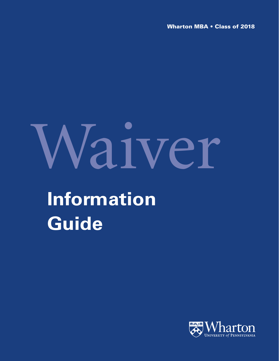**Wharton MBA • Class of 2018**

# Waiver

# **Information Guide**

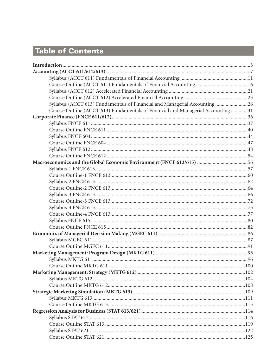# Table of Contents

| Syllabus (ACCT 613) Fundamentals of Financial and Managerial Accounting 26       |  |
|----------------------------------------------------------------------------------|--|
| Course Outline (ACCT 613) Fundamentals of Financial and Managerial Accounting 31 |  |
|                                                                                  |  |
|                                                                                  |  |
|                                                                                  |  |
|                                                                                  |  |
|                                                                                  |  |
|                                                                                  |  |
|                                                                                  |  |
| Macroeconomics and the Global Economic Environment (FNCE 613/615) 56             |  |
|                                                                                  |  |
|                                                                                  |  |
|                                                                                  |  |
|                                                                                  |  |
|                                                                                  |  |
|                                                                                  |  |
|                                                                                  |  |
|                                                                                  |  |
|                                                                                  |  |
|                                                                                  |  |
|                                                                                  |  |
|                                                                                  |  |
|                                                                                  |  |
|                                                                                  |  |
|                                                                                  |  |
|                                                                                  |  |
|                                                                                  |  |
|                                                                                  |  |
|                                                                                  |  |
|                                                                                  |  |
|                                                                                  |  |
|                                                                                  |  |
|                                                                                  |  |
|                                                                                  |  |
|                                                                                  |  |
|                                                                                  |  |
|                                                                                  |  |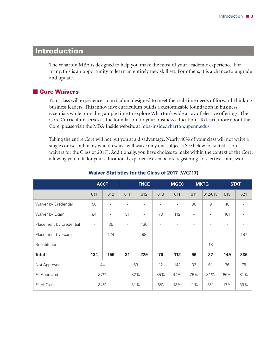## **Introduction**

The Wharton MBA is designed to help you make the most of your academic experience. For many, this is an opportunity to learn an entirely new skill set. For others, it is a chance to upgrade and update.

#### - **Core Waivers**

Your class will experience a curriculum designed to meet the real-time needs of forward-thinking business leaders. This innovative curriculum builds a customizable foundation in business essentials while providing ample time to explore Wharton's wide array of elective offerings. The Core Curriculum serves as the foundation for your business education. To learn more about the Core, please visit the MBA Inside website at mba-inside.wharton.upenn.edu/

Taking the entire Core will not put you at a disadvantage. Nearly 40% of your class will not waive a single course and many who do waive will waive only one subject. (See below for statistics on waivers for the Class of 2017). Additionally, you have choices to make within the context of the Core, allowing you to tailor your educational experience even before registering for elective coursework.

|                         | <b>ACCT</b>              |                          | <b>FNCE</b>              |                          |                          |                          |                          | <b>MGEC</b><br><b>MKTG</b> |                          | <b>STAT</b> |     |     |
|-------------------------|--------------------------|--------------------------|--------------------------|--------------------------|--------------------------|--------------------------|--------------------------|----------------------------|--------------------------|-------------|-----|-----|
|                         | 611                      | 612                      | 611                      | 612                      | 613                      | 611                      | 611                      | 612/613                    | 613                      | 621         |     |     |
| Waiver by Credential    | 50                       | $\overline{\phantom{a}}$ |                          |                          | $\overline{\phantom{a}}$ | $\overline{\phantom{a}}$ | 96                       | 9                          | 48                       |             |     |     |
| Waiver by Exam          | 84                       | $\overline{\phantom{a}}$ | 31                       | $\overline{\phantom{a}}$ | 70                       | 112                      | $\overline{\phantom{a}}$ | $\overline{\phantom{a}}$   | 101                      |             |     |     |
| Placement by Credential | $\overline{\phantom{a}}$ | 35                       | $\overline{\phantom{a}}$ | 130                      | $\overline{\phantom{a}}$ | $\overline{\phantom{a}}$ | $\overline{\phantom{a}}$ | $\overline{\phantom{a}}$   | $\overline{\phantom{a}}$ |             |     |     |
| Placement by Exam       | $\overline{\phantom{a}}$ | 124                      | $\overline{\phantom{a}}$ | 99                       | $\overline{\phantom{a}}$ | $\overline{\phantom{a}}$ | $\overline{\phantom{a}}$ | $\overline{\phantom{a}}$   | $\overline{\phantom{a}}$ | 187         |     |     |
| Substitution            | $\overline{\phantom{a}}$ | $\overline{\phantom{a}}$ |                          |                          | $\overline{\phantom{a}}$ | $\overline{\phantom{a}}$ | $\overline{\phantom{a}}$ | 18                         | ۰                        |             |     |     |
| <b>Total</b>            | 134                      | 159                      | 31                       | 229                      | 70                       | 112                      | 96                       | 27                         | 149                      | 336         |     |     |
| Not Approved            |                          | 44                       | 59                       |                          | 12                       | 142                      | 32                       | 61                         | 76                       | 76          |     |     |
| % Approved              | 87%                      |                          | 82%                      |                          | 85%                      | 44%                      | 75%                      | 31%                        | 66%                      | 81%         |     |     |
| % of Class              | 34%                      |                          | 31%                      |                          |                          |                          | 8%                       | 13%                        | 11%                      | 3%          | 17% | 39% |

#### **Waiver Statistics for the Class of 2017 (WG'17)**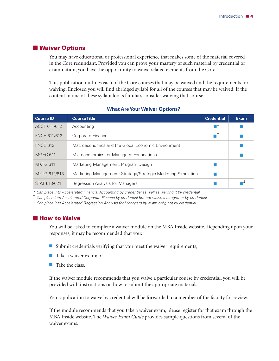#### <span id="page-3-0"></span>- **Waiver Options**

You may have educational or professional experience that makes some of the material covered in the Core redundant. Provided you can prove your mastery of such material by credential or examination, you have the opportunity to waive related elements from the Core.

This publication outlines each of the Core courses that may be waived and the requirements for waiving. Enclosed you will find abridged syllabi for all of the courses that may be waived. If the content in one of these syllabi looks familiar, consider waiving that course.

| <b>Course ID</b> | <b>Course Title</b>                                           | <b>Credential</b> | <b>Exam</b> |
|------------------|---------------------------------------------------------------|-------------------|-------------|
| ACCT 611/612     | Accounting                                                    | ┱                 |             |
| FNCE 611/612     | Corporate Finance                                             |                   |             |
| <b>FNCE 613</b>  | Macroeconomics and the Global Economic Environment            |                   |             |
| MGEC 611         | Microeconomics for Managers: Foundations                      |                   |             |
| <b>MKTG 611</b>  | Marketing Management: Program Design                          |                   |             |
| MKTG 612/613     | Marketing Management: Strategy/Strategic Marketing Simulation |                   |             |
| STAT 613/621     | Regression Analysis for Managers                              |                   |             |

#### **What Are Your Waiver Options?**

*\* Can place into Accelerated Financial Accounting by credential as well as waiving it by credential*

† *Can place into Accelerated Corporate Finance by credential but not waive it altogether by credential*

‡ *Can place into Accelerated Regression Analysis for Managers by exam only, not by credential*

#### - **How to Waive**

You will be asked to complete a waiver module on the MBA Inside website. Depending upon your responses, it may be recommended that you:

- $\blacksquare$  Submit credentials verifying that you meet the waiver requirements;
- Take a waiver exam; or
- $\blacksquare$  Take the class.

If the waiver module recommends that you waive a particular course by credential, you will be provided with instructions on how to submit the appropriate materials.

Your application to waive by credential will be forwarded to a member of the faculty for review.

If the module recommends that you take a waiver exam, please register for that exam through the MBA Inside website. The *Waiver Exam Guide* provides sample questions from several of the waiver exams.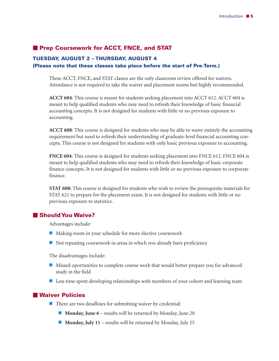#### **Prep Coursework for ACCT, FNCE, and STAT**

#### **TUESDAY, AUGUST 2 – THURSDAY, AUGUST 4**

#### **(Please note that these classes take place before the start of Pre-Term.)**

These ACCT, FNCE, and STAT classes are the only classroom review offered for waivers. Attendance is not required to take the waiver and placement exams but highly recommended.

**ACCT 604**: This course is meant for students seeking placement into ACCT 612. ACCT 604 is meant to help qualified students who may need to refresh their knowledge of basic financial accounting concepts. It is not designed for students with little or no previous exposure to accounting.

**ACCT 608**: This course is designed for students who may be able to waive entirely the accounting requirement but need to refresh their understanding of graduate-level financial accounting concepts. This course is not designed for students with only basic previous exposure to accounting.

**FNCE 604**: This course is designed for students seeking placement into FNCE 612. FNCE 604 is meant to help qualified students who may need to refresh their knowledge of basic corporate finance concepts. It is not designed for students with little or no previous exposure to corporate finance.

**STAT 608:** This course is designed for students who wish to review the prerequisite materials for STAT 621 to prepare for the placement exam. It is not designed for students with little or no previous exposure to statistics.

#### - **Should You Waive?**

Advantages include:

- Making room in your schedule for more elective coursework
- $\blacksquare$  Not repeating coursework in areas in which you already have proficiency

The disadvantages include:

- **Missed oportunities to complete course work that would better prepare you for advanced** study in the field
- **Less time spent developing relationships with members of your cohort and learning team**

#### - **Waiver Policies**

- $\blacksquare$  There are two deadlines for submitting waiver by credential:
	- **Monday, June 6** results will be returned by Monday, June 20
	- **Monday, July 11** results will be returned by Monday, July 25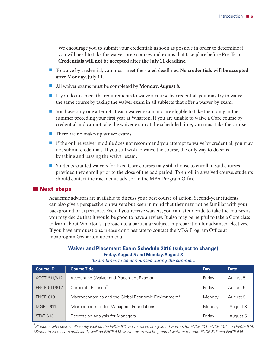We encourage you to submit your credentials as soon as possible in order to determine if you will need to take the waiver prep courses and exams that take place before Pre-Term. **Credentials will not be accepted after the July 11 deadline.**

- To waive by credential, you must meet the stated deadlines. **No credentials will be accepted after Monday,July 11.**
- All waiver exams must be completed by **Monday,August 8**.
- $\blacksquare$  If you do not meet the requirements to waive a course by credential, you may try to waive the same course by taking the waiver exam in all subjects that offer a waiver by exam.
- You have only one attempt at each waiver exam and are eligible to take them only in the summer preceding your first year at Wharton. If you are unable to waive a Core course by credential and cannot take the waiver exam at the scheduled time, you must take the course.
- There are no make-up waiver exams.
- If the online waiver module does not recommend you attempt to waive by credential, you may not submit credentials. If you still wish to waive the course, the only way to do so is by taking and passing the waiver exam.
- Students granted waivers for fixed Core courses may still choose to enroll in said courses provided they enroll prior to the close of the add period. To enroll in a waived course, students should contact their academic advisor in the MBA Program Office.

#### - **Next steps**

Academic advisors are available to discuss your best course of action. Second-year students can also give a perspective on waivers but keep in mind that they may not be familiar with your background or experience. Even if you receive waivers, you can later decide to take the courses as you may decide that it would be good to have a review. It also may be helpful to take a Core class to learn about Wharton's approach to a particular subject in preparation for advanced electives. If you have any questions, please don't hesitate to contact the MBA Program Office at mbaprogram@wharton.upenn.edu.

#### **Waiver and Placement Exam Schedule 2016 (subject to change) Friday, August 5 and Monday, August 8**

| <b>Course ID</b> | <b>Course Title</b>                                 | Day    | <b>Date</b> |
|------------------|-----------------------------------------------------|--------|-------------|
| ACCT 611/612     | Accounting (Waiver and Placement Exams)             | Friday | August 5    |
| FNCE 611/612     | Corporate Finance <sup>T</sup>                      | Friday | August 5    |
| <b>FNCE 613</b>  | Macroeconomics and the Global Economic Environment* | Monday | August 8    |
| <b>MGEC 611</b>  | Microeconomics for Managers: Foundations            | Monday | August 8    |
| <b>STAT 613</b>  | Regression Analysis for Managers                    | Friday | August 5    |

*(Exam times to be announced during the summer.)*

 $^7$ Students who score sufficiently well on the FNCE 611 waiver exam are granted waivers for FNCE 611, FNCE 612, and FNCE 614. \*Students who score sufficiently well on FNCE 613 waiver exam will be granted waivers for both FNCE 613 and FNCE 615.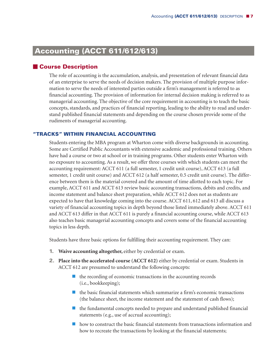# **Accounting (ACCT 611/612/613)**

#### - **Course Description**

The role of accounting is the accumulation, analysis, and presentation of relevant financial data of an enterprise to serve the needs of decision makers. The provision of multiple purpose information to serve the needs of interested parties outside a firm's management is referred to as financial accounting. The provision of information for internal decision making is referred to as managerial accounting. The objective of the core requirement in accounting is to teach the basic concepts, standards, and practices of financial reporting, leading to the ability to read and understand published financial statements and depending on the course chosen provide some of the rudiments of managerial accounting.

#### **"TRACKS" WITHIN FINANCIAL ACCOUNTING**

Students entering the MBA program at Wharton come with diverse backgrounds in accounting. Some are Certified Public Accountants with extensive academic and professional training. Others have had a course or two at school or in training programs. Other students enter Wharton with no exposure to accounting. As a result, we offer three courses with which students can meet the accounting requirement: ACCT 611 (a full semester, 1 credit unit course), ACCT 613 (a full semester, 1 credit unit course) and ACCT 612 (a half semester, 0.5 credit unit course). The difference between them is the material covered and the amount of time allotted to each topic. For example, ACCT 611 and ACCT 613 review basic accounting transactions, debits and credits, and income statement and balance sheet preparation, while ACCT 612 does not as students are expected to have that knowledge coming into the course. ACCT 611, 612 and 613 all discuss a variety of financial accounting topics in depth beyond those listed immediately above. ACCT 611 and ACCT 613 differ in that ACCT 611 is purely a financial accounting course, while ACCT 613 also teaches basic managerial accounting concepts and covers some of the financial accounting topics in less depth.

Students have three basic options for fulfilling their accounting requirement. They can:

- **1. Waive accounting altogether,** either by credential or exam.
- **2. Place into the accelerated course (ACCT 612)** either by credential or exam. Students in ACCT 612 are presumed to understand the following concepts:
	- $\blacksquare$  the recording of economic transactions in the accounting records (i.e., bookkeeping);
	- $\blacksquare$  the basic financial statements which summarize a firm's economic transactions (the balance sheet, the income statement and the statement of cash flows);
	- $\blacksquare$  the fundamental concepts needed to prepare and understand published financial statements (e.g., use of accrual accounting);
	- **h** how to construct the basic financial statements from transactions information and how to recreate the transactions by looking at the financial statements;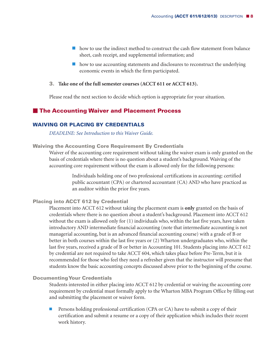- $\blacksquare$  how to use the indirect method to construct the cash flow statement from balance sheet, cash receipt, and supplemental information; and
- $\blacksquare$  how to use accounting statements and disclosures to reconstruct the underlying economic events in which the firm participated.

#### **3. Take one of the full semester courses (ACCT 611 or ACCT 613).**

Please read the next section to decide which option is appropriate for your situation.

#### - **The Accounting Waiver and Placement Process**

#### **WAIVING OR PLACING BY CREDENTIALS**

*DEADLINE: See Introduction to this Waiver Guide.*

#### **Waiving the Accounting Core Requirement By Credentials**

Waiver of the accounting core requirement without taking the waiver exam is only granted on the basis of credentials where there is no question about a student's background. Waiving of the accounting core requirement without the exam is allowed only for the following persons:

> Individuals holding one of two professional certifications in accounting: certified public accountant (CPA) or chartered accountant (CA) AND who have practiced as an auditor within the prior five years.

#### **Placing into ACCT 612 by Credential**

Placement into ACCT 612 without taking the placement exam is **only** granted on the basis of credentials where there is no question about a student's background. Placement into ACCT 612 without the exam is allowed only for (1) individuals who, within the last five years, have taken introductory AND intermediate financial accounting (note that intermediate accounting is not managerial accounting, but is an advanced financial accounting course) with a grade of B or better in both courses within the last five years or (2) Wharton undergraduates who, within the last five years, received a grade of B or better in Accounting 101. Students placing into ACCT 612 by credential are not required to take ACCT 604, which takes place before Pre-Term, but it is recommended for those who feel they need a refresher given that the instructor will presume that students know the basic accounting concepts discussed above prior to the beginning of the course.

#### **DocumentingYour Credentials**

Students interested in either placing into ACCT 612 by credential or waiving the accounting core requirement by credential must formally apply to the Wharton MBA Program Office by filling out and submitting the placement or waiver form.

**Persons holding professional certification (CPA or CA) have to submit a copy of their** certification and submit a resume or a copy of their application which includes their recent work history.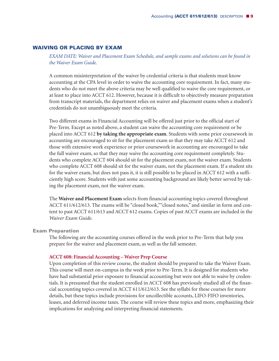#### **WAIVING OR PLACING BY EXAM**

*EXAM DATE: Waiver and Placement Exam Schedule, and sample exams and solutions can be found in the Waiver Exam Guide.*

A common misinterpretation of the waiver by credential criteria is that students must know accounting at the CPA level in order to waive the accounting core requirement. In fact, many students who do not meet the above criteria may be well qualified to waive the core requirement, or at least to place into ACCT 612. However, because it is difficult to objectively measure preparation from transcript materials, the department relies on waiver and placement exams when a student's credentials do not unambiguously meet the criteria.

Two different exams in Financial Accounting will be offered just prior to the official start of Pre-Term. Except as noted above, a student can waive the accounting core requirement or be placed into ACCT 612 **by taking the appropriate exam**. Students with some prior coursework in accounting are encouraged to sit for the placement exam so that they may take ACCT 612 and those with extensive work experience or prior coursework in accounting are encouraged to take the full waiver exam, so that they may waive the accounting core requirement completely. Students who complete ACCT 604 should sit for the placement exam, not the waiver exam. Students who complete ACCT 608 should sit for the waiver exam, not the placement exam. If a student sits for the waiver exam, but does not pass it, it is still possible to be placed in ACCT 612 with a sufficiently high score. Students with just some accounting background are likely better served by taking the placement exam, not the waiver exam.

The **Waiver and Placement Exam** selects from financial accounting topics covered throughout ACCT 611/612/613. The exams will be "closed book,""closed notes," and similar in form and content to past ACCT 611/613 and ACCT 612 exams. Copies of past ACCT exams are included in the *Waiver Exam Guide*.

#### **Exam Preparation**

The following are the accounting courses offered in the week prior to Pre-Term that help you prepare for the waiver and placement exam, as well as the fall semester.

#### **ACCT 608: Financial Accounting – Waiver Prep Course**

Upon completion of this review course, the student should be prepared to take the Waiver Exam. This course will meet on-campus in the week prior to Pre-Term. It is designed for students who have had substantial prior exposure to financial accounting but were not able to waive by credentials. It is presumed that the student enrolled in ACCT 608 has previously studied all of the financial accounting topics covered in ACCT 611/612/613. See the syllabi for these courses for more details, but these topics include provisions for uncollectible accounts, LIFO-FIFO inventories, leases, and deferred income taxes. The course will review these topics and more, emphasizing their implications for analyzing and interpreting financial statements.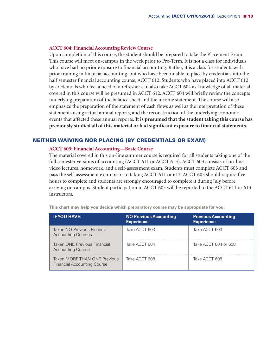#### **ACCT 604: Financial Accounting Review Course**

Upon completion of this course, the student should be prepared to take the Placement Exam. This course will meet on-campus in the week prior to Pre-Term. It is not a class for individuals who have had no prior exposure to financial accounting. Rather, it is a class for students with prior training in financial accounting, but who have been unable to place by credentials into the half semester financial accounting course, ACCT 612. Students who have placed into ACCT 612 by credentials who feel a need of a refresher can also take ACCT 604 as knowledge of all material covered in this course will be presumed in ACCT 612. ACCT 604 will briefly review the concepts underlying preparation of the balance sheet and the income statement. The course will also emphasize the preparation of the statement of cash flows as well as the interpretation of these statements using actual annual reports, and the reconstruction of the underlying economic events that affected these annual reports. **It is presumed that the student taking this course has previously studied all of this material or had significant exposure to financial statements.**

#### **NEITHER WAIVING NOR PLACING (BY CREDENTIALS OR EXAM)**

#### **ACCT 603: Financial Accounting—Basic Course**

The material covered in this on-line summer course is required for all students taking one of the full semester versions of accounting (ACCT 611 or ACCT 613). ACCT 603 consists of on-line video lectures, homework, and a self-assessment exam. Students must complete ACCT 603 and pass the self-assessment exam prior to taking ACCT 611 or 613. ACCT 603 should require five hours to complete and students are strongly encouraged to complete it during July before arriving on campus. Student participation in ACCT 603 will be reported to the ACCT 611 or 613 instructors.

| <b>IF YOU HAVE:</b>                                                | <b>NO Previous Accounting</b><br><b>Experience</b> | <b>Previous Accounting</b><br><b>Experience</b> |
|--------------------------------------------------------------------|----------------------------------------------------|-------------------------------------------------|
| Taken NO Previous Financial<br><b>Accounting Courses</b>           | Take ACCT 603                                      | Take ACCT 603                                   |
| Taken ONE Previous Financial<br><b>Accounting Course</b>           | Take ACCT 604                                      | Take ACCT 604 or 608                            |
| Taken MORE THAN ONE Previous<br><b>Financial Accounting Course</b> | Take ACCT 608                                      | Take ACCT 608                                   |

**This chart may help you decide which preparatory course may be appropriate for you:**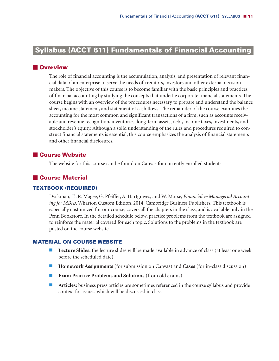# **Syllabus (ACCT 611) Fundamentals of Financial Accountingi**

#### **N**Overview

The role of financial accounting is the accumulation, analysis, and presentation of relevant financial data of an enterprise to serve the needs of creditors, investors and other external decision makers. The objective of this course is to become familiar with the basic principles and practices of financial accounting by studying the concepts that underlie corporate financial statements. The course begins with an overview of the procedures necessary to prepare and understand the balance sheet, income statement, and statement of cash flows. The remainder of the course examines the accounting for the most common and significant transactions of a firm, such as accounts receivable and revenue recognition, inventories, long-term assets, debt, income taxes, investments, and stockholder's equity. Although a solid understanding of the rules and procedures required to construct financial statements is essential, this course emphasizes the analysis of financial statements and other financial disclosures.

#### - **Course Website**

The website for this course can be found on Canvas for currently enrolled students.

#### - **Course Material**

#### **TEXTBOOK (REQUIRED)**

Dyckman, T., R. Magee, G. Pfeiffer, A. Hartgraves, and W. Morse, *Financial & Managerial Accounting for MBAs*, Wharton Custom Edition, 2014, Cambridge Business Publishers. This textbook is especially customized for our course, covers all the chapters in the class, and is available only in the Penn Bookstore. In the detailed schedule below, practice problems from the textbook are assigned to reinforce the material covered for each topic. Solutions to the problems in the textbook are posted on the course website.

#### **MATERIAL ON COURSE WEBSITE**

- **Lecture Slides:** the lecture slides will be made available in advance of class (at least one week before the scheduled date).
- **Homework Assignments** (for submission on Canvas) and **Cases** (for in-class discussion)
- **Exam Practice Problems and Solutions** (from old exams)
- **Articles:** business press articles are sometimes referenced in the course syllabus and provide context for issues, which will be discussed in class.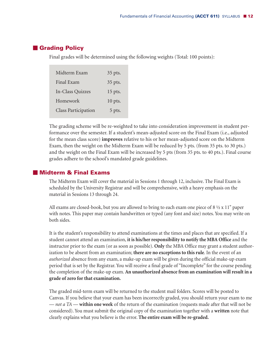#### - **Grading Policy**

Final grades will be determined using the following weights (Total: 100 points):

| Midterm Exam               | 35 pts.   |
|----------------------------|-----------|
| Final Exam                 | 35 pts.   |
| In-Class Quizzes           | 15 pts.   |
| Homework                   | $10$ pts. |
| <b>Class Participation</b> | 5 pts.    |

The grading scheme will be re-weighted to take into consideration improvement in student performance over the semester. If a student's mean-adjusted score on the Final Exam (i.e., adjusted for the mean class score) **improves** relative to his or her mean-adjusted score on the Midterm Exam, then the weight on the Midterm Exam will be reduced by 5 pts. (from 35 pts. to 30 pts.) and the weight on the Final Exam will be increased by 5 pts (from 35 pts. to 40 pts.). Final course grades adhere to the school's mandated grade guidelines.

#### - **Midterm & Final Exams**

The Midterm Exam will cover the material in Sessions 1 through 12, inclusive. The Final Exam is scheduled by the University Registrar and will be comprehensive, with a heavy emphasis on the material in Sessions 13 through 24.

All exams are closed-book, but you are allowed to bring to each exam one piece of  $8\frac{1}{2} \times 11"$  paper with notes. This paper may contain handwritten or typed (any font and size) notes. You may write on both sides.

It is the student's responsibility to attend examinations at the times and places that are specified. If a student cannot attend an examination, **it is his/her responsibility to notify the MBA Office** and the instructor prior to the exam (or as soon as possible). **Only** the MBA Office may grant a student authorization to be absent from an examination; **there are no exceptions to this rule**. In the event of an *authorized* absence from any exam, a make-up exam will be given during the official make-up exam period that is set by the Registrar. You will receive a final grade of "Incomplete" for the course pending the completion of the make-up exam. **An unauthorized absence from an examination will result in a grade of zero for that examination.**

The graded mid-term exam will be returned to the student mail folders. Scores will be posted to Canvas. If you believe that your exam has been incorrectly graded, you should return your exam to me — *not a TA* — **within one week** of the return of the examination (requests made after that will not be considered). You must submit the original copy of the examination together with a **written** note that clearly explains what you believe is the error. **The entire exam will be re-graded.**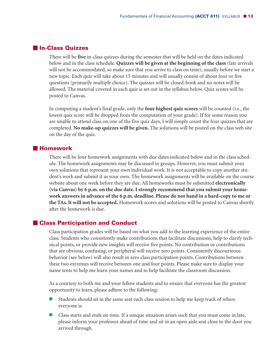#### - **In-Class Quizzes**

There will be **five** in-class quizzes during the semester that will be held on the dates indicated below and in the class schedule. **Quizzes will be given at the beginning of the class** (late arrivals will not be accommodated, so make sure that you arrive to class on time), usually before we start a new topic. Each quiz will take about 15 minutes and will usually consist of about four or five questions (primarily multiple choice). The quizzes will be closed-book and no notes will be allowed. The material covered in each quiz is set out in the syllabus below. Quiz scores will be posted to Canvas.

In computing a student's final grade, only the **four highest quiz scores** will be counted (i.e., the lowest quiz score will be dropped from the computation of your grade). If for some reason you are unable to attend class on one of the five quiz days, I will simply count the four quizzes that are completed. **No make-up quizzes will be given.** The solutions will be posted on the class web site on the day of the quiz.

#### $\blacksquare$  **Homework**

There will be four homework assignments with due dates indicated below and in the class schedule. The homework assignments may be discussed in groups. However, you must submit your own solutions that represent your own individual work. It is not acceptable to copy another student's work and submit it as your own. The homework assignments will be available on the course website about one week before they are due. All homeworks must be submitted **electronically (via Canvas) by 6 p.m. on the due date.I strongly recommend that you submit your homework answers in advance of the 6 p.m. deadline. Please do not hand in a hard-copy to me or the TAs.It will not be accepted.** Homework scores and solutions will be posted to Canvas shortly after the homework is due.

#### - **Class Participation and Conduct**

Class participation grades will be based on what you add to the learning experience of the entire class. Students who consistently make contributions that facilitate discussions, help to clarify technical points, or provide new insights will receive five points. No contribution or contributions that are obvious, confusing, or peripheral will receive zero points. Consistently discourteous behavior (see below) will also result in zero class participation points. Contributions between these two extremes will receive between one and four points. Please make sure to display your name tents to help me learn your names and to help facilitate the classroom discussion.

As a courtesy to both me and your fellow students and to ensure that everyone has the greatest opportunity to learn, please adhere to the following:

- $\blacksquare$  Students should sit in the same seat each class session to help me keep track of where everyone is.
- Class starts and ends on time. If a unique situation arises such that you must come in late, please inform your professor ahead of time and sit in an open aisle seat close to the door you arrived through.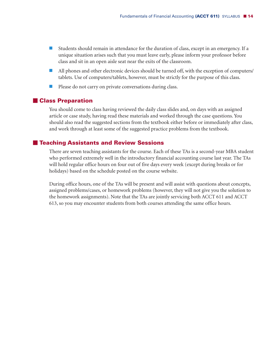- Students should remain in attendance for the duration of class, except in an emergency. If a unique situation arises such that you must leave early, please inform your professor before class and sit in an open aisle seat near the exits of the classroom.
- All phones and other electronic devices should be turned off, with the exception of computers/ tablets. Use of computers/tablets, however, must be strictly for the purpose of this class.
- **Please do not carry on private conversations during class.**

#### - **Class Preparation**

You should come to class having reviewed the daily class slides and, on days with an assigned article or case study, having read these materials and worked through the case questions. You should also read the suggested sections from the textbook either before or immediately after class, and work through at least some of the suggested practice problems from the textbook.

#### - **Teaching Assistants and Review Sessions**

There are seven teaching assistants for the course. Each of these TAs is a second-year MBA student who performed extremely well in the introductory financial accounting course last year. The TAs will hold regular office hours on four out of five days every week (except during breaks or for holidays) based on the schedule posted on the course website.

During office hours, one of the TAs will be present and will assist with questions about concepts, assigned problems/cases, or homework problems (however, they will not give you the solution to the homework assignments). Note that the TAs are jointly servicing both ACCT 611 and ACCT 613, so you may encounter students from both courses attending the same office hours.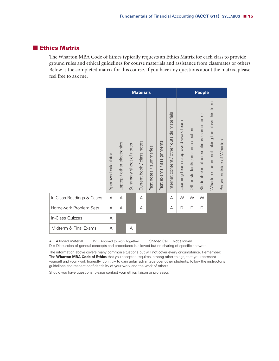#### - **Ethics Matrix**

The Wharton MBA Code of Ethics typically requests an Ethics Matrix for each class to provide ground rules and ethical guidelines for course materials and assistance from classmates or others. Below is the completed matrix for this course. If you have any questions about the matrix, please feel free to ask me.

|                           | <b>Materials</b>    |                            |                        |                            | <b>People</b>          |                               |                                                  |                                    |                                     |                                          |                                                |                           |
|---------------------------|---------------------|----------------------------|------------------------|----------------------------|------------------------|-------------------------------|--------------------------------------------------|------------------------------------|-------------------------------------|------------------------------------------|------------------------------------------------|---------------------------|
|                           | Approved calculator | Laptop / other electronics | Summary sheet of notes | Current book / class notes | Past notes / summaries | assignments<br>exams/<br>Past | materials<br>content / other outside<br>Internet | Learning team / approved work team | section<br>Other student(s) in same | Student(s) in other sections (same term) | Wharton student not taking the class this term | Person outside of Wharton |
| In-Class Readings & Cases | Α                   | А                          |                        | Α                          |                        |                               | A                                                | W                                  | W                                   | W                                        |                                                |                           |
| Homework Problem Sets     | A                   | А                          |                        | Α                          |                        |                               | А                                                | D                                  | D                                   | D                                        |                                                |                           |
| In-Class Quizzes          | A                   |                            |                        |                            |                        |                               |                                                  |                                    |                                     |                                          |                                                |                           |
| Midterm & Final Exams     | A                   |                            | А                      |                            |                        |                               |                                                  |                                    |                                     |                                          |                                                |                           |

A = Allowed material W = Allowed to work together Shaded Cell = Not allowed

D = Discussion of general concepts and procedures is allowed but no sharing of specific answers.

The information above covers many common situations but will not cover every circumstance. Remember: The **Wharton MBA Code of Ethics** that you accepted requires, among other things, that you represent yourself and your work honestly, don't try to gain unfair advantage over other students, follow the instructor's guidelines and respect confidentiality of your work and the work of others.

Should you have questions, please contact your ethics liaison or professor.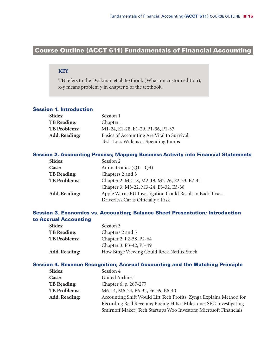### **Course Outline (ACCT 611) Fundamentals of Financial Accounting-**

#### **KEY**

**TB** refers to the Dyckman et al. textbook (Wharton custom edition); x-y means problem y in chapter x of the textbook.

#### **Session 1. Introduction**

| Slides:              | Session 1                                   |
|----------------------|---------------------------------------------|
| <b>TB Reading:</b>   | Chapter 1                                   |
| <b>TB Problems:</b>  | M1-24, E1-28, E1-29, P1-36, P1-37           |
| <b>Add. Reading:</b> | Basics of Accounting Are Vital to Survival; |
|                      | Tesla Loss Widens as Spending Jumps         |

#### **Session 2. Accounting Process; Mapping Business Activity into Financial Statements**

| <b>Slides:</b>       | Session 2                                                |
|----------------------|----------------------------------------------------------|
| Case:                | Animatronics $(Q1 - Q4)$                                 |
| <b>TB Reading:</b>   | Chapters 2 and 3                                         |
| <b>TB Problems:</b>  | Chapter 2: M2-18, M2-19, M2-26, E2-33, E2-44             |
|                      | Chapter 3: M3-22, M3-24, E3-32, E3-38                    |
| <b>Add. Reading:</b> | Apple Warns EU Investigation Could Result in Back Taxes; |
|                      | Driverless Car is Officially a Risk                      |

#### **Session 3. Economics vs. Accounting; Balance Sheet Presentation; Introduction to Accrual Accounting**

| <b>Slides:</b>       | Session 3                                  |
|----------------------|--------------------------------------------|
| <b>TB Reading:</b>   | Chapters 2 and 3                           |
| <b>TB Problems:</b>  | Chapter 2: P2-58, P2-64                    |
|                      | Chapter 3: P3-42, P3-49                    |
| <b>Add. Reading:</b> | How Binge Viewing Could Rock Netflix Stock |

#### **Session 4. Revenue Recognition; Accrual Accounting and the Matching Principle**

| Slides:              | Session 4                                                           |
|----------------------|---------------------------------------------------------------------|
| Case:                | <b>United Airlines</b>                                              |
| <b>TB Reading:</b>   | Chapter 6, p. 267-277                                               |
| <b>TB Problems:</b>  | M6-14, M6-24, E6-32, E6-39, E6-40                                   |
| <b>Add. Reading:</b> | Accounting Shift Would Lift Tech Profits; Zynga Explains Method for |
|                      | Recording Real Revenue; Boeing Hits a Milestone; SEC Investigating  |
|                      | Smirnoff Maker; Tech Startups Woo Investors; Microsoft Financials   |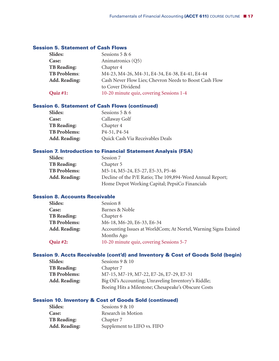#### **Session 5. Statement of Cash Flows**

| Slides:             | Sessions 5 & 6                                         |
|---------------------|--------------------------------------------------------|
| Case:               | Animatronics (Q5)                                      |
| <b>TB</b> Reading:  | Chapter 4                                              |
| <b>TB Problems:</b> | M4-23, M4-26, M4-31, E4-34, E4-38, E4-41, E4-44        |
| Add. Reading:       | Cash Never Flow Lies; Chevron Needs to Boost Cash Flow |
|                     | to Cover Dividend                                      |
| Quiz $#1$ :         | 10-20 minute quiz, covering Sessions 1-4               |
|                     |                                                        |

#### **Session 6. Statement of Cash Flows (continued)**

| <b>Slides:</b>       | Sessions 5 & 6                         |
|----------------------|----------------------------------------|
| <b>Case:</b>         | Callaway Golf                          |
| <b>TB Reading:</b>   | Chapter 4                              |
| <b>TB Problems:</b>  | P <sub>4</sub> -51, P <sub>4</sub> -54 |
| <b>Add. Reading:</b> | Quick Cash Via Receivables Deals       |

#### **Session 7. Introduction to Financial Statement Analysis (FSA)**

| Slides:              | Session 7                                                 |
|----------------------|-----------------------------------------------------------|
| <b>TB Reading:</b>   | Chapter 5                                                 |
| <b>TB Problems:</b>  | M5-14, M5-24, E5-27, E5-33, P5-46                         |
| <b>Add. Reading:</b> | Decline of the P/E Ratio; The 109,894-Word Annual Report; |
|                      | Home Depot Working Capital; PepsiCo Financials            |
|                      |                                                           |

#### **Session 8. Accounts Receivable**

| <b>Slides:</b>       | Session 8                                                       |
|----------------------|-----------------------------------------------------------------|
| Case:                | Barnes & Noble                                                  |
| <b>TB Reading:</b>   | Chapter 6                                                       |
| <b>TB Problems:</b>  | M6-18, M6-20, E6-33, E6-34                                      |
| <b>Add. Reading:</b> | Accounting Issues at WorldCom; At Nortel, Warning Signs Existed |
|                      | Months Ago                                                      |
| Quiz #2:             | 10-20 minute quiz, covering Sessions 5-7                        |
|                      |                                                                 |

#### **Session 9. Accts Receivable (cont'd) and Inventory & Cost of Goods Sold (begin)**

| Slides:              | Sessions 9 & 10                                      |
|----------------------|------------------------------------------------------|
| <b>TB Reading:</b>   | Chapter 7                                            |
| <b>TB Problems:</b>  | M7-15, M7-19, M7-22, E7-26, E7-29, E7-31             |
| <b>Add. Reading:</b> | Big Oil's Accounting; Unraveling Inventory's Riddle; |
|                      | Boeing Hits a Milestone; Chesapeake's Obscure Costs  |

#### **Session 10. Inventory & Cost of Goods Sold (continued)**

| Slides:            | Sessions 9 & 10             |
|--------------------|-----------------------------|
| Case:              | Research in Motion          |
| <b>TB</b> Reading: | Chapter 7                   |
| Add. Reading:      | Supplement to LIFO vs. FIFO |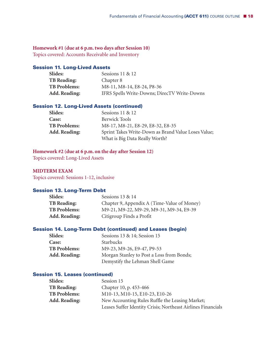#### **Homework #1 (due at 6 p.m. two days after Session 10)**

Topics covered: Accounts Receivable and Inventory

#### **Session 11. Long-Lived Assets**

| <b>Slides:</b>       | Sessions 11 & 12                             |
|----------------------|----------------------------------------------|
| <b>TB Reading:</b>   | Chapter 8                                    |
| <b>TB Problems:</b>  | M8-11, M8-14, E8-24, P8-36                   |
| <b>Add. Reading:</b> | IFRS Spells Write-Downs; DirecTV Write-Downs |

#### **Session 12. Long-Lived Assets (continued)**

| Slides:              | Sessions 11 & 12                                    |
|----------------------|-----------------------------------------------------|
| Case:                | <b>Berwick Tools</b>                                |
| <b>TB Problems:</b>  | M8-17, M8-21, E8-29, E8-32, E8-35                   |
| <b>Add. Reading:</b> | Sprint Takes Write-Down as Brand Value Loses Value; |
|                      | What is Big Data Really Worth?                      |

#### **Homework #2 (due at 6 p.m. on the day after Session 12)**

Topics covered: Long-Lived Assets

#### **MIDTERM EXAM**

Topics covered: Sessions 1-12, inclusive

#### **Session 13. Long-Term Debt**

| Slides:              | Sessions 13 & 14                            |
|----------------------|---------------------------------------------|
| <b>TB Reading:</b>   | Chapter 9, Appendix A (Time-Value of Money) |
| <b>TB Problems:</b>  | M9-21, M9-22, M9-29, M9-31, M9-34, E9-39    |
| <b>Add. Reading:</b> | Citigroup Finds a Profit                    |

#### **Session 14. Long-Term Debt (continued) and Leases (begin)**

| <b>Slides:</b>       | Sessions 13 & 14; Session 15              |
|----------------------|-------------------------------------------|
| <b>Case:</b>         | <b>Starbucks</b>                          |
| <b>TB Problems:</b>  | M9-23, M9-26, E9-47, P9-53                |
| <b>Add. Reading:</b> | Morgan Stanley to Post a Loss from Bonds; |
|                      | Demystify the Lehman Shell Game           |

#### **Session 15. Leases (continued)**

| Slides:              | Session 15                                                   |
|----------------------|--------------------------------------------------------------|
| <b>TB Reading:</b>   | Chapter 10, p. 453-466                                       |
| <b>TB Problems:</b>  | M10-13, M10-15, E10-23, E10-26                               |
| <b>Add. Reading:</b> | New Accounting Rules Ruffle the Leasing Market;              |
|                      | Leases Suffer Identity Crisis; Northeast Airlines Financials |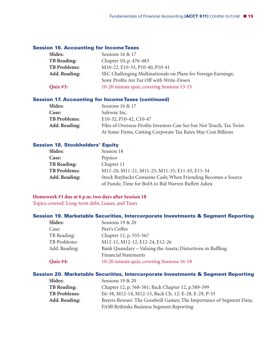#### **Session 16. Accounting for IncomeTaxes**

| <b>Slides:</b>       | Sessions 16 & 17                                              |
|----------------------|---------------------------------------------------------------|
| <b>TB Reading:</b>   | Chapter 10, p. 476-483                                        |
| <b>TB Problems:</b>  | M10-22, E10-33, P10-40, P10-41                                |
| <b>Add. Reading:</b> | SEC Challenging Multinationals on Plans for Foreign Earnings; |
|                      | Sony Profits Are Far Off with Write-Down                      |
| Quiz #3:             | 10-20 minute quiz, covering Sessions 13-15                    |
|                      |                                                               |

#### **Session 17. Accounting for IncomeTaxes (continued)**

| <b>Slides:</b>       | Sessions 16 & 17                                                      |
|----------------------|-----------------------------------------------------------------------|
| <b>Case:</b>         | Safeway Inc.                                                          |
| <b>TB Problems:</b>  | E10-32, P10-42, C10-47                                                |
| <b>Add. Reading:</b> | Piles of Overseas Profits Investors Can See but Not Touch; Tax Twist: |
|                      | At Some Firms, Cutting Corporate Tax Rates May Cost Billions          |

#### **Session 18. Stockholders' Equity**

| Slides:             | Session 18                                                   |
|---------------------|--------------------------------------------------------------|
| Case:               | Pepsico                                                      |
| <b>TB Reading:</b>  | Chapter 11                                                   |
| <b>TB Problems:</b> | M11-20, M11-21, M11-25, M11-35, E11-45, E11-54               |
| Add. Reading:       | Stock Buybacks Consume Cash; When Friending Becomes a Source |
|                     | of Funds; Time for BofA to Bid Warren Buffett Adieu          |

#### **Homework #3 due at 6 p.m. two days after Session 18**

Topics covered: Long-term debt, Leases, and Taxes

#### **Session 19. Marketable Securities, Intercorporate Investments & Segment Reporting**

| <b>Slides:</b>  | Sessions 19 & 20                                            |
|-----------------|-------------------------------------------------------------|
| Case:           | Peet's Coffee                                               |
| TB Reading:     | Chapter 12, p. 555-567                                      |
| TB Problems:    | M12-11, M12-12, E12-24, E12-26                              |
| Add. Reading:   | Bank Quandary – Valuing the Assets; Distortions in Baffling |
|                 | <b>Financial Statements</b>                                 |
| <b>Quiz #4:</b> | 10-20 minute quiz, covering Sessions 16-18                  |
|                 |                                                             |

#### **Session 20. Marketable Securities, Intercorporate Investments & Segment Reporting**

| <b>Slides:</b>       | Sessions 19 & 20                                                   |
|----------------------|--------------------------------------------------------------------|
| <b>TB Reading:</b>   | Chapter 12, p. 568-581; Back Chapter 12, p.589-599                 |
| <b>TB Problems:</b>  | E6-38, M12-14, M12-15, Back Ch. 12: E-28, E-29, P-33               |
| <b>Add. Reading:</b> | Buyers Beware: The Goodwill Games; The Importance of Segment Data; |
|                      | FASB Rethinks Business Segment Reporting                           |
|                      |                                                                    |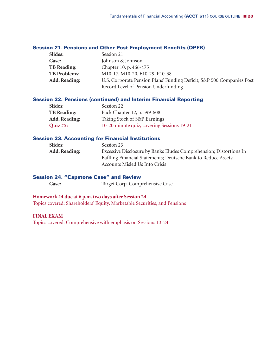#### **Session 21. Pensions and Other Post-Employment Benefits (OPEB)**

| <b>Slides:</b>       | Session 21                                                            |
|----------------------|-----------------------------------------------------------------------|
| <b>Case:</b>         | Johnson & Johnson                                                     |
| <b>TB Reading:</b>   | Chapter 10, p. 466-475                                                |
| <b>TB Problems:</b>  | M10-17, M10-20, E10-29, P10-38                                        |
| <b>Add. Reading:</b> | U.S. Corporate Pension Plans' Funding Deficit; S&P 500 Companies Post |
|                      | Record Level of Pension Underfunding                                  |

#### **Session 22. Pensions (continued) and Interim Financial Reporting**

| <b>Slides:</b>       | Session 22                                 |
|----------------------|--------------------------------------------|
| <b>TB Reading:</b>   | Back Chapter 12, p. 599-608                |
| <b>Add. Reading:</b> | Taking Stock of S&P Earnings               |
| <b>Quiz #5:</b>      | 10-20 minute quiz, covering Sessions 19-21 |

#### **Session 23. Accounting for Financial Institutions**

| Slides:              | Session 23                                                         |
|----------------------|--------------------------------------------------------------------|
| <b>Add. Reading:</b> | Excessive Disclosure by Banks Eludes Comprehension; Distortions In |
|                      | Baffling Financial Statements; Deutsche Bank to Reduce Assets;     |
|                      | Accounts Misled Us Into Crisis                                     |

#### **Session 24. "Capstone Case" and Review**

**Case:** Target Corp. Comprehensive Case

#### **Homework #4 due at 6 p.m. two days after Session 24**

Topics covered: Shareholders' Equity, Marketable Securities, and Pensions

#### **FINAL EXAM**

Topics covered: Comprehensive with emphasis on Sessions 13-24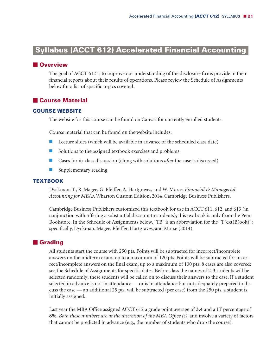# **Syllabus (ACCT 612) Accelerated Financial Accountingi**

#### **N**Overview

The goal of ACCT 612 is to improve our understanding of the disclosure firms provide in their financial reports about their results of operations. Please review the Schedule of Assignments below for a list of specific topics covered.

#### - **Course Material**

#### **COURSE WEBSITE**

The website for this course can be found on Canvas for currently enrolled students.

Course material that can be found on the website includes:

- **Lecture slides (which will be available in advance of the scheduled class date)**
- Solutions to the assigned textbook exercises and problems
- Cases for in-class discussion (along with solutions *after* the case is discussed)
- **Supplementary reading**

#### **TEXTBOOK**

Dyckman, T., R. Magee, G. Pfeiffer, A. Hartgraves, and W. Morse, *Financial & Managerial Accounting for MBAs*, Wharton Custom Edition, 2014, Cambridge Business Publishers.

Cambridge Business Publishers customized this textbook for use in ACCT 611, 612, and 613 (in conjunction with offering a substantial discount to students); this textbook is only from the Penn Bookstore. In the Schedule of Assignments below, "TB" is an abbreviation for the "T(ext)B(ook)": specifically, Dyckman, Magee, Pfeiffer, Hartgraves, and Morse (2014).

#### **E** Grading

All students start the course with 250 pts. Points will be subtracted for incorrect/incomplete answers on the midterm exam, up to a maximum of 120 pts. Points will be subtracted for incorrect/incomplete answers on the final exam, up to a maximum of 130 pts. 8 cases are also covered: see the Schedule of Assignments for specific dates. Before class the names of 2-3 students will be selected randomly; these students will be called on to discuss their answers to the case. If a student selected in advance is not in attendance — or is in attendance but not adequately prepared to discuss the case — an additional 25 pts. will be subtracted (per case) from the 250 pts. a student is initially assigned.

Last year the MBA Office assigned ACCT 612 a grade point average of **3.4** and a LT percentage of **8%**. *Both these numbers are at the discretion of the MBA Office (!)*, and involve a variety of factors that cannot be predicted in advance (e.g., the number of students who drop the course).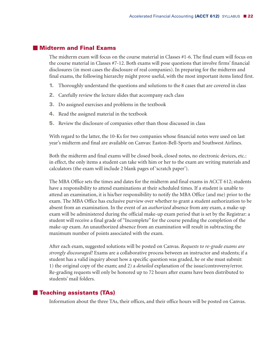#### - **Midterm and Final Exams**

The midterm exam will focus on the course material in Classes #1-6. The final exam will focus on the course material in Classes #7-12. Both exams will pose questions that involve firms' financial disclosures (in most cases the disclosure of real companies). In preparing for the midterm and final exams, the following hierarchy might prove useful, with the most important items listed first.

- **1.** Thoroughly understand the questions and solutions to the 8 cases that are covered in class
- **2.** Carefully review the lecture slides that accompany each class
- **3.** Do assigned exercises and problems in the textbook
- **4.** Read the assigned material in the textbook
- **5.** Review the disclosure of companies other than those discussed in class

With regard to the latter, the 10-Ks for two companies whose financial notes were used on last year's midterm and final are available on Canvas: Easton-Bell-Sports and Southwest Airlines.

Both the midterm and final exams will be closed book, closed notes, no electronic devices, etc.: in effect, the only items a student can take with him or her to the exam are writing materials and calculators (the exam will include 2 blank pages of 'scratch paper').

The MBA Office sets the times and dates for the midterm and final exams in ACCT 612; students have a responsibility to attend examinations at their scheduled times. If a student is unable to attend an examination, it is his/her responsibility to notify the MBA Office (and me) prior to the exam. The MBA Office has exclusive purview over whether to grant a student authorization to be absent from an examination. In the event of an *authorized* absence from any exam, a make-up exam will be administered during the official make-up exam period that is set by the Registrar: a student will receive a final grade of "Incomplete" for the course pending the completion of the make-up exam. An unauthorized absence from an examination will result in subtracting the maximum number of points associated with the exam.

After each exam, suggested solutions will be posted on Canvas. *Requests to re-grade exams are strongly discouraged!* Exams are a collaborative process between an instructor and students; if a student has a valid inquiry about how a specific question was graded, he or she must submit: 1) the original copy of the exam; and 2) a *detailed* explanation of the issue/controversy/error. Re-grading requests will only be honored up to 72 hours after exams have been distributed to students' mail folders.

#### - **Teaching assistants (TAs)**

Information about the three TAs, their offices, and their office hours will be posted on Canvas.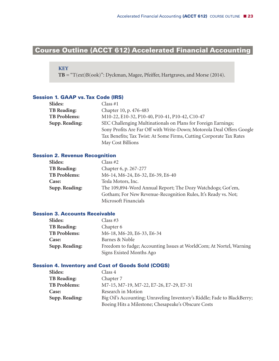# **Course Outline (ACCT 612) Accelerated Financial Accounting-**

#### **KEY**

**TB** = "T(ext)B(ook)": Dyckman, Magee, Pfeiffer, Hartgraves, and Morse (2014).

#### **Session 1. GAAP vs.Tax Code (IRS)**

| Slides:             | Class #1                                                              |
|---------------------|-----------------------------------------------------------------------|
| <b>TB Reading:</b>  | Chapter 10, p. 476-483                                                |
| <b>TB Problems:</b> | M10-22, E10-32, P10-40, P10-41, P10-42, C10-47                        |
| Supp. Reading:      | SEC Challenging Multinationals on Plans for Foreign Earnings;         |
|                     | Sony Profits Are Far Off with Write-Down; Motorola Deal Offers Google |
|                     | Tax Benefits; Tax Twist: At Some Firms, Cutting Corporate Tax Rates   |
|                     | May Cost Billions                                                     |

#### **Session 2. Revenue Recognition**

| <b>Slides:</b>      | Class #2                                                       |
|---------------------|----------------------------------------------------------------|
| <b>TB Reading:</b>  | Chapter 6, p. 267-277                                          |
| <b>TB Problems:</b> | M6-14, M6-24, E6-32, E6-39, E6-40                              |
| <b>Case:</b>        | Tesla Motors, Inc.                                             |
| Supp. Reading:      | The 109,894-Word Annual Report; The Dozy Watchdogs; Got'em,    |
|                     | Gotham; For New Revenue-Recognition Rules, It's Ready vs. Not; |
|                     | Microsoft Financials                                           |

#### **Session 3. Accounts Receivable**

| <b>Slides:</b>      | Class #3                                                            |
|---------------------|---------------------------------------------------------------------|
| <b>TB Reading:</b>  | Chapter 6                                                           |
| <b>TB Problems:</b> | M6-18, M6-20, E6-33, E6-34                                          |
| <b>Case:</b>        | Barnes & Noble                                                      |
| Supp. Reading:      | Freedom to fudge; Accounting Issues at WorldCom; At Nortel, Warning |
|                     | Signs Existed Months Ago                                            |

#### **Session 4. Inventory and Cost of Goods Sold (COGS)**

| Slides:             | Class 4                                                                  |
|---------------------|--------------------------------------------------------------------------|
| <b>TB Reading:</b>  | Chapter 7                                                                |
| <b>TB Problems:</b> | M7-15, M7-19, M7-22, E7-26, E7-29, E7-31                                 |
| <b>Case:</b>        | Research in Motion                                                       |
| Supp. Reading:      | Big Oil's Accounting; Unraveling Inventory's Riddle; Fade to BlackBerry; |
|                     | Boeing Hits a Milestone; Chesapeake's Obscure Costs                      |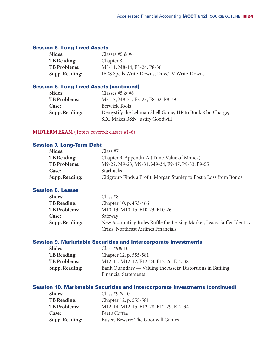#### **Session 5. Long-Lived Assets**

| <b>Slides:</b>      | Classes #5 & #6                              |
|---------------------|----------------------------------------------|
| <b>TB Reading:</b>  | Chapter 8                                    |
| <b>TB Problems:</b> | M8-11, M8-14, E8-24, P8-36                   |
| Supp. Reading:      | IFRS Spells Write-Downs; DirecTV Write-Downs |

#### **Session 6. Long-Lived Assets (continued)**

| Slides:             | Classes #5 & #6                                                                            |
|---------------------|--------------------------------------------------------------------------------------------|
| <b>TB Problems:</b> | M8-17, M8-21, E8-28, E8-32, P8-39                                                          |
| Case:               | Berwick Tools                                                                              |
| Supp. Reading:      | Demystify the Lehman Shell Game; HP to Book 8 bn Charge;<br>SEC Makes B&N Justify Goodwill |

#### **MIDTERM EXAM** (Topics covered: classes #1-6)

#### **Session 7. Long-Term Debt**

| Slides:             | Class #7                                                           |
|---------------------|--------------------------------------------------------------------|
| <b>TB Reading:</b>  | Chapter 9, Appendix A (Time-Value of Money)                        |
| <b>TB Problems:</b> | M9-22, M9-23, M9-31, M9-34, E9-47, P9-53, P9-55                    |
| Case:               | <b>Starbucks</b>                                                   |
| Supp. Reading:      | Citigroup Finds a Profit; Morgan Stanley to Post a Loss from Bonds |

#### **Session 8. Leases**

| <b>Slides:</b>      | Class #8                                                               |
|---------------------|------------------------------------------------------------------------|
| <b>TB Reading:</b>  | Chapter 10, p. 453-466                                                 |
| <b>TB Problems:</b> | M10-13, M10-15, E10-23, E10-26                                         |
| <b>Case:</b>        | Safeway                                                                |
| Supp. Reading:      | New Accounting Rules Ruffle the Leasing Market; Leases Suffer Identity |
|                     | Crisis; Northeast Airlines Financials                                  |

#### **Session 9. Marketable Securities and Intercorporate Investments**

| <b>Slides:</b>      | Class #9 $\&$ 10                                            |
|---------------------|-------------------------------------------------------------|
| <b>TB Reading:</b>  | Chapter 12, p. 555-581                                      |
| <b>TB Problems:</b> | M12-11, M12-12, E12-24, E12-26, E12-38                      |
| Supp. Reading:      | Bank Quandary — Valuing the Assets; Distortions in Baffling |
|                     | <b>Financial Statements</b>                                 |

#### **Session 10. Marketable Securities and Intercorporate Investments (continued)**

| Slides:             | Class #9 $& 10$                        |
|---------------------|----------------------------------------|
| <b>TB</b> Reading:  | Chapter 12, p. 555-581                 |
| <b>TB Problems:</b> | M12-14, M12-15, E12-28, E12-29, E12-34 |
| Case:               | Peet's Coffee                          |
| Supp. Reading:      | Buyers Beware: The Goodwill Games      |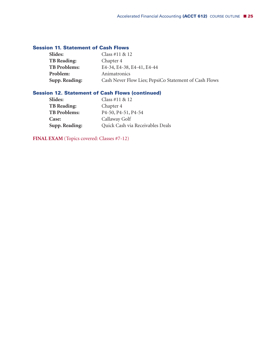#### **Session 11. Statement of Cash Flows**

| <b>Slides:</b>      | Class #11 $& 12$                                      |
|---------------------|-------------------------------------------------------|
| <b>TB Reading:</b>  | Chapter 4                                             |
| <b>TB Problems:</b> | E4-34, E4-38, E4-41, E4-44                            |
| Problem:            | Animatronics                                          |
| Supp. Reading:      | Cash Never Flow Lies; PepsiCo Statement of Cash Flows |

#### **Session 12. Statement of Cash Flows (continued)**

| <b>Slides:</b>      | Class #11 $& 12$                                           |
|---------------------|------------------------------------------------------------|
| <b>TB Reading:</b>  | Chapter 4                                                  |
| <b>TB Problems:</b> | P <sub>4</sub> -50, P <sub>4</sub> -51, P <sub>4</sub> -54 |
| <b>Case:</b>        | Callaway Golf                                              |
| Supp. Reading:      | Quick Cash via Receivables Deals                           |

**FINAL EXAM** (Topics covered: Classes #7-12)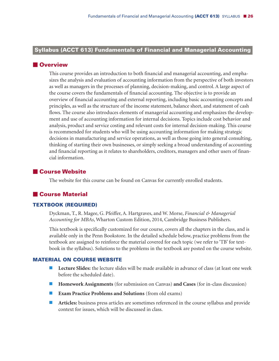#### **Syllabus (ACCT 613) Fundamentals of Financial and Managerial Accountingi**

#### **N**Overview

This course provides an introduction to both financial and managerial accounting, and emphasizes the analysis and evaluation of accounting information from the perspective of both investors as well as managers in the processes of planning, decision-making, and control. A large aspect of the course covers the fundamentals of financial accounting. The objective is to provide an overview of financial accounting and external reporting, including basic accounting concepts and principles, as well as the structure of the income statement, balance sheet, and statement of cash flows. The course also introduces elements of managerial accounting and emphasizes the development and use of accounting information for internal decisions. Topics include cost behavior and analysis, product and service costing and relevant costs for internal decision-making. This course is recommended for students who will be using accounting information for making strategic decisions in manufacturing and service operations, as well as those going into general consulting, thinking of starting their own businesses, or simply seeking a broad understanding of accounting and financial reporting as it relates to shareholders, creditors, managers and other users of financial information.

#### - **Course Website**

The website for this course can be found on Canvas for currently enrolled students.

#### - **Course Material**

#### **TEXTBOOK (REQUIRED)**

Dyckman, T., R. Magee, G. Pfeiffer, A. Hartgraves, and W. Morse, *Financial & Managerial Accounting for MBAs*, Wharton Custom Edition, 2014, Cambridge Business Publishers.

This textbook is specifically customized for our course, covers all the chapters in the class, and is available only in the Penn Bookstore. In the detailed schedule below, practice problems from the textbook are assigned to reinforce the material covered for each topic (we refer to 'TB' for textbook in the syllabus). Solutions to the problems in the textbook are posted on the course website.

#### **MATERIAL ON COURSE WEBSITE**

- **Lecture Slides:** the lecture slides will be made available in advance of class (at least one week before the scheduled date).
- **Homework Assignments** (for submission on Canvas) **and Cases** (for in-class discussion)
- **Exam Practice Problems and Solutions** (from old exams)
- **Articles:** business press articles are sometimes referenced in the course syllabus and provide context for issues, which will be discussed in class.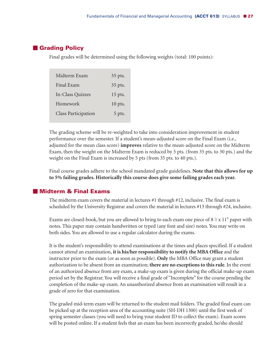#### - **Grading Policy**

Final grades will be determined using the following weights (total: 100 points):

| 35 pts.   |
|-----------|
| 35 pts.   |
| 15 pts.   |
| $10$ pts. |
| 5 pts.    |
|           |

The grading scheme will be re-weighted to take into consideration improvement in student performance over the semester. If a student's mean-adjusted score on the Final Exam (i.e., adjusted for the mean class score) **improves** relative to the mean-adjusted score on the Midterm Exam, then the weight on the Midterm Exam is reduced by 5 pts. (from 35 pts. to 30 pts.) and the weight on the Final Exam is increased by 5 pts (from 35 pts. to 40 pts.).

Final course grades adhere to the school mandated grade guidelines. **Note that this allows for up to 5% failing grades. Historically this course does give some failing grades each year.**

#### - **Midterm & Final Exams**

The midterm exam covers the material in lectures #1 through #12, inclusive. The final exam is scheduled by the University Registrar and covers the material in lectures #13 through #24, inclusive.

Exams are closed-book, but you are allowed to bring to each exam one piece of  $8\frac{1}{2}$  x  $11"$  paper with notes. This paper may contain handwritten or typed (any font and size) notes.You may write on both sides.You are allowed to use a regular calculator during the exams.

It is the student's responsibility to attend examinations at the times and places specified. If a student cannot attend an examination, **it is his/herresponsibility to notify the MBA Office** and the instructor prior to the exam (or as soon as possible). **Only** the MBA Office may grant a student authorization to be absent from an examination; **there are no exceptionsto thisrule**. In the event of an authorized absence from any exam, a make-up exam is given during the official make-up exam period set by the Registrar.You will receive a final grade of "Incomplete" for the course pending the completion of the make-up exam.An unauthorized absence from an examination will result in a grade of zero for that examination.

The graded mid-term exam will be returned to the student mail folders. The graded final exam can be picked up at the reception area of the accounting suite (SH-DH 1300) until the first week of spring semester classes (you will need to bring your student ID to collect the exam). Exam scores will be posted online. If a student feels that an exam has been incorrectly graded, he/she should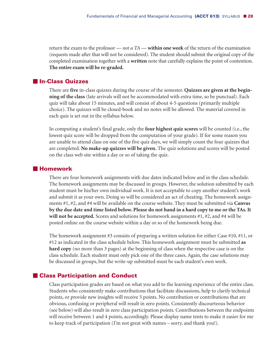return the exam to the professor — *not a TA* — **within one week** of the return of the examination (requests made after that will not be considered). The student should submit the original copy of the completed examination together with a **written** note that carefully explains the point of contention. **The entire exam will be re-graded.**

#### - **In-Class Quizzes**

There are **five** in-class quizzes during the course of the semester. **Quizzes are given at the beginning of the class** (late arrivals will not be accommodated with extra time, so be punctual). Each quiz will take about 15 minutes, and will consist of about 4-5 questions (primarily multiple choice). The quizzes will be closed-book and no notes will be allowed. The material covered in each quiz is set out in the syllabus below.

In computing a student's final grade, only the **four highest quiz scores** will be counted (i.e., the lowest quiz score will be dropped from the computation of your grade). If for some reason you are unable to attend class on one of the five quiz days, we will simply count the four quizzes that are completed. **No make-up quizzes will be given.** The quiz solutions and scores will be posted on the class web site within a day or so of taking the quiz.

#### $\blacksquare$  **Homework**

There are four homework assignments with due dates indicated below and in the class schedule. The homework assignments may be discussed in groups. However, the solution submitted by each student must be his/her own individual work. It is not acceptable to copy another student's work and submit it as your own. Doing so will be considered an act of cheating. The homework assignments #1, #2, and #4 will be available on the course website. They must be submitted via **Canvas** by the due date and time listed below. Please do not hand in a hard copy to me or the TAs. It **will not be accepted.** Scores and solutions for homework assignments #1, #2, and #4 will be posted online on the course website within a day or so of the homework being due.

The homework assignment #3 consists of preparing a written solution for either Case #10, #11, or #12 as indicated in the class schedule below. This homework assignment must be submitted **as hard copy** (no more than 3 pages) at the beginning of class when the respective case is on the class schedule. Each student must only pick one of the three cases. Again, the case solutions may be discussed in groups, but the write-up submitted must be each student's own work.

#### - **Class Participation and Conduct**

Class participation grades are based on what you add to the learning experience of the entire class. Students who consistently make contributions that facilitate discussions, help to clarify technical points, or provide new insights will receive 5 points. No contribution or contributions that are obvious, confusing or peripheral will result in zero points. Consistently discourteous behavior (see below) will also result in zero class participation points. Contributions between the endpoints will receive between 1 and 4 points, accordingly. Please display name tents to make it easier for me to keep track of participation (I'm not great with names – sorry, and thank you!).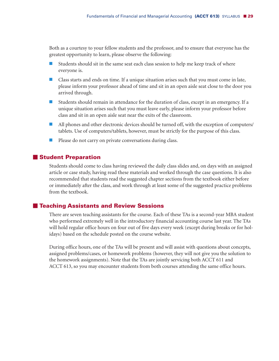Both as a courtesy to your fellow students and the professor, and to ensure that everyone has the greatest opportunity to learn, please observe the following:

- Students should sit in the same seat each class session to help me keep track of where everyone is.
- Class starts and ends on time. If a unique situation arises such that you must come in late, please inform your professor ahead of time and sit in an open aisle seat close to the door you arrived through.
- Students should remain in attendance for the duration of class, except in an emergency. If a unique situation arises such that you must leave early, please inform your professor before class and sit in an open aisle seat near the exits of the classroom.
- All phones and other electronic devices should be turned off, with the exception of computers/ tablets. Use of computers/tablets, however, must be strictly for the purpose of this class.
- **Please do not carry on private conversations during class.**

#### $\blacksquare$  **Student Preparation**

Students should come to class having reviewed the daily class slides and, on days with an assigned article or case study, having read these materials and worked through the case questions. It is also recommended that students read the suggested chapter sections from the textbook either before or immediately after the class, and work through at least some of the suggested practice problems from the textbook.

#### - **Teaching Assistants and Review Sessions**

There are seven teaching assistants for the course. Each of these TAs is a second-year MBA student who performed extremely well in the introductory financial accounting course last year. The TAs will hold regular office hours on four out of five days every week (except during breaks or for holidays) based on the schedule posted on the course website.

During office hours, one of the TAs will be present and will assist with questions about concepts, assigned problems/cases, or homework problems (however, they will not give you the solution to the homework assignments). Note that the TAs are jointly servicing both ACCT 611 and ACCT 613, so you may encounter students from both courses attending the same office hours.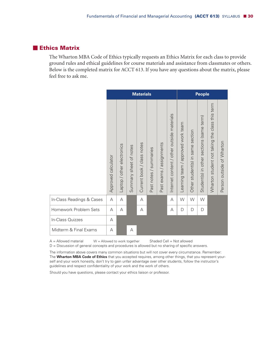#### - **Ethics Matrix**

The Wharton MBA Code of Ethics typically requests an Ethics Matrix for each class to provide ground rules and ethical guidelines for course materials and assistance from classmates or others. Below is the completed matrix for ACCT 613. If you have any questions about the matrix, please feel free to ask me.

|                           | <b>Materials</b>    |                            |                        |                            | <b>People</b>          |                             |                                               |                                                                     |                                        |                                          |                                                |                           |
|---------------------------|---------------------|----------------------------|------------------------|----------------------------|------------------------|-----------------------------|-----------------------------------------------|---------------------------------------------------------------------|----------------------------------------|------------------------------------------|------------------------------------------------|---------------------------|
|                           | Approved calculator | Laptop / other electronics | Summary sheet of notes | Current book / class notes | Past notes / summaries | exams / assignments<br>Past | materials<br>Internet content / other outside | approved work team<br>$\overline{\phantom{0}}$<br>team,<br>Learning | section<br>same<br>Other student(s) in | Student(s) in other sections (same term) | Wharton student not taking the class this term | Person outside of Wharton |
| In-Class Readings & Cases | A                   | А                          |                        | A                          |                        |                             | A                                             | W                                                                   | W                                      | W                                        |                                                |                           |
| Homework Problem Sets     | A                   | А                          |                        | А                          |                        |                             | А                                             | D                                                                   | D                                      | D                                        |                                                |                           |
| In-Class Quizzes          | A                   |                            |                        |                            |                        |                             |                                               |                                                                     |                                        |                                          |                                                |                           |
| Midterm & Final Exams     | A                   |                            | A                      |                            |                        |                             |                                               |                                                                     |                                        |                                          |                                                |                           |

 $A =$  Allowed material  $W =$  Allowed to work together Shaded Cell = Not allowed

D = Discussion of general concepts and procedures is allowed but no sharing of specific answers.

The information above covers many common situations but will not cover every circumstance. Remember: The **Wharton MBA Code of Ethics** that you accepted requires, among other things, that you represent yourself and your work honestly, don't try to gain unfair advantage over other students, follow the instructor's guidelines and respect confidentiality of your work and the work of others.

Should you have questions, please contact your ethics liaison or professor.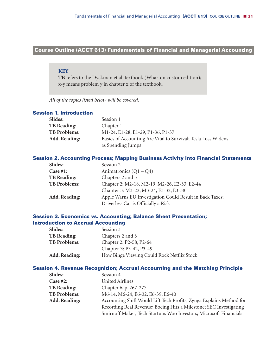#### **Course Outline (ACCT 613) Fundamentals of Financial and Managerial Accounting-**

#### **KEY**

**TB** refers to the Dyckman et al. textbook (Wharton custom edition); x-y means problem y in chapter x of the textbook.

*All of the topics listed below will be covered.*

#### **Session 1. Introduction**

| <b>Slides:</b>       | Session 1                                                     |
|----------------------|---------------------------------------------------------------|
| <b>TB Reading:</b>   | Chapter 1                                                     |
| <b>TB Problems:</b>  | M1-24, E1-28, E1-29, P1-36, P1-37                             |
| <b>Add. Reading:</b> | Basics of Accounting Are Vital to Survival; Tesla Loss Widens |
|                      | as Spending Jumps                                             |

#### **Session 2. Accounting Process; Mapping Business Activity into Financial Statements**

| <b>Slides:</b>       | Session 2                                                |
|----------------------|----------------------------------------------------------|
| Case $#1$ :          | Animatronics $(Q1 - Q4)$                                 |
| <b>TB Reading:</b>   | Chapters 2 and 3                                         |
| <b>TB Problems:</b>  | Chapter 2: M2-18, M2-19, M2-26, E2-33, E2-44             |
|                      | Chapter 3: M3-22, M3-24, E3-32, E3-38                    |
| <b>Add. Reading:</b> | Apple Warns EU Investigation Could Result in Back Taxes; |
|                      | Driverless Car is Officially a Risk                      |

#### **Session 3. Economics vs. Accounting; Balance Sheet Presentation; Introduction to Accrual Accounting**

| <b>Slides:</b>       | Session 3                                  |
|----------------------|--------------------------------------------|
| <b>TB Reading:</b>   | Chapters 2 and 3                           |
| <b>TB Problems:</b>  | Chapter 2: P2-58, P2-64                    |
|                      | Chapter 3: P3-42, P3-49                    |
| <b>Add. Reading:</b> | How Binge Viewing Could Rock Netflix Stock |

#### **Session 4. Revenue Recognition; Accrual Accounting and the Matching Principle**

| <b>Slides:</b>       | Session 4                                                           |
|----------------------|---------------------------------------------------------------------|
| Case $#2$ :          | <b>United Airlines</b>                                              |
| <b>TB Reading:</b>   | Chapter 6, p. 267-277                                               |
| <b>TB Problems:</b>  | M6-14, M6-24, E6-32, E6-39, E6-40                                   |
| <b>Add. Reading:</b> | Accounting Shift Would Lift Tech Profits; Zynga Explains Method for |
|                      | Recording Real Revenue; Boeing Hits a Milestone; SEC Investigating  |
|                      | Smirnoff Maker; Tech Startups Woo Investors; Microsoft Financials   |
|                      |                                                                     |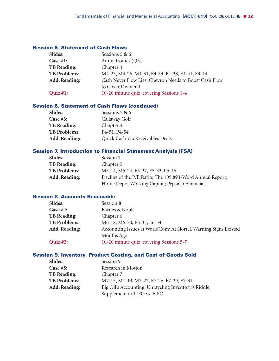#### **Session 5. Statement of Cash Flows**

| Slides:             | Sessions 5 & 6                                         |
|---------------------|--------------------------------------------------------|
| Case $#1$ :         | Animatronics (Q5)                                      |
| <b>TB</b> Reading:  | Chapter 4                                              |
| <b>TB Problems:</b> | M4-23, M4-26, M4-31, E4-34, E4-38, E4-41, E4-44        |
| Add. Reading:       | Cash Never Flow Lies; Chevron Needs to Boost Cash Flow |
|                     | to Cover Dividend                                      |
| Quiz #1:            | 10-20 minute quiz, covering Sessions 1-4               |

#### **Session 6. Statement of Cash Flows (continued)**

| <b>Slides:</b>       | Sessions 5 & 6                         |
|----------------------|----------------------------------------|
| Case #3:             | Callaway Golf                          |
| <b>TB Reading:</b>   | Chapter 4                              |
| <b>TB Problems:</b>  | P <sub>4</sub> -51, P <sub>4</sub> -54 |
| <b>Add. Reading:</b> | Quick Cash Via Receivables Deals       |

#### **Session 7. Introduction to Financial Statement Analysis (FSA)**

| Slides:              | Session 7                                                 |
|----------------------|-----------------------------------------------------------|
| <b>TB Reading:</b>   | Chapter 5                                                 |
| <b>TB Problems:</b>  | M5-14, M5-24, E5-27, E5-33, P5-46                         |
| <b>Add. Reading:</b> | Decline of the P/E Ratio; The 109,894-Word Annual Report; |
|                      | Home Depot Working Capital; PepsiCo Financials            |
|                      |                                                           |

#### **Session 8. Accounts Receivable**

| <b>Slides:</b>       | Session 8                                                       |
|----------------------|-----------------------------------------------------------------|
| Case $#4$ :          | Barnes & Noble                                                  |
| <b>TB Reading:</b>   | Chapter 6                                                       |
| <b>TB Problems:</b>  | M6-18, M6-20, E6-33, E6-34                                      |
| <b>Add. Reading:</b> | Accounting Issues at WorldCom; At Nortel, Warning Signs Existed |
|                      | Months Ago                                                      |
| Quiz #2:             | 10-20 minute quiz, covering Sessions 5-7                        |
|                      |                                                                 |

#### **Session 9. Inventory, Product Costing, and Cost of Goods Sold**

| Slides:             | Session 9                                            |
|---------------------|------------------------------------------------------|
| Case $#5:$          | Research in Motion                                   |
| <b>TB</b> Reading:  | Chapter 7                                            |
| <b>TB Problems:</b> | M7-15, M7-19, M7-22, E7-26, E7-29, E7-31             |
| Add. Reading:       | Big Oil's Accounting; Unraveling Inventory's Riddle; |
|                     | Supplement to LIFO vs. FIFO                          |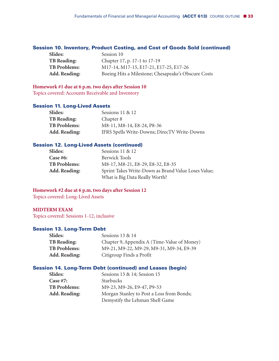#### **Session 10. Inventory, Product Costing, and Cost of Goods Sold (continued)**

| <b>Slides:</b>       | Session 10                                          |
|----------------------|-----------------------------------------------------|
| <b>TB Reading:</b>   | Chapter 17, p. 17-1 to 17-19                        |
| <b>TB Problems:</b>  | M17-14, M17-15, E17-21, E17-25, E17-26              |
| <b>Add. Reading:</b> | Boeing Hits a Milestone; Chesapeake's Obscure Costs |

#### **Homework #1 due at 6 p.m. two days after Session 10**

Topics covered: Accounts Receivable and Inventory

#### **Session 11. Long-Lived Assets**

| <b>Slides:</b>       | Sessions $11 \& 12$                          |
|----------------------|----------------------------------------------|
| <b>TB Reading:</b>   | Chapter 8                                    |
| <b>TB Problems:</b>  | M8-11, M8-14, E8-24, P8-36                   |
| <b>Add. Reading:</b> | IFRS Spells Write-Downs; DirecTV Write-Downs |

#### **Session 12. Long-Lived Assets (continued)**

| Slides:             | Sessions 11 & 12                                    |
|---------------------|-----------------------------------------------------|
| Case #6:            | <b>Berwick Tools</b>                                |
| <b>TB</b> Problems: | M8-17, M8-21, E8-29, E8-32, E8-35                   |
| Add. Reading:       | Sprint Takes Write-Down as Brand Value Loses Value; |
|                     | What is Big Data Really Worth?                      |

#### **Homework #2 due at 6 p.m. two days after Session 12**

Topics covered: Long-Lived Assets

#### **MIDTERM EXAM**

Topics covered: Sessions 1-12, inclusive

#### **Session 13. Long-Term Debt**

| Sessions 13 & 14                            |
|---------------------------------------------|
| Chapter 9, Appendix A (Time-Value of Money) |
| M9-21, M9-22, M9-29, M9-31, M9-34, E9-39    |
| Citigroup Finds a Profit                    |
|                                             |

#### **Session 14. Long-Term Debt (continued) and Leases (begin)**

| Slides:             | Sessions 13 & 14; Session 15              |
|---------------------|-------------------------------------------|
| Case $#7$ :         | Starbucks                                 |
| <b>TB</b> Problems: | M9-23, M9-26, E9-47, P9-53                |
| Add. Reading:       | Morgan Stanley to Post a Loss from Bonds; |
|                     | Demystify the Lehman Shell Game           |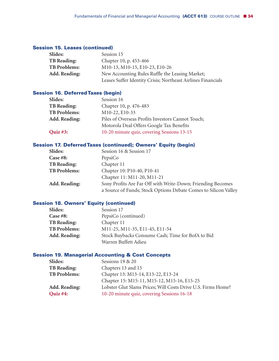#### **Session 15. Leases (continued)**

| Slides:              | Session 15                                                   |
|----------------------|--------------------------------------------------------------|
| <b>TB Reading:</b>   | Chapter 10, p. 453-466                                       |
| <b>TB Problems:</b>  | M10-13, M10-15, E10-23, E10-26                               |
| <b>Add. Reading:</b> | New Accounting Rules Ruffle the Leasing Market;              |
|                      | Leases Suffer Identity Crisis; Northeast Airlines Financials |

#### **Session 16. DeferredTaxes (begin)**

| Slides:              | Session 16                                        |
|----------------------|---------------------------------------------------|
| <b>TB Reading:</b>   | Chapter 10, p. 476-483                            |
| <b>TB Problems:</b>  | M10-22, E10-33                                    |
| <b>Add. Reading:</b> | Piles of Overseas Profits Investors Cannot Touch; |
|                      | Motorola Deal Offers Google Tax Benefits          |
| Quiz #3:             | 10-20 minute quiz, covering Sessions 13-15        |

#### **Session 17. DeferredTaxes (continued); Owners' Equity (begin)**

| Slides:             | Session 16 & Session 17                                         |  |
|---------------------|-----------------------------------------------------------------|--|
| Case $#8$ :         | PepsiCo                                                         |  |
| <b>TB</b> Reading:  | Chapter 11                                                      |  |
| <b>TB Problems:</b> | Chapter 10: P10-40, P10-41                                      |  |
|                     | Chapter 11: M11-20, M11-21                                      |  |
| Add. Reading:       | Sony Profits Are Far Off with Write-Down; Friending Becomes     |  |
|                     | a Source of Funds; Stock Options Debate Comes to Silicon Valley |  |

#### **Session 18. Owners' Equity (continued)**

| Slides:              | Session 17                                        |  |
|----------------------|---------------------------------------------------|--|
| Case $#8$ :          | PepsiCo (continued)                               |  |
| <b>TB Reading:</b>   | Chapter 11                                        |  |
| <b>TB Problems:</b>  | M11-25, M11-35, E11-45, E11-54                    |  |
| <b>Add. Reading:</b> | Stock Buybacks Consume Cash; Time for BofA to Bid |  |
|                      | Warren Buffett Adieu                              |  |

#### **Session 19. Managerial Accounting & Cost Concepts**

| Sessions 19 & 20                                             |
|--------------------------------------------------------------|
| Chapters 13 and 15                                           |
| Chapter 13: M13-14, E13-22, E13-24                           |
| Chapter 15: M15-11, M15-12, M15-16, E15-25                   |
| Lobster Glut Slams Prices; Will Costs Drive U.S. Firms Home? |
| 10-20 minute quiz, covering Sessions 16-18                   |
|                                                              |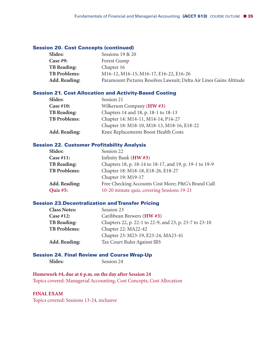#### **Session 20. Cost Concepts (continued)**

| <b>Slides:</b>       | Sessions 19 & 20                                                                                        |
|----------------------|---------------------------------------------------------------------------------------------------------|
| <b>Case #9:</b>      | Forest Gump                                                                                             |
| <b>TB Reading:</b>   | Chapter 16                                                                                              |
| <b>TB Problems:</b>  | M <sub>16</sub> -12, M <sub>16</sub> -15, M <sub>16</sub> -17, E <sub>16</sub> -22, E <sub>16</sub> -26 |
| <b>Add. Reading:</b> | Paramount Pictures Resolves Lawsuit; Delta Air Lines Gains Altitude                                     |

#### **Session 21. Cost Allocation and Activity-Based Costing**

| <b>Slides:</b>       | Session 21                                 |  |
|----------------------|--------------------------------------------|--|
| Case $#10$ :         | Wilkerson Company (HW #3)                  |  |
| <b>TB Reading:</b>   | Chapters 14 and 18, p. 18-1 to 18-13       |  |
| <b>TB Problems:</b>  | Chapter 14: M14-11, M14-14, P14-27         |  |
|                      | Chapter 18: M18-10, M18-13, M18-16, E18-22 |  |
| <b>Add. Reading:</b> | Knee Replacements Boost Health Costs       |  |

#### **Session 22. Customer Profitability Analysis**

| Slides:             | Session 22                                              |  |
|---------------------|---------------------------------------------------------|--|
| Case #11:           | Infinity Bank (HW#3)                                    |  |
| <b>TB</b> Reading:  | Chapters 18, p. 18-14 to 18-17, and 19, p. 19-1 to 19-9 |  |
| <b>TB Problems:</b> | Chapter 18: M18-18, E18-26, E18-27                      |  |
|                     | Chapter 19: M19-17                                      |  |
| Add. Reading:       | Free Checking Accounts Cost More; P&G's Brand Cull      |  |
| Quiz #5:            | 10-20 minute quiz, covering Sessions 19-21              |  |
|                     |                                                         |  |

#### **Session 23.Decentralization andTransfer Pricing**

| <b>Class Notes:</b>  | Session 23                                             |
|----------------------|--------------------------------------------------------|
| Case $#12$ :         | Caribbean Brewers (HW#3)                               |
| <b>TB Reading:</b>   | Chapters 22, p. 22-1 to 22-9, and 23, p. 23-7 to 23-10 |
| <b>TB Problems:</b>  | Chapter 22: MA22-42                                    |
|                      | Chapter 23: M23-19, E23-24, MA23-41                    |
| <b>Add. Reading:</b> | Tax Court Rules Against IRS                            |
|                      |                                                        |

#### **Session 24. Final Review and Course Wrap-Up**

| Slides: | Session 24 |
|---------|------------|
|---------|------------|

#### **Homework #4, due at 6 p.m. on the day after Session 24**

Topics covered: Managerial Accounting, Cost Concepts, Cost Allocation

#### **FINAL EXAM**

Topics covered: Sessions 13-24, inclusive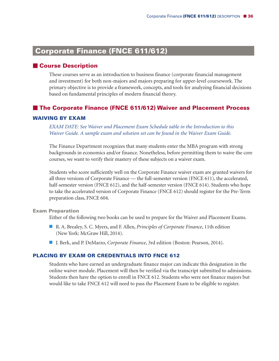# **Corporate Finance (FNCE 611/612)**

#### - **Course Description**

These courses serve as an introduction to business finance (corporate financial management and investment) for both non-majors and majors preparing for upper-level coursework. The primary objective is to provide a framework, concepts, and tools for analyzing financial decisions based on fundamental principles of modern financial theory.

#### - **The Corporate Finance (FNCE 611/612) Waiver and Placement Process**

#### **WAIVING BY EXAM**

*EXAM DATE: See Waiver and Placement Exam Schedule table in the Introduction to this Waiver Guide. A sample exam and solution set can be found in the Waiver Exam Guide.*

The Finance Department recognizes that many students enter the MBA program with strong backgrounds in economics and/or finance. Nonetheless, before permitting them to waive the core courses, we want to verify their mastery of these subjects on a waiver exam.

Students who score sufficiently well on the Corporate Finance waiver exam are granted waivers for all three versions of Corporate Finance — the full-semester version (FNCE 611), the accelerated, half-semester version (FNCE 612), and the half-semester version (FNCE 614). Students who hope to take the accelerated version of Corporate Finance (FNCE 612) should register for the Pre-Term preparation class, FNCE 604.

#### **Exam Preparation**

Either of the following two books can be used to prepare for the Waiver and Placement Exams.

- R. A. Brealey, S. C. Myers, and F. Allen, *Principles of Corporate Finance*, 11th edition (New York: McGraw Hill, 2014).
- J. Berk, and P. DeMarzo, *Corporate Finance*, 3rd edition (Boston: Pearson, 2014).

#### **PLACING BY EXAM OR CREDENTIALS INTO FNCE 612**

Students who have earned an undergraduate finance major can indicate this designation in the online waiver module. Placement will then be verified via the transcript submitted to admissions. Students then have the option to enroll in FNCE 612. Students who were not finance majors but would like to take FNCE 612 will need to pass the Placement Exam to be eligible to register.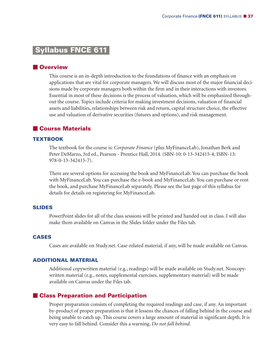## **Syllabus FNCE 611-**

## **N** Overview

This course is an in-depth introduction to the foundations of finance with an emphasis on applications that are vital for corporate managers. We will discuss most of the major financial decisions made by corporate managers both within the firm and in their interactions with investors. Essential in most of these decisions is the process of valuation, which will be emphasized throughout the course. Topics include criteria for making investment decisions, valuation of financial assets and liabilities, relationships between risk and return, capital structure choice, the effective use and valuation of derivative securities (futures and options), and risk management.

## - **Course Materials**

### **TEXTBOOK**

The textbook for the course is: *Corporate Finance* (plus MyFinanceLab), Jonathan Berk and Peter DeMarzo, 3rd ed., Pearson - Prentice Hall, 2014. (SBN-10: 0-13-342415-4; ISBN-13: 978-0-13-342415-7).

There are several options for accessing the book and MyFinanceLab. You can purchase the book with MyFinanceLab. You can purchase the e-book and MyFinanceLab. You can purchase or rent the book, and purchase MyFinanceLab separately. Please see the last page of this syllabus for details for details on registering for MyFinanceLab.

#### **SLIDES**

PowerPoint slides for all of the class sessions will be printed and handed out in class. I will also make them available on Canvas in the Slides folder under the Files tab.

#### **CASES**

Cases are available on Study.net. Case-related material, if any, will be made available on Canvas.

#### **ADDITIONAL MATERIAL**

Additional copywritten material (e.g., readings) will be made available on Study.net. Noncopywritten material (e.g., notes, supplemental exercises, supplementary material) will be made available on Canvas under the Files tab.

## - **Class Preparation and Participation**

Proper preparation consists of completing the required readings and case, if any. An important by-product of proper preparation is that it lessens the chances of falling behind in the course and being unable to catch up. This course covers a large amount of material in significant depth. It is very easy to fall behind. Consider this a warning. *Do not fall behind.*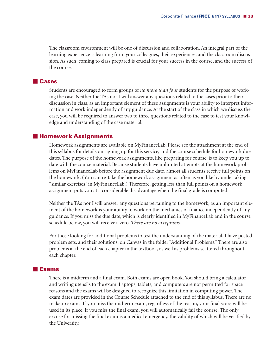The classroom environment will be one of discussion and collaboration. An integral part of the learning experience is learning from your colleagues, their experiences, and the classroom discussion. As such, coming to class prepared is crucial for your success in the course, and the success of the course.

## - **Cases**

Students are encouraged to form groups of *no more than four* students for the purpose of working the case. Neither the TAs nor I will answer any questions related to the cases prior to their discussion in class, as an important element of these assignments is your ability to interpret information and work independently of any guidance. At the start of the class in which we discuss the case, you will be required to answer two to three questions related to the case to test your knowledge and understanding of the case material.

## - **Homework Assignments**

Homework assignments are available on MyFinanceLab. Please see the attachment at the end of this syllabus for details on signing up for this service, and the course schedule for homework due dates. The purpose of the homework assignments, like preparing for course, is to keep you up to date with the course material. Because students have unlimited attempts at the homework problems on MyFinanceLab before the assignment due date, almost all students receive full points on the homework. (You can re-take the homework assignment as often as you like by undertaking "similar exercises" in MyFinanceLab.) Therefore, getting less than full points on a homework assignment puts you at a considerable disadvantage when the final grade is computed.

Neither the TAs nor I will answer any questions pertaining to the homework, as an important element of the homework is your ability to work on the mechanics of finance independently of any guidance. If you miss the due date, which is clearly identified in MyFinanceLab and in the course schedule below, you will receive a zero. *There are no exceptions*.

For those looking for additional problems to test the understanding of the material, I have posted problem sets, and their solutions, on Canvas in the folder "Additional Problems." There are also problems at the end of each chapter in the textbook, as well as problems scattered throughout each chapter.

## - **Exams**

There is a midterm and a final exam. Both exams are open book. You should bring a calculator and writing utensils to the exam. Laptops, tablets, and computers are not permitted for space reasons and the exams will be designed to recognize this limitation in computing power. The exam dates are provided in the Course Schedule attached to the end of this syllabus. There are no makeup exams. If you miss the midterm exam, regardless of the reason, your final score will be used in its place. If you miss the final exam, you will automatically fail the course. The only excuse for missing the final exam is a medical emergency, the validity of which will be verified by the University.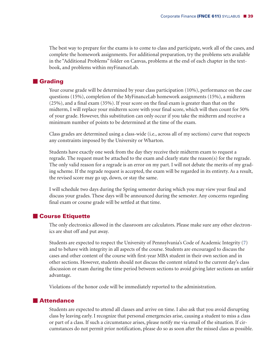The best way to prepare for the exams is to come to class and participate, work all of the cases, and complete the homework assignments. For additional preparation, try the problems sets available in the "Additional Problems" folder on Canvas, problems at the end of each chapter in the textbook, and problems within myFinanceLab.

## **E** Grading

Your course grade will be determined by your class participation (10%), performance on the case questions (15%), completion of the MyFinanceLab homework assignments (15%), a midterm (25%), and a final exam (35%). If your score on the final exam is greater than that on the midterm, I will replace your midterm score with your final score, which will then count for 50% of your grade. However, this substitution can only occur if you take the midterm and receive a minimum number of points to be determined at the time of the exam.

Class grades are determined using a class-wide (i.e., across all of my sections) curve that respects any constraints imposed by the University or Wharton.

Students have exactly one week from the day they receive their midterm exam to request a regrade. The request must be attached to the exam and clearly state the reason(s) for the regrade. The only valid reason for a regrade is an error on my part. I will not debate the merits of my grading scheme. If the regrade request is accepted, the exam will be regarded in its entirety. As a result, the revised score may go up, down, or stay the same.

I will schedule two days during the Spring semester during which you may view your final and discuss your grades. These days will be announced during the semester. Any concerns regarding final exam or course grade will be settled at that time.

## - **Course Etiquette**

The only electronics allowed in the classroom are calculators. Please make sure any other electronics are shut off and put away.

Students are expected to respect the University of Pennsylvania's Code of Academic Integrity (7) and to behave with integrity in all aspects of the course. Students are encouraged to discuss the cases and other content of the course with first-year MBA student in their own section and in other sections. However, students should not discuss the content related to the current day's class discussion or exam during the time period between sections to avoid giving later sections an unfair advantage.

Violations of the honor code will be immediately reported to the administration.

## **Attendance**

Students are expected to attend all classes and arrive on time. I also ask that you avoid disrupting class by leaving early. I recognize that personal emergencies arise, causing a student to miss a class or part of a class. If such a circumstance arises, please notify me via email of the situation. If circumstances do not permit prior notification, please do so as soon after the missed class as possible.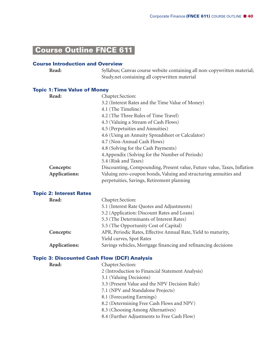# **Course Outline FNCE 611-**

## **Course Introduction and Overview**

| <b>Read:</b> | Syllabus; Canvas course website containing all non-copywritten material; |
|--------------|--------------------------------------------------------------------------|
|              | Study.net containing all copywritten material                            |

## **Topic 1:Time Value of Money**

| Read:                          | Chapter.Section:                                                        |
|--------------------------------|-------------------------------------------------------------------------|
|                                | 3.2 (Interest Rates and the Time Value of Money)                        |
|                                | 4.1 (The Timeline)                                                      |
|                                | 4.2 (The Three Rules of Time Travel)                                    |
|                                | 4.3 (Valuing a Stream of Cash Flows)                                    |
|                                | 4.5 (Perpetuities and Annuities)                                        |
|                                | 4.6 (Using an Annuity Spreadsheet or Calculator)                        |
|                                | 4.7 (Non-Annual Cash Flows)                                             |
|                                | 4.8 (Solving for the Cash Payments)                                     |
|                                | 4. Appendix (Solving for the Number of Periods)                         |
|                                | 5.4 (Risk and Taxes)                                                    |
| Concepts:                      | Discounting, Compounding, Present value, Future value, Taxes, Inflation |
| Applications:                  | Valuing zero-coupon bonds, Valuing and structuring annuities and        |
|                                | perpetuities, Savings, Retirement planning                              |
| <b>Topic 2: Interest Rates</b> |                                                                         |
| Read:                          | Chapter.Section:                                                        |
|                                | 5.1 (Interest Rate Quotes and Adjustments)                              |
|                                | 5.2 (Application: Discount Rates and Loans)                             |
|                                | 5.3 (The Determinants of Interest Rates)                                |
|                                | 5.5 (The Opportunity Cost of Capital)                                   |
| Concepts:                      | APR, Periodic Rates, Effective Annual Rate, Yield to maturity,          |
|                                | Yield curves, Spot Rates                                                |
| Applications:                  | Savings vehicles, Mortgage financing and refinancing decisions          |
|                                | <b>Topic 3: Discounted Cash Flow (DCF) Analysis</b>                     |
| Read:                          | Chapter.Section:                                                        |
|                                | 2 (Introduction to Financial Statement Analysis)                        |
|                                | 3.1 (Valuing Decisions)                                                 |
|                                | 3.3 (Present Value and the NPV Decision Rule)                           |
|                                | 7.1 (NPV and Standalone Projects)                                       |
|                                | 8.1 (Forecasting Earnings)                                              |
|                                | 8.2 (Determining Free Cash Flows and NPV)                               |
|                                | 8.3 (Choosing Among Alternatives)                                       |
|                                | 8.4 (Further Adjustments to Free Cash Flow)                             |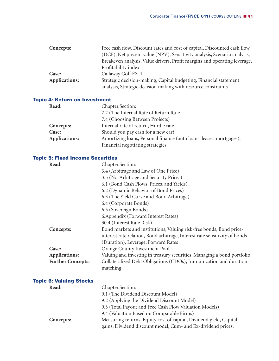| Free cash flow, Discount rates and cost of capital, Discounted cash flow                                                           |
|------------------------------------------------------------------------------------------------------------------------------------|
| (DCF), Net present value (NPV), Sensitivity analysis, Scenario analysis,                                                           |
| Breakeven analysis, Value drivers, Profit margins and operating leverage,                                                          |
| Profitability index                                                                                                                |
| Callaway Golf FX-1                                                                                                                 |
| Strategic decision-making, Capital budgeting, Financial statement<br>analysis, Strategic decision making with resource constraints |
|                                                                                                                                    |

## **Topic 4: Return on Investment**

| Read:         | Chapter.Section:                                                    |
|---------------|---------------------------------------------------------------------|
|               | 7.2 (The Internal Rate of Return Rule)                              |
|               | 7.4 (Choosing Between Projects)                                     |
| Concepts:     | Internal rate of return, Hurdle rate                                |
| Case:         | Should you pay cash for a new car?                                  |
| Applications: | Amortizing loans, Personal finance (auto loans, leases, mortgages), |
|               | Financial negotiating strategies                                    |

## **Topic 5: Fixed Income Securities**

| Read:                          | Chapter.Section:                                                           |
|--------------------------------|----------------------------------------------------------------------------|
|                                | 3.4 (Arbitrage and Law of One Price),                                      |
|                                | 3.5 (No-Arbitrage and Security Prices)                                     |
|                                | 6.1 (Bond Cash Flows, Prices, and Yields)                                  |
|                                | 6.2 (Dynamic Behavior of Bond Prices)                                      |
|                                | 6.3 (The Yield Curve and Bond Arbitrage)                                   |
|                                | 6.4 (Corporate Bonds)                                                      |
|                                | 6.5 (Sovereign Bonds)                                                      |
|                                | 6. Appendix (Forward Interest Rates)                                       |
|                                | 30.4 (Interest Rate Risk)                                                  |
| Concepts:                      | Bond markets and institutions, Valuing risk-free bonds, Bond price-        |
|                                | interest rate relation, Bond arbitrage, Interest rate sensitivity of bonds |
|                                | (Duration), Leverage, Forward Rates                                        |
| Case:                          | Orange County Investment Pool                                              |
| Applications:                  | Valuing and investing in treasury securities, Managing a bond portfolio    |
| <b>Further Concepts:</b>       | Collateralized Debt Obligations (CDOs), Immunization and duration          |
|                                | matching                                                                   |
| <b>Topic 6: Valuing Stocks</b> |                                                                            |
| Read:                          | Chapter.Section:                                                           |
|                                | 9.1 (The Dividend Discount Model)                                          |
|                                | 9.2 (Applying the Dividend Discount Model)                                 |
|                                | 9.3 (Total Payout and Free Cash Flow Valuation Models)                     |
|                                | 9.4 (Valuation Based on Comparable Firms)                                  |
| Concepts:                      | Measuring returns, Equity cost of capital, Dividend yield, Capital         |
|                                | gains, Dividend discount model, Cum- and Ex-dividend prices,               |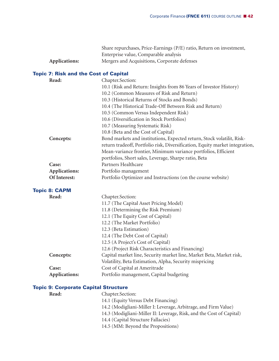|               | Share repurchases, Price-Earnings (P/E) ratio, Return on investment, |
|---------------|----------------------------------------------------------------------|
|               | Enterprise value, Comparable analysis                                |
| Applications: | Mergers and Acquisitions, Corporate defenses                         |

## **Topic 7: Risk and the Cost of Capital**

| Read:                | Chapter.Section:                                                             |
|----------------------|------------------------------------------------------------------------------|
|                      | 10.1 (Risk and Return: Insights from 86 Years of Investor History)           |
|                      | 10.2 (Common Measures of Risk and Return)                                    |
|                      | 10.3 (Historical Returns of Stocks and Bonds)                                |
|                      | 10.4 (The Historical Trade-Off Between Risk and Return)                      |
|                      | 10.5 (Common Versus Independent Risk)                                        |
|                      | 10.6 (Diversification in Stock Portfolios)                                   |
|                      | 10.7 (Measuring Systematic Risk)                                             |
|                      | 10.8 (Beta and the Cost of Capital)                                          |
| Concepts:            | Bond markets and institutions, Expected return, Stock volatilit, Risk-       |
|                      | return tradeoff, Portfolio risk, Diversification, Equity market integration, |
|                      | Mean-variance frontier, Minimum variance portfolios, Efficient               |
|                      | portfolios, Short sales, Leverage, Sharpe ratio, Beta                        |
| Case:                | Partners Healthcare                                                          |
| Applications:        | Portfolio management                                                         |
| Of Interest:         | Portfolio Optimizer and Instructions (on the course website)                 |
| <b>Topic 8: CAPM</b> |                                                                              |
| Read:                | Chapter.Section:                                                             |
|                      | 11.7 (The Capital Asset Pricing Model)                                       |
|                      | 11.8 (Determining the Risk Premium)                                          |
|                      | 12.1 (The Equity Cost of Capital)                                            |
|                      | 12.2 (The Market Portfolio)                                                  |
|                      | 12.3 (Beta Estimation)                                                       |
|                      | 12.4 (The Debt Cost of Capital)                                              |
|                      | 12.5 (A Project's Cost of Capital)                                           |
|                      | 12.6 (Project Risk Characteristics and Financing)                            |
| Concepts:            | Capital market line, Security market line, Market Beta, Market risk,         |
|                      | Volatility, Beta Estimation, Alpha, Security mispricing                      |
| Case:                | Cost of Capital at Ameritrade                                                |
| Applications:        | Portfolio management, Capital budgeting                                      |
|                      | <b>Topic 9: Corporate Capital Structure</b>                                  |
| Read:                | Chapter.Section:                                                             |

14.1 (Equity Versus Debt Financing) 14.2 (Modigliani-Miller I: Leverage, Arbitrage, and Firm Value)

14.3 (Modigliani-Miller II: Leverage, Risk, and the Cost of Capital)

14.4 (Capital Structure Fallacies)

14.5 (MM: Beyond the Propositions)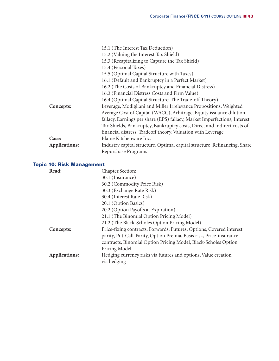|                      | 15.1 (The Interest Tax Deduction)                                         |
|----------------------|---------------------------------------------------------------------------|
|                      | 15.2 (Valuing the Interest Tax Shield)                                    |
|                      | 15.3 (Recapitalizing to Capture the Tax Shield)                           |
|                      | 15.4 (Personal Taxes)                                                     |
|                      | 15.5 (Optimal Capital Structure with Taxes)                               |
|                      | 16.1 (Default and Bankruptcy in a Perfect Market)                         |
|                      | 16.2 (The Costs of Bankruptcy and Financial Distress)                     |
|                      | 16.3 (Financial Distress Costs and Firm Value)                            |
|                      | 16.4 (Optimal Capital Structure: The Trade-off Theory)                    |
| Concepts:            | Leverage, Modigliani and Miller Irrelevance Propositions, Weighted        |
|                      | Average Cost of Capital (WACC), Arbitrage, Equity issuance dilution       |
|                      | fallacy, Earnings per share (EPS) fallacy, Market Imperfections, Interest |
|                      | Tax Shields, Bankruptcy, Bankruptcy costs, Direct and indirect costs of   |
|                      | financial distress, Tradeoff theory, Valuation with Leverage              |
| Case:                | Blaine Kitchenware Inc.                                                   |
| <b>Applications:</b> | Industry capital structure, Optimal capital structure, Refinancing, Share |
|                      | Repurchase Programs                                                       |

## **Topic 10: Risk Management**

| Read:         | Chapter.Section:                                                     |
|---------------|----------------------------------------------------------------------|
|               | 30.1 (Insurance)                                                     |
|               | 30.2 (Commodity Price Risk)                                          |
|               | 30.3 (Exchange Rate Risk)                                            |
|               | 30.4 (Interest Rate Risk)                                            |
|               | 20.1 (Option Basics)                                                 |
|               | 20.2 (Option Payoffs at Expiration)                                  |
|               | 21.1 (The Binomial Option Pricing Model)                             |
|               | 21.2 (The Black-Scholes Option Pricing Model)                        |
| Concepts:     | Price-fixing contracts, Forwards, Futures, Options, Covered interest |
|               | parity, Put-Call-Parity, Option Premia, Basis risk, Price-insurance  |
|               | contracts, Binomial Option Pricing Model, Black-Scholes Option       |
|               | Pricing Model                                                        |
| Applications: | Hedging currency risks via futures and options, Value creation       |
|               | via hedging                                                          |
|               |                                                                      |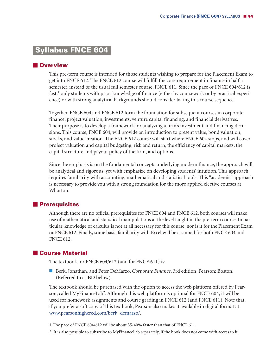## **Syllabus FNCE 604-**

## **N**Overview

This pre-term course is intended for those students wishing to prepare for the Placement Exam to get into FNCE 612. The FNCE 612 course will fulfill the core requirement in finance in half a semester, instead of the usual full semester course, FNCE 611. Since the pace of FNCE 604/612 is fast, <sup>1</sup> only students with prior knowledge of finance (either by coursework or by practical experience) or with strong analytical backgrounds should consider taking this course sequence.

Together, FNCE 604 and FNCE 612 form the foundation for subsequent courses in corporate finance, project valuation, investments, venture capital financing, and financial derivatives. Their purpose is to develop a framework for analyzing a firm's investment and financing decisions. This course, FNCE 604, will provide an introduction to present value, bond valuation, stocks, and value creation. The FNCE 612 course will start where FNCE 604 stops, and will cover project valuation and capital budgeting, risk and return, the efficiency of capital markets, the capital structure and payout policy of the firm, and options.

Since the emphasis is on the fundamental concepts underlying modern finance, the approach will be analytical and rigorous, yet with emphasize on developing students' intuition. This approach requires familiarity with accounting, mathematical and statistical tools. This "academic" approach is necessary to provide you with a strong foundation for the more applied elective courses at Wharton.

## - **Prerequisites**

Although there are no official prerequisites for FNCE 604 and FNCE 612, both courses will make use of mathematical and statistical manipulations at the level taught in the pre-term course. In particular, knowledge of calculus is not at all necessary for this course, nor is it for the Placement Exam or FNCE 612. Finally, some basic familiarity with Excel will be assumed for both FNCE 604 and FNCE 612.

## - **Course Material**

The textbook for FNCE 604/612 (and for FNCE 611) is:

■ Berk, Jonathan, and Peter DeMarzo, *Corporate Finance*, 3rd edition, Pearson: Boston. (Referred to as **BD** below)

The textbook should be purchased with the option to access the web platform offered by Pearson, called MyFinanceLab<sup>2</sup>. Although this web platform is optional for FNCE 604, it will be used for homework assignments and course grading in FNCE 612 (and FNCE 611). Note that, if you prefer a soft copy of this textbook, Pearson also makes it available in digital format at www.pearsonhighered.com/berk\_demarzo/.

1 The pace of FNCE 604/612 will be about 35-40% faster than that of FNCE 611.

2 It is also possible to subscribe to MyFinanceLab separately, if the book does not come with access to it.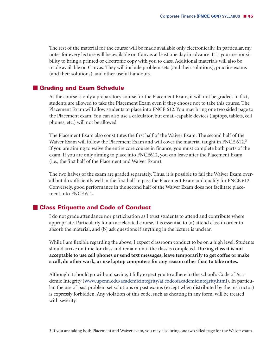The rest of the material for the course will be made available only electronically. In particular, my notes for every lecture will be available on Canvas at least one day in advance. It is your responsibility to bring a printed or electronic copy with you to class. Additional materials will also be made available on Canvas. They will include problem sets (and their solutions), practice exams (and their solutions), and other useful handouts.

## - **Grading and Exam Schedule**

As the course is only a preparatory course for the Placement Exam, it will not be graded. In fact, students are allowed to take the Placement Exam even if they choose not to take this course. The Placement Exam will allow students to place into FNCE 612. You may bring one two sided page to the Placement exam. You can also use a calculator, but email-capable devices (laptops, tablets, cell phones, etc.) will not be allowed.

The Placement Exam also constitutes the first half of the Waiver Exam. The second half of the Waiver Exam will follow the Placement Exam and will cover the material taught in FNCE 612.<sup>3</sup> If you are aiming to waive the entire core course in finance, you must complete both parts of the exam. If you are only aiming to place into FNCE612, you can leave after the Placement Exam (i.e., the first half of the Placement and Waiver Exam).

The two halves of the exam are graded separately. Thus, it is possible to fail the Waiver Exam overall but do sufficiently well in the first half to pass the Placement Exam and qualify for FNCE 612. Conversely, good performance in the second half of the Waiver Exam does not facilitate placement into FNCE 612.

## - **Class Etiquette and Code of Conduct**

I do not grade attendance nor participation as I trust students to attend and contribute where appropriate. Particularly for an accelerated course, it is essential to (a) attend class in order to absorb the material, and (b) ask questions if anything in the lecture is unclear.

While I am flexible regarding the above, I expect classroom conduct to be on a high level. Students should arrive on time for class and remain until the class is completed. **During class it is not acceptable to use cell phones or send text messages, leave temporarily to get coffee or make a call, do other work, or use laptop computers for any reason other than to take notes.**

Although it should go without saying, I fully expect you to adhere to the school's Code of Academic Integrity (www.upenn.edu/academicintegrity/ai codeofacademicintegrity.html). In particular, the use of past problem set solutions or past exams (except when distributed by the instructor) is expressly forbidden. Any violation of this code, such as cheating in any form, will be treated with severity.

3 If you are taking both Placement and Waiver exam, you may also bring one two sided page for the Waiver exam.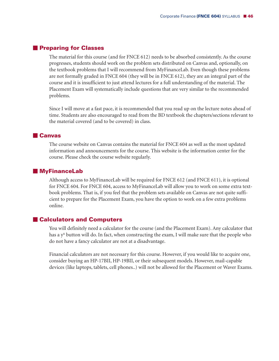## - **Preparing for Classes**

The material for this course (and for FNCE 612) needs to be absorbed consistently. As the course progresses, students should work on the problem sets distributed on Canvas and, optionally, on the textbook problems that I will recommend from MyFinanceLab. Even though these problems are not formally graded in FNCE 604 (they will be in FNCE 612), they are an integral part of the course and it is insufficient to just attend lectures for a full understanding of the material. The Placement Exam will systematically include questions that are very similar to the recommended problems.

Since I will move at a fast pace, it is recommended that you read up on the lecture notes ahead of time. Students are also encouraged to read from the BD textbook the chapters/sections relevant to the material covered (and to be covered) in class.

## - **Canvas**

The course website on Canvas contains the material for FNCE 604 as well as the most updated information and announcements for the course. This website is the information center for the course. Please check the course website regularly.

## **MyFinanceLab**

Although access to MyFinanceLab will be required for FNCE 612 (and FNCE 611), it is optional for FNCE 604. For FNCE 604, access to MyFinanceLab will allow you to work on some extra textbook problems. That is, if you feel that the problem sets available on Canvas are not quite sufficient to prepare for the Placement Exam, you have the option to work on a few extra problems online.

## - **Calculators and Computers**

You will definitely need a calculator for the course (and the Placement Exam). Any calculator that has a y<sup>x</sup> button will do. In fact, when constructing the exam, I will make sure that the people who do not have a fancy calculator are not at a disadvantage.

Financial calculators are not necessary for this course. However, if you would like to acquire one, consider buying an HP-17BII, HP-19BII, or their subsequent models. However, mail-capable devices (like laptops, tablets, cell phones..) will not be allowed for the Placement or Waver Exams.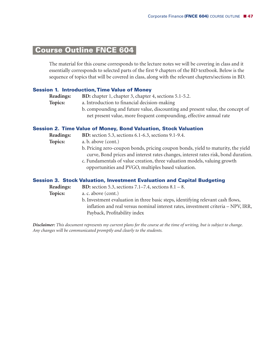## **Course Outline FNCE 604-**

The material for this course corresponds to the lecture notes we will be covering in class and it essentially corresponds to selected parts of the first 9 chapters of the BD textbook. Below is the sequence of topics that will be covered in class, along with the relevant chapters/sections in BD.

#### **Session 1. Introduction,Time Value of Money**

**Readings: BD:** chapter 1, chapter 3, chapter 4, sections 5.1-5.2.

- **Topics:** a. Introduction to financial decision-making
	- b. compounding and future value, discounting and present value, the concept of net present value, more frequent compounding, effective annual rate

#### **Session 2. Time Value of Money, Bond Valuation, Stock Valuation**

**Readings: BD:** section 5.3, sections 6.1-6.3, sections 9.1-9.4.

- **Topics:** a. b. above (cont.)
	- b. Pricing zero-coupon bonds, pricing coupon bonds, yield to maturity, the yield curve, Bond prices and interest rates changes, interest rates risk, bond duration.
	- c. Fundamentals of value creation, three valuation models, valuing growth opportunities and PVGO, multiples based valuation.

#### **Session 3. Stock Valuation, Investment Evaluation and Capital Budgeting**

**Readings: BD:** section 5.3, sections 7.1–7.4, sections 8.1 – 8. **Topics:** a. c. above (cont.) b. Investment evaluation in three basic steps, identifying relevant cash flows, inflation and real versus nominal interest rates, investment criteria – NPV, IRR, Payback, Profitability index

Disclaimer: This document represents my current plans for the course at the time of writing, but is subject to change. *Any changes will be communicated promptly and clearly to the students.*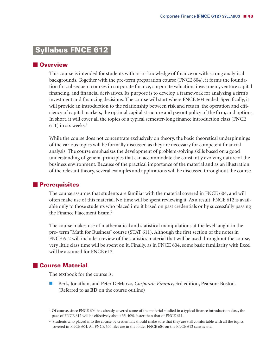## **Syllabus FNCE 612-**

## **N**Overview

This course is intended for students with prior knowledge of finance or with strong analytical backgrounds. Together with the pre-term preparation course (FNCE 604), it forms the foundation for subsequent courses in corporate finance, corporate valuation, investment, venture capital financing, and financial derivatives. Its purpose is to develop a framework for analyzing a firm's investment and financing decisions. The course will start where FNCE 604 ended. Specifically, it will provide an introduction to the relationship between risk and return, the operation and efficiency of capital markets, the optimal capital structure and payout policy of the firm, and options. In short, it will cover all the topics of a typical semester-long finance introduction class (FNCE 611) in six weeks. 1

While the course does not concentrate exclusively on theory, the basic theoretical underpinnings of the various topics will be formally discussed as they are necessary for competent financial analysis. The course emphasizes the development of problem-solving skills based on a good understanding of general principles that can accommodate the constantly evolving nature of the business environment. Because of the practical importance of the material and as an illustration of the relevant theory, several examples and applications will be discussed throughout the course.

## $\blacksquare$  Prerequisites

The course assumes that students are familiar with the material covered in FNCE 604, and will often make use of this material. No time will be spent reviewing it. As a result, FNCE 612 is available only to those students who placed into it based on past credentials or by successfully passing the Finance Placement Exam. 2

The course makes use of mathematical and statistical manipulations at the level taught in the pre- term "Math for Business" course (STAT 611). Although the first section of the notes in FNCE 612 will include a review of the statistics material that will be used throughout the course, very little class time will be spent on it. Finally, as in FNCE 604, some basic familiarity with Excel will be assumed for FNCE 612.

## - **Course Material**

The textbook for the course is:

 Berk, Jonathan, and Peter DeMarzo, *Corporate Finance*, 3rd edition, Pearson: Boston. (Referred to as **BD** on the course outline)

<sup>1</sup> Of course, since FNCE 604 has already covered some of the material studied in a typical finance introduction class, the pace of FNCE 612 will be effectively about 35-40% faster than that of FNCE 611.

<sup>2</sup> Students who placed into the course by credentials should make sure that they are still comfortable with all the topics covered in FNCE 604. All FNCE 604 files are in the folder FNCE 604 on the FNCE 612 canvas site.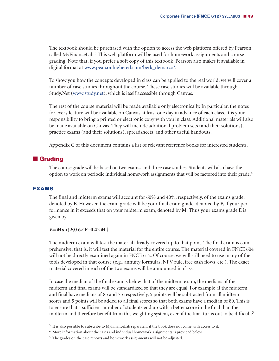The textbook should be purchased with the option to access the web platform offered by Pearson, called MyFinanceLab. <sup>3</sup> This web platform will be used for homework assignments and course grading. Note that, if you prefer a soft copy of this textbook, Pearson also makes it available in digital format at www.pearsonhighered.com/berk\_demarzo/.

To show you how the concepts developed in class can be applied to the real world, we will cover a number of case studies throughout the course. These case studies will be available through Study.Net (www.study.net), which is itself accessible through Canvas.

The rest of the course material will be made available only electronically. In particular, the notes for every lecture will be available on Canvas at least one day in advance of each class. It is your responsibility to bring a printed or electronic copy with you in class. Additional materials will also be made available on Canvas. They will include additional problem sets (and their solutions), practice exams (and their solutions), spreadsheets, and other useful handouts.

Appendix C of this document contains a list of relevant reference books for interested students.

## **E** Grading

The course grade will be based on two exams, and three case studies. Students will also have the option to work on periodic individual homework assignments that will be factored into their grade.<sup>4</sup>

#### **EXAMS**

The final and midterm exams will account for 60% and 40%, respectively, of the exams grade, denoted by **E**. However, the exam grade will be your final exam grade, denoted by **F**, if your performance in it exceeds that on your midterm exam, denoted by **M**. Thus your exams grade **E** is given by

#### $E = Max{F,0.6 \times F + 0.4 \times M}$

The midterm exam will test the material already covered up to that point. The final exam is comprehensive; that is, it will test the material for the entire course. The material covered in FNCE 604 will not be directly examined again in FNCE 612. Of course, we will still need to use many of the tools developed in that course (e.g., annuity formulas, NPV rule, free cash flows, etc.). The exact material covered in each of the two exams will be announced in class.

In case the median of the final exam is below that of the midterm exam, the medians of the midterm and final exams will be standardized so that they are equal. For example, if the midterm and final have medians of 85 and 75 respectively, 5 points will be subtracted from all midterm scores and 5 points will be added to all final scores so that both exams have a median of 80. This is to ensure that a sufficient number of students end up with a better score in the final than the midterm and therefore benefit from this weighting system, even if the final turns out to be difficult. 5

<sup>&</sup>lt;sup>3</sup> It is also possible to subscribe to MyFinanceLab separately, if the book does not come with access to it.

<sup>4</sup> More information about the cases and individual homework assignments is provided below.

<sup>&</sup>lt;sup>5</sup> The grades on the case reports and homework assignments will not be adjusted.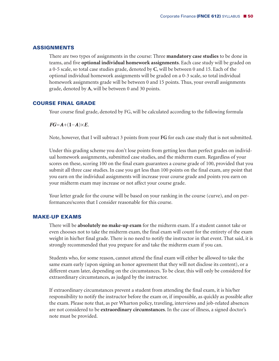## **ASSIGNMENTS**

There are two types of assignments in the course: Three **mandatory case studies** to be done in teams, and five **optional individual homework assignments**. Each case study will be graded on a 0-5 scale, so total case studies grade, denoted by **C**, will be between 0 and 15. Each of the optional individual homework assignments will be graded on a 0-3 scale, so total individual homework assignments grade will be between 0 and 15 points. Thus, your overall assignments grade, denoted by **A**, will be between 0 and 30 points.

## **COURSE FINAL GRADE**

Your course final grade, denoted by FG, will be calculated according to the following formula

 $FG=A+(1-A)\times E$ .

Note, however, that I will subtract 3 points from your **FG** for each case study that is not submitted.

Under this grading scheme you don't lose points from getting less than perfect grades on individual homework assignments, submitted case studies, and the midterm exam. Regardless of your scores on these, scoring 100 on the final exam guarantees a course grade of 100, provided that you submit all three case studies. In case you get less than 100 points on the final exam, any point that you earn on the individual assignments will increase your course grade and points you earn on your midterm exam may increase or not affect your course grade.

Your letter grade for the course will be based on your ranking in the course (curve), and on performances/scores that I consider reasonable for this course.

#### **MAKE-UP EXAMS**

There will be **absolutely no make-up exam** for the midterm exam. If a student cannot take or even chooses not to take the midterm exam, the final exam will count for the entirety of the exam weight in his/her final grade. There is no need to notify the instructor in that event. That said, it is strongly recommended that you prepare for and take the midterm exam if you can.

Students who, for some reason, cannot attend the final exam will either be allowed to take the same exam early (upon signing an honor agreement that they will not disclose its content), or a different exam later, depending on the circumstances. To be clear, this will only be considered for extraordinary circumstances, as judged by the instructor.

If extraordinary circumstances prevent a student from attending the final exam, it is his/her responsibility to notify the instructor before the exam or, if impossible, as quickly as possible after the exam. Please note that, as per Wharton policy, traveling, interviews and job-related absences are not considered to be **extraordinary circumstances**. In the case of illness, a signed doctor's note must be provided.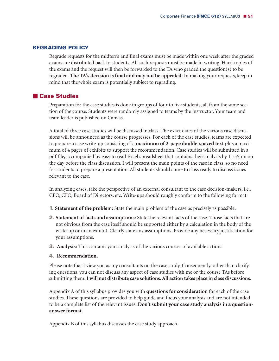## **REGRADING POLICY**

Regrade requests for the midterm and final exams must be made within one week after the graded exams are distributed back to students. All such requests must be made in writing. Hard copies of the exams and the request will then be forwarded to the TA who graded the question(s) to be regraded. **The TA's decision is final and may not be appealed.** In making your requests, keep in mind that the whole exam is potentially subject to regrading.

## - **Case Studies**

Preparation for the case studies is done in groups of four to five students, all from the same section of the course. Students were randomly assigned to teams by the instructor. Your team and team leader is published on Canvas.

A total of three case studies will be discussed in class. The exact dates of the various case discussions will be announced as the course progresses. For each of the case studies, teams are expected to prepare a case write-up consisting of a **maximum of 2-page double-spaced text** plus a maximum of 4 pages of exhibits to support the recommendation. Case studies will be submitted in a pdf file, accompanied by easy to read Excel spreadsheet that contains their analysis by 11:55pm on the day before the class discussion. I will present the main points of the case in class, so no need for students to prepare a presentation. All students should come to class ready to discuss issues relevant to the case.

In analyzing cases, take the perspective of an external consultant to the case decision-makers, i.e., CEO, CFO, Board of Directors, etc. Write-ups should roughly conform to the following format:

- **1. Statement of the problem:** State the main problem of the case as precisely as possible.
- **2. Statement of facts and assumptions:** State the relevant facts of the case. Those facts that are not obvious from the case itself should be supported either by a calculation in the body of the write-up or in an exhibit. Clearly state any assumptions. Provide any necessary justification for your assumptions.
- **3. Analysis:** This contains your analysis of the various courses of available actions.

#### **4. Recommendation.**

Please note that I view you as my consultants on the case study. Consequently, other than clarifying questions, you can not discuss any aspect of case studies with me or the course TAs before submitting them. **I will not distribute case solutions.All action takes place in class discussions.**

Appendix A of this syllabus provides you with **questions for consideration** for each of the case studies. These questions are provided to help guide and focus your analysis and are not intended to be a complete list of the relevant issues. **Don't submit your case study analysis in a questionanswer format.**

Appendix B of this syllabus discusses the case study approach.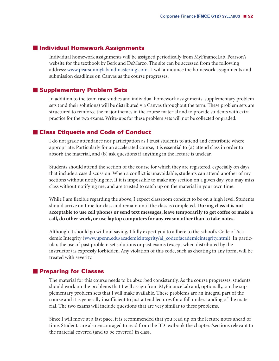## - **Individual Homework Assignments**

Individual homework assignments will be assigned periodically from MyFinanceLab, Pearson's website for the textbook by Berk and DeMarzo. The site can be accessed from the following address: www.pearsonmylabandmastering.com. I will announce the homework assignments and submission deadlines on Canvas as the course progresses.

## - **Supplementary Problem Sets**

In addition to the team case studies and individual homework assignments, supplementary problem sets (and their solutions) will be distributed via Canvas throughout the term. These problem sets are structured to reinforce the major themes in the course material and to provide students with extra practice for the two exams. Write-ups for these problem sets will not be collected or graded.

## - **Class Etiquette and Code of Conduct**

I do not grade attendance nor participation as I trust students to attend and contribute where appropriate. Particularly for an accelerated course, it is essential to (a) attend class in order to absorb the material, and (b) ask questions if anything in the lecture is unclear.

Students should attend the section of the course for which they are registered, especially on days that include a case discussion. When a conflict is unavoidable, students can attend another of my sections without notifying me. If it is impossible to make any section on a given day, you may miss class without notifying me, and are trusted to catch up on the material in your own time.

While I am flexible regarding the above, I expect classroom conduct to be on a high level. Students should arrive on time for class and remain until the class is completed. **During class it is not acceptable to use cell phones or send text messages, leave temporarily to get coffee or make a call, do other work, or use laptop computers for any reason other than to take notes.**

Although it should go without saying, I fully expect you to adhere to the school's Code of Academic Integrity (www.upenn.edu/academicintegrity/ai\_codeofacademicintegrity.html). In particular, the use of past problem set solutions or past exams (except when distributed by the instructor) is expressly forbidden. Any violation of this code, such as cheating in any form, will be treated with severity.

## - **Preparing for Classes**

The material for this course needs to be absorbed consistently. As the course progresses, students should work on the problems that I will assign from MyFinanceLab and, optionally, on the supplementary problem sets that I will make available. These problems are an integral part of the course and it is generally insufficient to just attend lectures for a full understanding of the material. The two exams will include questions that are very similar to these problems.

Since I will move at a fast pace, it is recommended that you read up on the lecture notes ahead of time. Students are also encouraged to read from the BD textbook the chapters/sections relevant to the material covered (and to be covered) in class.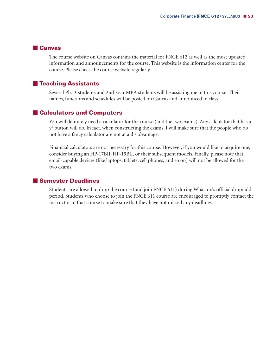## - **Canvas**

The course website on Canvas contains the material for FNCE 612 as well as the most updated information and announcements for the course. This website is the information center for the course. Please check the course website regularly.

## $\blacksquare$  **Teaching Assistants**

Several Ph.D. students and 2nd-year MBA students will be assisting me in this course. Their names, functions and schedules will be posted on Canvas and announced in class.

## - **Calculators and Computers**

You will definitely need a calculator for the course (and the two exams). Any calculator that has a yx button will do. In fact, when constructing the exams, I will make sure that the people who do not have a fancy calculator are not at a disadvantage.

Financial calculators are not necessary for this course. However, if you would like to acquire one, consider buying an HP-17BII, HP-19BII, or their subsequent models. Finally, please note that email-capable devices (like laptops, tablets, cell phones, and so on) will not be allowed for the two exams.

## - **Semester Deadlines**

Students are allowed to drop the course (and join FNCE 611) during Wharton's official drop/add period. Students who choose to join the FNCE 611 course are encouraged to promptly contact the instructor in that course to make sure that they have not missed any deadlines.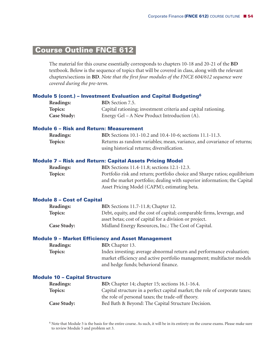## **lCourse Outline FNCE 612-**

The material for this course essentially corresponds to chapters 10-18 and 20-21 of the **BD** textbook. Below is the sequence of topics that will be covered in class, along with the relevant chapters/sections in **BD**. *Note that the first four modules of the FNCE 604/612 sequence were covered during the pre-term.*

#### **Module 5 (cont.) – Investment Evaluation and Capital Budgeting6**

| <b>Readings:</b>   | <b>BD:</b> Section 7.5.                                       |
|--------------------|---------------------------------------------------------------|
| Topics:            | Capital rationing; investment criteria and capital rationing. |
| <b>Case Study:</b> | Energy Gel – A New Product Introduction $(A)$ .               |

### **Module 6 – Risk and Return: Measurement**

| <b>Readings:</b> | <b>BD:</b> Sections 10.1-10.2 and 10.4-10-6; sections 11.1-11.3.        |
|------------------|-------------------------------------------------------------------------|
| Topics:          | Returns as random variables; mean, variance, and covariance of returns; |
|                  | using historical returns; diversification.                              |

#### **Module 7 – Risk and Return: Capital Assets Pricing Model**

| <b>Readings:</b> | <b>BD:</b> Sections 11.4-11.8; sections 12.1-12.3.                         |
|------------------|----------------------------------------------------------------------------|
| Topics:          | Portfolio risk and return; portfolio choice and Sharpe ratios; equilibrium |
|                  | and the market portfolio; dealing with superior information; the Capital   |
|                  | Asset Pricing Model (CAPM); estimating beta.                               |

#### **Module 8 – Cost of Capital**

| <b>Readings:</b>   | <b>BD:</b> Sections 11.7-11.8; Chapter 12.                             |
|--------------------|------------------------------------------------------------------------|
| Topics:            | Debt, equity, and the cost of capital; comparable firms, leverage, and |
|                    | asset betas; cost of capital for a division or project.                |
| <b>Case Study:</b> | Midland Energy Resources, Inc.: The Cost of Capital.                   |

#### **Module 9 – Market Efficiency and Asset Management**

| <b>Readings:</b> | <b>BD:</b> Chapter 13.                                                |
|------------------|-----------------------------------------------------------------------|
| Topics:          | Index investing; average abnormal return and performance evaluation;  |
|                  | market efficiency and active portfolio management; multifactor models |
|                  | and hedge funds; behavioral finance.                                  |

#### **Module 10 – Capital Structure**

| Readings:   | <b>BD:</b> Chapter 14; chapter 15; sections 16.1-16.4.                      |
|-------------|-----------------------------------------------------------------------------|
| Topics:     | Capital structure in a perfect capital market; the role of corporate taxes; |
|             | the role of personal taxes; the trade-off theory.                           |
| Case Study: | Bed Bath & Beyond: The Capital Structure Decision.                          |

<sup>6</sup> Note that Module 5 is the basis for the entire course. As such, it will be in its entirety on the course exams. Please make sure to review Module 5 and problem set 3.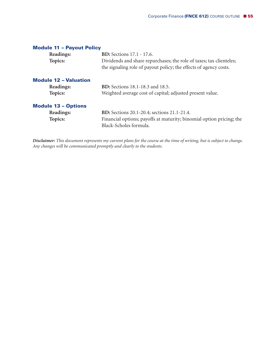| <b>Module 11 - Payout Policy</b> |                                                                                                                                          |
|----------------------------------|------------------------------------------------------------------------------------------------------------------------------------------|
| Readings:                        | <b>BD:</b> Sections 17.1 - 17.6.                                                                                                         |
| Topics:                          | Dividends and share repurchases; the role of taxes; tax clienteles;<br>the signaling role of payout policy; the effects of agency costs. |
| <b>Module 12 - Valuation</b>     |                                                                                                                                          |
| Readings:                        | <b>BD:</b> Sections 18.1-18.3 and 18.5.                                                                                                  |
| Topics:                          | Weighted average cost of capital; adjusted present value.                                                                                |
| <b>Module 13 - Options</b>       |                                                                                                                                          |
| Readings:                        | <b>BD:</b> Sections 20.1-20.4; sections 21.1-21.4.                                                                                       |
| Topics:                          | Financial options; payoffs at maturity; binomial option pricing; the<br>Black-Scholes formula.                                           |

Disclaimer: This document represents my current plans for the course at the time of writing, but is subject to change. *Any changes will be communicated promptly and clearly to the students.*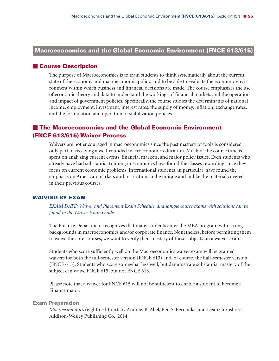## **Macroeconomics and the Global Economic Environment (FNCE 613/615)**

#### **Course Description**

The purpose of Macroeconomics is to train students to think systematically about the current state of the economy and macroeconomic policy, and to be able to evaluate the economic environment within which business and financial decisions are made. The course emphasizes the use of economic theory and data to understand the workings of financial markets and the operation and impact of government policies. Specifically, the course studies the determinants of national income, employment, investment, interest rates, the supply of money, inflation, exchange rates, and the formulation and operation of stabilization policies.

## **The Macroeconomics and the Global Economic Environment (FNCE 613/615) Waiver Process**

Waivers are not encouraged in macroeconomics since the past mastery of tools is considered only part of receiving a well-rounded macroeconomic education. Much of the course time is spent on analyzing current events, financial markets, and major policy issues. Even students who already have had substantial training in economics have found the classes rewarding since they focus on current economic problems. International students, in particular, have found the emphasis on American markets and institutions to be unique and unlike the material covered in their previous courses.

#### **WAIVING BY EXAM**

*EXAM DATE: Waiver and Placement Exam Schedule, and sample course exams with solutions can be found in the Waiver Exam Guide.*

The Finance Department recognizes that many students enter the MBA program with strong backgrounds in macroeconomics and/or corporate finance. Nonetheless, before permitting them to waive the core courses, we want to verify their mastery of these subjects on a waiver exam.

Students who score sufficiently well on the Macroeconomics waiver exam will be granted waivers for both the full-semester version (FNCE 613) and, of course, the half-semester version (FNCE 615). Students who score somewhat less well, but demonstrate substantial mastery of the subject can waive FNCE 615, but not FNCE 613.

Please note that a waiver for FNCE 615 will not be sufficient to enable a student to become a Finance major.

#### **Exam Preparation**

*Macroeconomics* (eighth edition), by Andrew B. Abel, Ben S. Bernanke, and Dean Croushore, Addison-Wesley Publishing Co., 2014.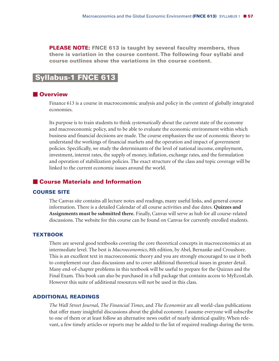**PLEASE NOTE: FNCE 613 is taught by several faculty members, thus there is variation in the course content.The following four syllabi and course outlines show the variations in the course content.**

## **Syllabus-1 FNCE 613-**

## **Overview**

Finance 613 is a course in macroeconomic analysis and policy in the context of globally integrated economies.

Its purpose is to train students to think *systematically* about the current state of the economy and macroeconomic policy, and to be able to evaluate the economic environment within which business and financial decisions are made. The course emphasizes the use of economic theory to understand the workings of financial markets and the operation and impact of government policies. Specifically, we study the determinants of the level of national income, employment, investment, interest rates, the supply of money, inflation, exchange rates, and the formulation and operation of stabilization policies. The exact structure of the class and topic coverage will be linked to the current economic issues around the world.

## **Course Materials and Information**

#### **COURSE SITE**

The Canvas site contains all lecture notes and readings, many useful links, and general course information. There is a detailed Calendar of all course activities and due dates. **Quizzes and Assignments must be submitted there.** Finally, Canvas will serve as hub for all course-related discussions. The website for this course can be found on Canvas for currently enrolled students.

#### **TEXTBOOK**

There are several good textbooks covering the core theoretical concepts in macroeconomics at an intermediate level. The best is *Macroeconomics*, 8th edition, by Abel, Bernanke and Croushore. This is an excellent text in macroeconomic theory and you are strongly encouraged to use it both to complement our class discussions and to cover additional theoretical issues in greater detail. Many end-of-chapter problems in this textbook will be useful to prepare for the Quizzes and the Final Exam. This book can also be purchased in a full package that contains access to MyEconLab. However this suite of additional resources will not be used in this class.

## **ADDITIONAL READINGS**

*The Wall Street Journal, The Financial Times*, and *The Economist* are all world-class publications that offer many insightful discussions about the global economy. I assume everyone will subscribe to one of them or at least follow an alternative news outlet of nearly identical quality. When relevant, a few timely articles or reports may be added to the list of required readings during the term.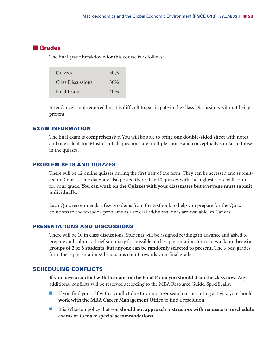## **Grades**

The final grade breakdown for this course is as follows:

| Quizzes                  | 30%    |
|--------------------------|--------|
| <b>Class Discussions</b> | 30%    |
| Final Exam               | $40\%$ |

Attendance is not required but it is difficult to participate in the Class Discussions without being present.

## **EXAM INFORMATION**

The final exam is **comprehensive**. You will be able to bring **one double-sided sheet** with notes and one calculator. Most if not all questions are multiple choice and conceptually similar to those in the quizzes.

#### **PROBLEM SETS AND QUIZZES**

There will be 12 online quizzes during the first half of the term. They can be accessed and submitted on Canvas. Due dates are also posted there. The 10 quizzes with the highest score will count for your grade. **You can work on the Quizzes with your classmates but everyone must submit individually.**

Each Quiz recommends a few problems from the textbook to help you prepare for the Quiz. Solutions to the textbook problems as a several additional ones are available on Canvas.

#### **PRESENTATIONS AND DISCUSSIONS**

There will be 10 in class discussions. Students will be assigned readings in advance and asked to prepare and submit a brief summary for possible in class presentation. You can **work on these in groups of 2 or 3 students, but anyone can be randomly selected to present.** The 6 best grades from these presentations/discussions count towards your final grade.

#### **SCHEDULING CONFLICTS**

**If you have a conflict with the date for the Final Exam you should drop the class now.** Any additional conflicts will be resolved according to the MBA Resource Guide. Specifically:

- - If you find yourself with a conflict due to your career search or recruiting activity, you should **work with the MBA Career Management Office** to find a resolution.
- - It is Wharton policy that you **should not approach instructors with requests to reschedule exams or to make special accommodations.**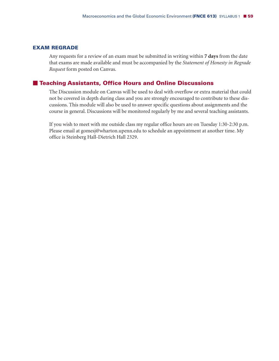## **EXAM REGRADE**

Any requests for a review of an exam must be submitted in writing within **7 days** from the date that exams are made available and must be accompanied by the *Statement of Honesty in Regrade Request* form posted on Canvas.

## **Teaching Assistants, Office Hours and Online Discussions**

The Discussion module on Canvas will be used to deal with overflow or extra material that could not be covered in depth during class and you are strongly encouraged to contribute to these discussions. This module will also be used to answer specific questions about assignments and the course in general. Discussions will be monitored regularly by me and several teaching assistants.

If you wish to meet with me outside class my regular office hours are on Tuesday 1:30-2:30 p.m. Please email at gomesj@wharton.upenn.edu to schedule an appointment at another time. My office is Steinberg Hall-Dietrich Hall 2329.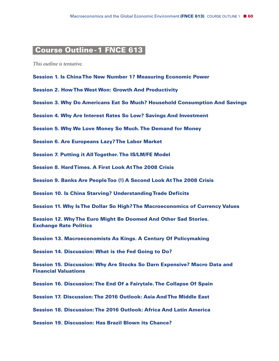## **Course Outline-1 FNCE 613-**

*This outline is tentative.*

- **Session 1. Is ChinaThe New Number 1? Measuring Economic Power**
- **Session 2. HowThe West Won: Growth And Productivity**
- **Session 3. Why Do Americans Eat So Much? Household Consumption And Savings**
- **Session 4. Why Are Interest Rates So Low? Savings And Investment**
- **Session 5. Why We Love Money So Much.The Demand for Money**
- **Session 6. Are Europeans Lazy?The Labor Market**
- **Session 7. Putting it AllTogether.The IS/LM/FE Model**
- **Session 8. HardTimes. A First Look AtThe 2008 Crisis**
- **Session 9. Banks Are PeopleToo (!) A Second Look AtThe 2008 Crisis**
- **Session 10. Is China Starving? UnderstandingTrade Deficits**
- **Session 11. Why IsThe Dollar So High?The Macroeconomics of Currency Values**

**Session 12. WhyThe Euro Might Be Doomed And Other Sad Stories. Exchange Rate Politics**

**Session 13. Macroeconomists As Kings. A Century Of Policymaking**

**Session 14. Discussion: What is the Fed Going to Do?**

**Session 15. Discussion: Why Are Stocks So Darn Expensive? Macro Data and Financial Valuations**

**Session 16. Discussion:The End Of a Fairytale.The Collapse Of Spain**

**Session 17. Discussion:The 2016 Outlook: Asia AndThe Middle East**

**Session 18. Discussion:The 2016 Outlook: Africa And Latin America**

**Session 19. Discussion: Has Brazil Blown its Chance?**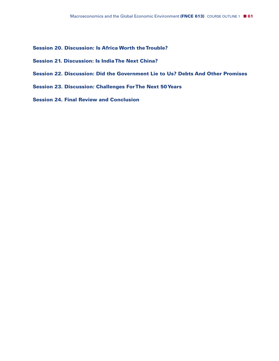- **Session 20. Discussion: Is Africa Worth theTrouble?**
- **Session 21. Discussion: Is IndiaThe Next China?**
- **Session 22. Discussion: Did the Government Lie to Us? Debts And Other Promises**
- **Session 23. Discussion: Challenges ForThe Next 50Years**
- **Session 24. Final Review and Conclusion**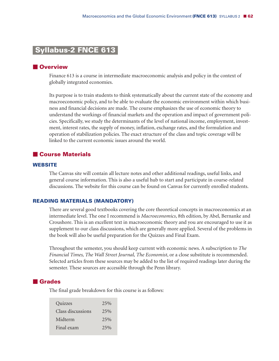## **Syllabus-2 FNCE 613-**

#### **Overview**

Finance 613 is a course in intermediate macroeconomic analysis and policy in the context of globally integrated economies.

Its purpose is to train students to think systematically about the current state of the economy and macroeconomic policy, and to be able to evaluate the economic environment within which business and financial decisions are made. The course emphasizes the use of economic theory to understand the workings of financial markets and the operation and impact of government policies. Specifically, we study the determinants of the level of national income, employment, investment, interest rates, the supply of money, inflation, exchange rates, and the formulation and operation of stabilization policies. The exact structure of the class and topic coverage will be linked to the current economic issues around the world.

#### **Course Materials**

## **WEBSITE**

The Canvas site will contain all lecture notes and other additional readings, useful links, and general course information. This is also a useful hub to start and participate in course-related discussions. The website for this course can be found on Canvas for currently enrolled students.

#### **READING MATERIALS (MANDATORY)**

There are several good textbooks covering the core theoretical concepts in macroeconomics at an intermediate level. The one I recommend is *Macroeconomics*, 8th edition, by Abel, Bernanke and Croushore. This is an excellent text in macroeconomic theory and you are encouraged to use it as supplement to our class discussions, which are generally more applied. Several of the problems in the book will also be useful preparation for the Quizzes and Final Exam.

Throughout the semester, you should keep current with economic news. A subscription to *The Financial Times, The Wall Street Journal, The Economist*, or a close substitute is recommended. Selected articles from these sources may be added to the list of required readings later during the semester. These sources are accessible through the Penn library.

## **Grades**

The final grade breakdown for this course is as follows:

| 25% |
|-----|
| 25% |
| 25% |
| 25% |
|     |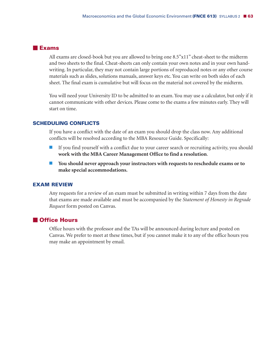#### **Exams**

All exams are closed-book but you are allowed to bring one 8.5"x11" cheat-sheet to the midterm and two sheets to the final. Cheat-sheets can only contain your own notes and in your own handwriting. In particular, they may not contain large portions of reproduced notes or any other course materials such as slides, solutions manuals, answer keys etc. You can write on both sides of each sheet. The final exam is cumulative but will focus on the material not covered by the midterm.

You will need your University ID to be admitted to an exam. You may use a calculator, but only if it cannot communicate with other devices. Please come to the exams a few minutes early. They will start on time.

## **SCHEDULING CONFLICTS**

If you have a conflict with the date of an exam you should drop the class now. Any additional conflicts will be resolved according to the MBA Resource Guide. Specifically:

- - If you find yourself with a conflict due to your career search or recruiting activity, you should **work with the MBA Career Management Office to find a resolution**.
- - **You should never approach your instructors with requests to reschedule exams or to make special accommodations.**

#### **EXAM REVIEW**

Any requests for a review of an exam must be submitted in writing within 7 days from the date that exams are made available and must be accompanied by the *Statement of Honesty in Regrade Request* form posted on Canvas.

#### **Office Hours**

Office hours with the professor and the TAs will be announced during lecture and posted on Canvas. We prefer to meet at these times, but if you cannot make it to any of the office hours you may make an appointment by email.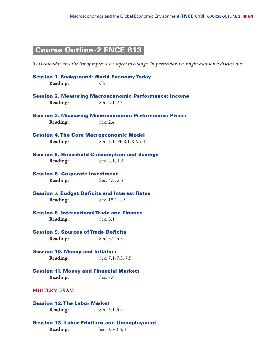# **Course Outline-2 FNCE 613-**

This calendar and the list of topics are subject to change. In particular, we might add some discussions.

| <b>Session 1. Background: World Economy Today</b>    |                                                               |
|------------------------------------------------------|---------------------------------------------------------------|
| Reading:                                             | Ch.1                                                          |
|                                                      | <b>Session 2. Measuring Macroeconomic Performance: Income</b> |
| Reading:                                             | Sec. 2.1-2.3                                                  |
|                                                      | <b>Session 3. Measuring Macroeconomic Performance: Prices</b> |
| Reading:                                             | Sec. 2.4                                                      |
| <b>Session 4. The Core Macroeconomic Model</b>       |                                                               |
| Reading:                                             | Sec. 3.1; FRB/US Model                                        |
| <b>Session 5. Household Consumption and Savings</b>  |                                                               |
| Reading:                                             | Sec. 4.1, 4.A                                                 |
| <b>Session 6. Corporate Investment</b>               |                                                               |
| Reading:                                             | Sec. 4.2, 2.5                                                 |
| <b>Session 7. Budget Deficits and Interest Rates</b> |                                                               |
| Reading:                                             | Sec. 15.1, 4.3                                                |
| <b>Session 8. International Trade and Finance</b>    |                                                               |
| Reading:                                             | Sec. 5.1                                                      |
| <b>Session 9. Sources of Trade Deficits</b>          |                                                               |
| Reading:                                             | Sec. 5.2-5.5                                                  |
| <b>Session 10. Money and Inflation</b>               |                                                               |
| Reading:                                             | Sec. 7.1-7.3, 7.5                                             |
| <b>Session 11. Money and Financial Markets</b>       |                                                               |
| Reading:                                             | Sec. 7.4                                                      |
| <b>MIDTERM EXAM</b>                                  |                                                               |
| <b>Session 12. The Labor Market</b>                  |                                                               |
| Reading:                                             | Sec. 3.1-3.4                                                  |
| <b>Session 13. Labor Frictions and Unemployment</b>  |                                                               |
| Reading:                                             | Sec. 3.5-3.6, 11.1                                            |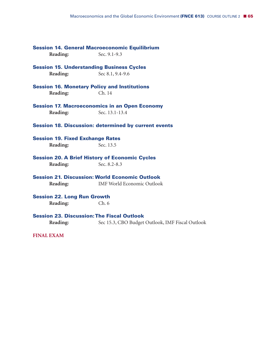|                                                       | <b>Session 14. General Macroeconomic Equilibrium</b>        |
|-------------------------------------------------------|-------------------------------------------------------------|
| Reading:                                              | Sec. 9.1-9.3                                                |
|                                                       | <b>Session 15. Understanding Business Cycles</b>            |
| Reading:                                              | Sec 8.1, 9.4-9.6                                            |
|                                                       | <b>Session 16. Monetary Policy and Institutions</b>         |
| Reading:                                              | Ch. 14                                                      |
|                                                       | <b>Session 17. Macroeconomics in an Open Economy</b>        |
| Reading:                                              | Sec. 13.1-13.4                                              |
|                                                       | <b>Session 18. Discussion: determined by current events</b> |
| <b>Session 19. Fixed Exchange Rates</b>               |                                                             |
| Reading:                                              | Sec. 13.5                                                   |
| <b>Session 20. A Brief History of Economic Cycles</b> |                                                             |
| Reading:                                              | Sec. 8.2-8.3                                                |
|                                                       | <b>Session 21. Discussion: World Economic Outlook</b>       |
| Reading:                                              | <b>IMF World Economic Outlook</b>                           |
| <b>Session 22. Long Run Growth</b>                    |                                                             |
| Reading:                                              | Ch.6                                                        |
|                                                       | <b>Session 23. Discussion: The Fiscal Outlook</b>           |
| Reading:                                              | Sec 15.3, CBO Budget Outlook, IMF Fiscal Outlook            |
| <b>FINAL EXAM</b>                                     |                                                             |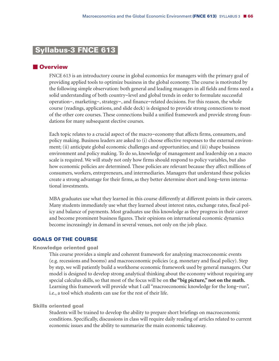## **Syllabus-3 FNCE 613-**

### **Overview**

FNCE 613 is an introductory course in global economics for managers with the primary goal of providing applied tools to optimize business in the global economy. The course is motivated by the following simple observation: both general and leading managers in all fields and firms need a solid understanding of both country-level and global trends in order to formulate successful operation-, marketing-, strategy-, and finance-related decisions. For this reason, the whole course (readings, applications, and slide deck) is designed to provide strong connections to most of the other core courses. These connections build a unified framework and provide strong foundations for many subsequent elective courses.

Each topic relates to a crucial aspect of the macro-economy that affects firms, consumers, and policy making. Business leaders are asked to (i) choose effective responses to the external environment; (ii) anticipate global economic challenges and opportunities; and (iii) shape business environment and policy making. To do so, knowledge of management and leadership on a macro scale is required. We will study not only how firms should respond to policy variables, but also how economic policies are determined. These policies are relevant because they affect millions of consumers, workers, entrepreneurs, and intermediaries. Managers that understand these policies create a strong advantage for their firms, as they better determine short and long-term international investments.

MBA graduates use what they learned in this course differently at different points in their careers. Many students immediately use what they learned about interest rates, exchange rates, fiscal policy and balance of payments. Most graduates use this knowledge as they progress in their career and become prominent business figures. Their opinions on international economic dynamics become increasingly in demand in several venues, not only on the job place.

#### **GOALS OF THE COURSE**

#### **Knowledge oriented goal**

This course provides a simple and coherent framework for analyzing macroeconomic events (e.g. recessions and booms) and macroeconomic policies (e.g. monetary and fiscal policy). Step by step, we will patiently build a workhorse economic framework used by general managers. Our model is designed to develop strong analytical thinking about the economy without requiring any special calculus skills, so that most of the focus will be on **the "big picture," not on the math.** Learning this framework will provide what I call "macroeconomic knowledge for the long-run", i.e., a tool which students can use for the rest of their life.

#### **Skills oriented goal**

Students will be trained to develop the ability to prepare short briefings on macroeconomic conditions. Specifically, discussions in class will require daily reading of articles related to current economic issues and the ability to summarize the main economic takeaway.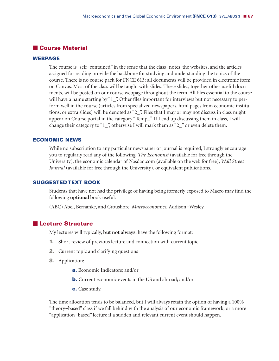## **Course Material**

#### **WEBPAGE**

The course is "self-contained" in the sense that the class-notes, the websites, and the articles assigned for reading provide the backbone for studying and understanding the topics of the course. There is no course pack for FNCE 613: all documents will be provided in electronic form on Canvas. Most of the class will be taught with slides. These slides, together other useful documents, will be posted on our course webpage throughout the term. All files essential to the course will have a name starting by "1\_". Other files important for interviews but not necessary to perform well in the course (articles from specialized newspapers, html pages from economic institutions, or extra slides) will be denoted as "2\_". Files that I may or may not discuss in class might appear on Course portal in the category "Temp\_". If I end up discussing them in class, I will change their category to "1\_", otherwise I will mark them as "2\_" or even delete them.

#### **ECONOMIC NEWS**

While no subscription to any particular newspaper or journal is required, I strongly encourage you to regularly read any of the following: *The Economist* (available for free through the University), the economic calendar of Nasdaq.com (available on the web for free), *Wall Street Journal* (available for free through the University), or equivalent publications.

#### **SUGGESTED TEXT BOOK**

Students that have not had the privilege of having being formerly exposed to Macro may find the following **optional** book useful:

(ABC) Abel, Bernanke, and Croushore. *Macroeconomics.* Addison-Wesley.

## **Lecture Structure**

My lectures will typically, **but not always**, have the following format:

- **1.** Short review of previous lecture and connection with current topic
- **2.** Current topic and clarifying questions
- **3.** Application:
	- **a.** Economic Indicators; and/or
	- **b.** Current economic events in the US and abroad; and/or
	- **c.** Case study.

The time allocation tends to be balanced, but I will always retain the option of having a 100% "theory-based" class if we fall behind with the analysis of our economic framework, or a more "application-based" lecture if a sudden and relevant current event should happen.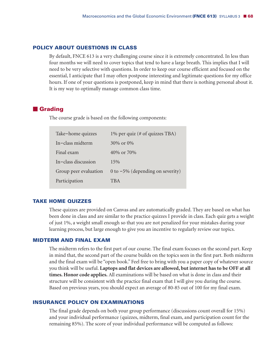#### **POLICY ABOUT QUESTIONS IN CLASS**

By default, FNCE 613 is a very challenging course since it is extremely concentrated. In less than four months we will need to cover topics that tend to have a large breath. This implies that I will need to be very selective with questions. In order to keep our course efficient and focused on the essential, I anticipate that I may often postpone interesting and legitimate questions for my office hours. If one of your questions is postponed, keep in mind that there is nothing personal about it. It is my way to optimally manage common class time.

## **Grading**

The course grade is based on the following components:

| Take-home quizzes     | 1% per quiz (# of quizzes TBA)      |
|-----------------------|-------------------------------------|
| In-class midterm      | $30\%$ or $0\%$                     |
| Final exam            | 40\% or 70\%                        |
| In-class discussion   | 15%                                 |
| Group peer evaluation | 0 to $-5\%$ (depending on severity) |
| Participation         | <b>TBA</b>                          |
|                       |                                     |

#### **TAKE HOME QUIZZES**

These quizzes are provided on Canvas and are automatically graded. They are based on what has been done in class and are similar to the practice quizzes I provide in class. Each quiz gets a weight of just 1%, a weight small enough so that you are not penalized for your mistakes during your learning process, but large enough to give you an incentive to regularly review our topics.

#### **MIDTERM AND FINAL EXAM**

The midterm refers to the first part of our course. The final exam focuses on the second part. Keep in mind that, the second part of the course builds on the topics seen in the first part. Both midterm and the final exam will be "open book." Feel free to bring with you a paper copy of whatever source you think will be useful. **Laptops and flat devices are allowed, but internet hasto be OFF at all times. Honor code applies.** All examinations will be based on what is done in class and their structure will be consistent with the practice final exam that I will give you during the course. Based on previous years, you should expect an average of 80-85 out of 100 for my final exam.

#### **INSURANCE POLICY ON EXAMINATIONS**

The final grade depends on both your group performance (discussions count overall for 15%) and your individual performance (quizzes, midterm, final exam, and participation count for the remaining 85%). The score of your individual performance will be computed as follows: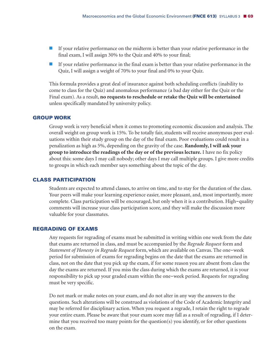- **If your relative performance on the midterm is better than your relative performance in the** final exam, I will assign 30% to the Quiz and 40% to your final;
- **If your relative performance in the final exam is better than your relative performance in the** Quiz, I will assign a weight of 70% to your final and 0% to your Quiz.

This formula provides a great deal of insurance against both scheduling conflicts (inability to come to class for the Quiz) and anomalous performance (a bad day either for the Quiz or the Final exam). As a result, **no requests to reschedule or retake the Quiz will be entertained** unless specifically mandated by university policy.

#### **GROUP WORK**

Group work is very beneficial when it comes to promoting economic discussion and analysis. The overall weight on group work is 15%. To be totally fair, students will receive anonymous peer evaluations within their study group on the day of the final exam. Poor evaluations could result in a penalization as high as 5%, depending on the gravity of the case. **Randomly,I will ask your group to introduce the readings of the day or of the previous lecture.** I have no fix policy about this: some days I may call nobody; other days I may call multiple groups. I give more credits to groups in which each member says something about the topic of the day.

#### **CLASS PARTICIPATION**

Students are expected to attend classes, to arrive on time, and to stay for the duration of the class. Your peers will make your learning experience easier, more pleasant, and, most importantly, more complete. Class participation will be encouraged, but only when it is a contribution. High-quality comments will increase your class participation score, and they will make the discussion more valuable for your classmates.

#### **REGRADING OF EXAMS**

Any requests for regrading of exams must be submitted in writing within one week from the date that exams are returned in class, and must be accompanied by the *Regrade Request* form and *Statement of Honesty in Regrade Request* form, which are available on Canvas. The one-week period for submission of exams for regrading begins on the date that the exams are returned in class, not on the date that you pick up the exam, if for some reason you are absent from class the day the exams are returned. If you miss the class during which the exams are returned, it is your responsibility to pick up your graded exam within the one-week period. Requests for regrading must be very specific.

Do not mark or make notes on your exam, and do not alter in any way the answers to the questions. Such alterations will be construed as violations of the Code of Academic Integrity and may be referred for disciplinary action. When you request a regrade, I retain the right to regrade your entire exam. Please be aware that your exam score may fall as a result of regrading, if I determine that you received too many points for the question(s) you identify, or for other questions on the exam.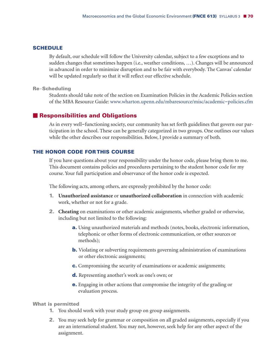## **SCHEDULE**

By default, our schedule will follow the University calendar, subject to a few exceptions and to sudden changes that sometimes happen (i.e., weather conditions, …). Changes will be announced in advanced in order to minimize disruption and to be fair with everybody. The Canvas' calendar will be updated regularly so that it will reflect our effective schedule.

#### **Re**-**Scheduling**

Students should take note of the section on Examination Policies in the Academic Policies section of the MBA Resource Guide: www.wharton.upenn.edu/mbaresource/misc/academic-policies.cfm

## **Responsibilities and Obligations**

As in every well-functioning society, our community has set forth guidelines that govern our participation in the school. These can be generally categorized in two groups. One outlines our values while the other describes our responsibilities. Below, I provide a summary of both.

## **THE HONOR CODE FOR THIS COURSE**

If you have questions about your responsibility under the honor code, please bring them to me. This document contains policies and procedures pertaining to the student honor code for my course. Your full participation and observance of the honor code is expected.

The following acts, among others, are expressly prohibited by the honor code:

- **1. Unauthorized assistance** or **unauthorized collaboration** in connection with academic work, whether or not for a grade.
- **2. Cheating** on examinations or other academic assignments, whether graded or otherwise, including but not limited to the following:
	- **a.** Using unauthorized materials and methods (notes, books, electronic information, telephonic or other forms of electronic communication, or other sources or methods);
	- **b.** Violating or subverting requirements governing administration of examinations or other electronic assignments;
	- **c.** Compromising the security of examinations or academic assignments;
	- **d.** Representing another's work as one's own; or
	- **e.** Engaging in other actions that compromise the integrity of the grading or evaluation process.

**What is permitted**

- **1.** You should work with your study group on group assignments.
- **2.** You may seek help for grammar or composition on all graded assignments, especially if you are an international student. You may not, however, seek help for any other aspect of the assignment.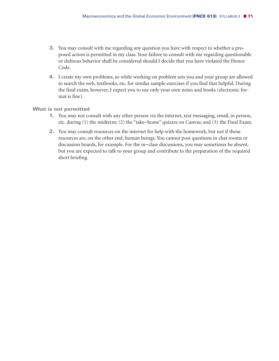- **3.** You may consult with me regarding any question you have with respect to whether a proposed action is permitted in my class. Your failure to consult with me regarding questionable or dubious behavior shall be considered should I decide that you have violated the Honor Code.
- **4.** I create my own problems, so while working on problem sets you and your group are allowed to search the web, textbooks, etc. for similar sample exercises if you find that helpful. During the final exam, however, I expect you to use only your own notes and books (electronic format is fine).

#### **What is not permitted**

- **1.** You may not consult with any other person via the internet, text messaging, email, in person, etc. during (1) the midterm; (2) the "take-home" quizzes on Canvas; and (3) the Final Exam.
- **2.** You may consult resources on the internet for help with the homework, but not if those resources are, on the other end, human beings. You cannot post questions in chat rooms or discussion boards, for example. For the in-class discussions, you may sometimes be absent, but you are expected to talk to your group and contribute to the preparation of the required short briefing.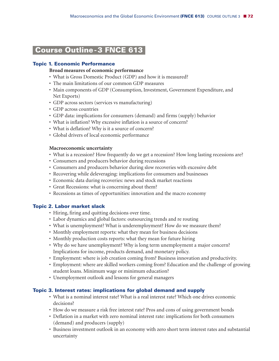## **Course Outline-3 FNCE 613-**

## **Topic 1. Economic Performance**

### **Broad measures of economic performance**

- What is Gross Domestic Product (GDP) and how it is measured?
- The main limitations of our common GDP measures
- Main components of GDP (Consumption, Investment, Government Expenditure, and Net Exports)
- GDP across sectors (services vs manufacturing)
- GDP across countries
- GDP data: implications for consumers (demand) and firms (supply) behavior
- What is inflation? Why excessive inflation is a source of concern?
- What is deflation? Why is it a source of concern?
- Global drivers of local economic performance

#### **Macroeconomic uncertainty**

- What is a recession? How frequently do we get a recession? How long lasting recessions are?
- Consumers and producers behavior during recessions
- Consumers and producers behavior during slow recoveries with excessive debt
- Recovering while deleveraging: implications for consumers and businesses
- Economic data during recoveries: news and stock market reactions
- Great Recessions: what is concerning about them?
- Recessions as times of opportunities: innovation and the macro economy

## **Topic 2. Labor market slack**

- Hiring, firing and quitting decisions over time.
- Labor dynamics and global factors: outsourcing trends and re routing
- What is unemployment? What is underemployment? How do we measure them?
- Monthly employment reports: what they mean for business decisions
- Monthly production costs reports: what they mean for future hiring
- Why do we have unemployment? Why is long term unemployment a major concern? Implications for income, products demand, and monetary policy.
- Employment: where is job creation coming from? Business innovation and productivity.
- Employment: where are skilled workers coming from? Education and the challenge of growing student loans. Minimum wage or minimum education?
- Unemployment outlook and lessons for general managers

## **Topic 3. Interest rates: implications for global demand and supply**

- What is a nominal interest rate? What is a real interest rate? Which one drives economic decisions?
- How do we measure a risk free interest rate? Pros and cons of using government bonds
- Deflation in a market with zero nominal interest rate: implications for both consumers (demand) and producers (supply)
- Business investment outlook in an economy with zero short term interest rates and substantial uncertainty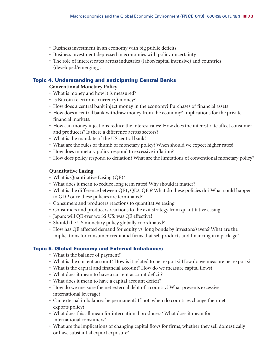- Business investment in an economy with big public deficits
- Business investment depressed in economies with policy uncertainty
- The role of interest rates across industries (labor/capital intensive) and countries (developed/emerging).

# **Topic 4. Understanding and anticipating Central Banks**

# **Conventional Monetary Policy**

- What is money and how it is measured?
- Is Bitcoin (electronic currency) money?
- How does a central bank inject money in the economy? Purchases of financial assets
- How does a central bank withdraw money from the economy? Implications for the private financial markets.
- How can money injections reduce the interest rates? How does the interest rate affect consumer and producers? Is there a difference across sectors?
- What is the mandate of the US central bank?
- What are the rules of thumb of monetary policy? When should we expect higher rates?
- How does monetary policy respond to excessive inflation?
- How does policy respond to deflation? What are the limitations of conventional monetary policy?

# **Quantitative Easing**

- What is Quantitative Easing (QE)?
- What does it mean to reduce long term rates? Why should it matter?
- What is the difference between QE1, QE2, QE3? What do these policies do? What could happen to GDP once these policies are terminated?
- Consumers and producers reactions to quantitative easing
- Consumers and producers reactions to the exit strategy from quantitative easing
- Japan: will QE ever work? US: was QE effective?
- Should the US monetary policy globally coordinated?
- How has QE affected demand for equity vs. long bonds by investors/savers? What are the implications for consumer credit and firms that sell products and financing in a package?

# **Topic 5. Global Economy and External Imbalances**

- What is the balance of payment?
- What is the current account? How is it related to net exports? How do we measure net exports?
- What is the capital and financial account? How do we measure capital flows?
- What does it mean to have a current account deficit?
- What does it mean to have a capital account deficit?
- How do we measure the net external debt of a country? What prevents excessive international leverage?
- Can external imbalances be permanent? If not, when do countries change their net exports policy?
- What does this all mean for international producers? What does it mean for international consumers?
- What are the implications of changing capital flows for firms, whether they sell domestically or have substantial export exposure?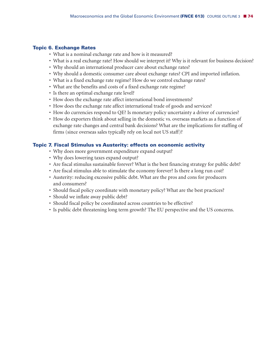## **Topic 6. Exchange Rates**

- What is a nominal exchange rate and how is it measured?
- What is a real exchange rate? How should we interpret it? Why is it relevant for business decision?
- Why should an international producer care about exchange rates?
- Why should a domestic consumer care about exchange rates? CPI and imported inflation.
- What is a fixed exchange rate regime? How do we control exchange rates?
- What are the benefits and costs of a fixed exchange rate regime?
- Is there an optimal exchange rate level?
- How does the exchange rate affect international bond investments?
- How does the exchange rate affect international trade of goods and services?
- How do currencies respond to QE? Is monetary policy uncertainty a driver of currencies?
- How do exporters think about selling in the domestic vs. overseas markets as a function of exchange rate changes and central bank decisions? What are the implications for staffing of firms (since overseas sales typically rely on local not US staff)?

### **Topic 7. Fiscal Stimulus vs Austerity: effects on economic activity**

- Why does more government expenditure expand output?
- Why does lowering taxes expand output?
- Are fiscal stimulus sustainable forever? What is the best financing strategy for public debt?
- Are fiscal stimulus able to stimulate the economy forever? Is there a long run cost?
- Austerity: reducing excessive public debt. What are the pros and cons for producers and consumers?
- Should fiscal policy coordinate with monetary policy? What are the best practices?
- Should we inflate away public debt?
- Should fiscal policy be coordinated across countries to be effective?
- Is public debt threatening long term growth? The EU perspective and the US concerns.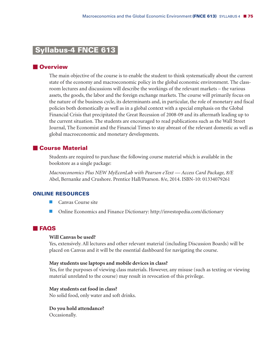# **Syllabus-4 FNCE 613-**

# **Overview**

The main objective of the course is to enable the student to think systematically about the current state of the economy and macroeconomic policy in the global economic environment. The classroom lectures and discussions will describe the workings of the relevant markets – the various assets, the goods, the labor and the foreign exchange markets. The course will primarily focus on the nature of the business cycle, its determinants and, in particular, the role of monetary and fiscal policies both domestically as well as in a global context with a special emphasis on the Global Financial Crisis that precipitated the Great Recession of 2008-09 and its aftermath leading up to the current situation. The students are encouraged to read publications such as the Wall Street Journal, The Economist and the Financial Times to stay abreast of the relevant domestic as well as global macroeconomic and monetary developments.

# **Course Material**

Students are required to purchase the following course material which is available in the bookstore as a single package:

*Macroeconomics Plus NEW MyEconLab with Pearson eText — Access Card Package, 8/E* Abel, Bernanke and Crushore. Prentice Hall/Pearson. 8/e, 2014. ISBN-10: 01334079261

### **ONLINE RESOURCES**

- **Canvas Course site**
- **E** Online Economics and Finance Dictionary: http://investopedia.com/dictionary

# **FAQS**

#### **Will Canvas be used?**

Yes, extensively. All lectures and other relevant material (including Discussion Boards) will be placed on Canvas and it will be the essential dashboard for navigating the course.

#### **May students use laptops and mobile devices in class?**

Yes, for the purposes of viewing class materials. However, any misuse (such as texting or viewing material unrelated to the course) may result in revocation of this privilege.

### **May students eat food in class?**

No solid food, only water and soft drinks.

**Do you hold attendance?** Occasionally.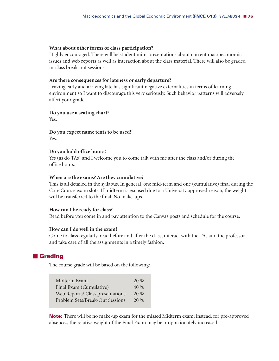#### **What about other forms of class participation?**

Highly encouraged. There will be student mini-presentations about current macroeconomic issues and web reports as well as interaction about the class material. There will also be graded in-class break-out sessions.

#### **Are there consequences for lateness or early departure?**

Leaving early and arriving late has significant negative externalities in terms of learning environment so I want to discourage this very seriously. Such behavior patterns will adversely affect your grade.

# **Do you use a seating chart?**

Yes.

**Do you expect name tents to be used?** Yes.

### **Do you hold office hours?**

Yes (as do TAs) and I welcome you to come talk with me after the class and/or during the office hours.

### **When are the exams? Are they cumulative?**

This is all detailed in the syllabus. In general, one mid-term and one (cumulative) final during the Core Course exam slots. If midterm is excused due to a University approved reason, the weight will be transferred to the final. No make-ups.

### **How can I be ready for class?**

Read before you come in and pay attention to the Canvas posts and schedule for the course.

#### **How can I do well in the exam?**

Come to class regularly, read before and after the class, interact with the TAs and the professor and take care of all the assignments in a timely fashion.

# **Grading**

The course grade will be based on the following:

| Midterm Exam                     | $20\%$ |
|----------------------------------|--------|
| Final Exam (Cumulative)          | $40\%$ |
| Web Reports/ Class presentations | 20%    |
| Problem Sets/Break-Out Sessions  | $20\%$ |

**Note:** There will be no make-up exam for the missed Midterm exam; instead, for pre-approved absences, the relative weight of the Final Exam may be proportionately increased.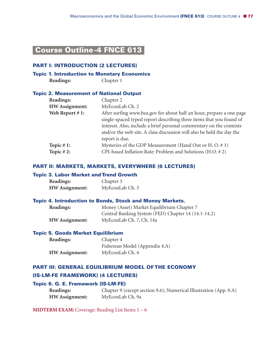# **Course Outline-4 FNCE 613-**

## **PART I: INTRODUCTION (2 LECTURES)**

## **Topic 1. Introduction to Monetary Economics**

**Readings:** Chapter 1

## **Topic 2. Measurement of National Output**

| <b>Readings:</b>      | Chapter 2                                                             |
|-----------------------|-----------------------------------------------------------------------|
| <b>HW</b> Assignment: | MyEconLab Ch. 2                                                       |
| Web Report #1:        | After surfing www.bea.gov for about half an hour, prepare a one page  |
|                       | single-spaced typed report describing three items that you found of   |
|                       | interest. Also, include a brief personal commentary on the contents   |
|                       | and/or the web site. A class discussion will also be held the day the |
|                       | report is due.                                                        |
| Topic $#1$ :          | Mysteries of the GDP Measurement (Hand Out or H. O. $# 1$ )           |
| Topic $#2$ :          | CPI-based Inflation Rate: Problem and Solutions (H.O. #2)             |
|                       |                                                                       |

# **PART II: MARKETS, MARKETS, EVERYWHERE (6 LECTURES)**

### **Topic 3. Labor Market andTrend Growth**

| <b>Readings:</b>      | Chapter 3       |
|-----------------------|-----------------|
| <b>HW</b> Assignment: | MyEconLab Ch. 3 |

# **Topic 4. Introduction to Bonds, Stock and Money Markets.**

| Readings:             | Money (Asset) Market Equilibrium Chapter 7          |  |
|-----------------------|-----------------------------------------------------|--|
|                       | Central Banking System (FED) Chapter 14 (14.1-14.2) |  |
| <b>HW</b> Assignment: | MyEconLab Ch. 7, Ch. 14a                            |  |

### **Topic 5. Goods Market Equilibrium**

| <b>Readings:</b>      | Chapter 4                      |
|-----------------------|--------------------------------|
|                       | Fisherean Model (Appendix 4.A) |
| <b>HW</b> Assignment: | MyEconLab Ch. 4                |

### **PART III: GENERAL EQUILIBRIUM MODEL OF THE ECONOMY**

### **(IS-LM-FE FRAMEWORK) (4 LECTURES)**

# **Topic 6. G. E. Framework (IS-LM-FE)**

| Readings:             | Chapter 9 (except section 9.6); Numerical Illustration (App. 9.A) |
|-----------------------|-------------------------------------------------------------------|
| <b>HW</b> Assignment: | MyEconLab Ch. 9a                                                  |

**MIDTERM EXAM:** Coverage: Reading List Items 1 – 6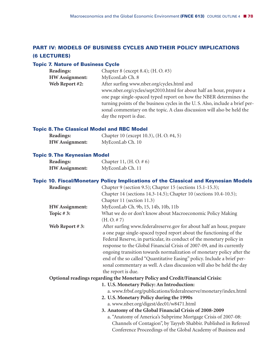# **PART IV: MODELS OF BUSINESS CYCLES AND THEIR POLICY IMPLICATIONS (6 LECTURES)**

# **Topic 7. Nature of Business Cycle**

| <b>Readings:</b>                                                             | Chapter 8 (except 8.4); (H. O. #3)                                  |  |
|------------------------------------------------------------------------------|---------------------------------------------------------------------|--|
| <b>HW</b> Assignment:                                                        | MyEconLab Ch. 8                                                     |  |
| Web Report #2:                                                               | After surfing www.nber.org/cycles.html and                          |  |
|                                                                              | www.nber.org/cycles/sept2010.html for about half an hour, prepare a |  |
|                                                                              | one page single-spaced typed report on how the NBER determines the  |  |
| turning points of the business cycles in the U.S. Also, include a brief per- |                                                                     |  |
| sonal commentary on the topic. A class discussion will also be held the      |                                                                     |  |
|                                                                              | day the report is due.                                              |  |

# **Topic 8.The Classical Model and RBC Model**

| Readings:             | Chapter 10 (except 10.3), (H. O. #4, 5) |
|-----------------------|-----------------------------------------|
| <b>HW</b> Assignment: | MyEconLab Ch. 10                        |

# **Topic 9.The Keynesian Model**

| <b>Readings:</b>      | Chapter 11, $(H. O. \# 6)$ |
|-----------------------|----------------------------|
| <b>HW</b> Assignment: | MyEconLab Ch. 11           |

|                       | <b>Topic 10. Fiscal/Monetary Policy Implications of the Classical and Keynesian Models</b>                                                 |
|-----------------------|--------------------------------------------------------------------------------------------------------------------------------------------|
| Readings:             | Chapter 9 (section 9.5); Chapter 15 (sections 15.1-15.3);                                                                                  |
|                       | Chapter 14 (sections 14.3-14.5); Chapter 10 (sections 10.4-10.5);                                                                          |
|                       | Chapter 11 (section 11.3)                                                                                                                  |
| <b>HW</b> Assignment: | MyEconLab Ch. 9b, 15, 14b, 10b, 11b                                                                                                        |
| Topic $#3$ :          | What we do or don't know about Macroeconomic Policy Making                                                                                 |
|                       | (H. O. # 7)                                                                                                                                |
| Web Report #3:        | After surfing www.federalreserve.gov for about half an hour, prepare<br>a one page single-spaced typed report about the functioning of the |
|                       | Federal Reserve, in particular, its conduct of the monetary policy in                                                                      |
|                       | response to the Global Financial Crisis of 2007-09, and its currently                                                                      |
|                       | ongoing transition towards normalization of monetary policy after the                                                                      |
|                       | end of the so called "Quantitative Easing" policy. Include a brief per-                                                                    |
|                       | sonal commentary as well. A class discussion will also be held the day                                                                     |
|                       | the report is due.                                                                                                                         |
|                       | Optional readings regarding the Monetary Policy and Credit/Financial Crisis:                                                               |
|                       | 1. U.S. Monetary Policy: An Introduction:                                                                                                  |
|                       | a. www.frbsf.org/publications/federalreserve/monetary/index.html                                                                           |
|                       | 2. U.S. Monetary Policy during the 1990s                                                                                                   |
|                       | a. www.nber.org/digest/dec01/w8471.html                                                                                                    |
|                       | 3. Anatomy of the Global Financial Crisis of 2008-2009                                                                                     |
|                       | a. "Anatomy of America's Subprime Mortgage Crisis of 2007-08:                                                                              |
|                       | Channels of Contagion", by Tayyeb Shabbir. Published in Refereed                                                                           |
|                       | Conference Proceedings of the Global Academy of Business and                                                                               |
|                       |                                                                                                                                            |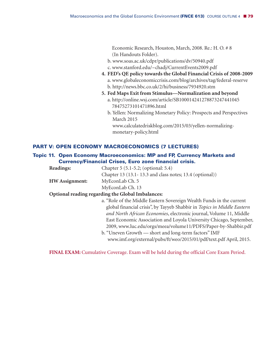Economic Research, Houston, March, 2008. Re.: H. O. # 8 (In Handouts Folder).

- b. www.soas.ac.uk/cdpr/publications/dv/50940.pdf c. www.stanford.edu/~chadj/CurrentEvents2009.pdf
- **4. FED's QE policy towards the Global Financial Crisis of 2008-2009** a. www.globaleconomiccrisis.com/blog/archives/tag/federal-reserve b. http://news.bbc.co.uk/2/hi/business/7934920.stm
- **5. Fed Maps Exit from Stimulus—Normalization and beyond**
	- a. http://online.wsj.com/article/SB100014241278873247441045 78475273101471896.html
	- b. Yellen: Normalizing Monetary Policy: Prospects and Perspectives March 2015

www.calculatedriskblog.com/2015/03/yellen-normalizingmonetary-policy.html

# **PART V: OPEN ECONOMY MACROECONOMICS (7 LECTURES)**

# **Topic 11. Open Economy Macroeconomics: MP and FP, Currency Markets and Currency/Financial Crises, Euro zone financial crisis.**

| Readings:             | Chapter 5 (5.1-5.2; (optional: 5.4)                                     |
|-----------------------|-------------------------------------------------------------------------|
|                       | Chapter 13 (13.1-13.3 and class notes; 13.4 (optional))                 |
| <b>HW</b> Assignment: | MyEconLab Ch. 5                                                         |
|                       | MyEconLab Ch. 13                                                        |
|                       | Optional reading regarding the Global Imbalances:                       |
|                       | a. "Role of the Middle Eastern Sovereign Wealth Funds in the current    |
|                       | global financial crisis", by Tayyeb Shabbir in Topics in Middle Eastern |
|                       | and North African Economies, electronic journal, Volume 11, Middle      |
|                       | East Economic Association and Loyola University Chicago, September,     |
|                       | 2009, www.luc.edu/orgs/meea/volume11/PDFS/Paper-by-Shabbir.pdf          |
|                       | b. "Uneven Growth — short and long-term factors" IMF                    |
|                       | www.imf.org/external/pubs/ft/weo/2015/01/pdf/text.pdf April, 2015.      |

**FINAL EXAM:** Cumulative Coverage. Exam will be held during the official Core Exam Period.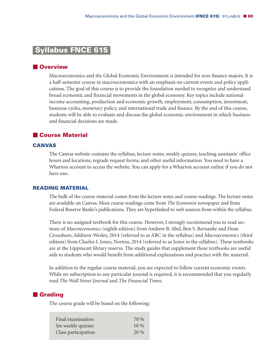# **Syllabus FNCE 615-**

### **Overview**

Macroeconomics and the Global Economic Environment is intended for non-finance majors. It is a half-semester course in macroeconomics with an emphasis on current events and policy applications. The goal of this course is to provide the foundation needed to recognize and understand broad economic and financial movements in the global economy. Key topics include national income accounting, production and economic growth, employment, consumption, investment, business cycles, monetary policy, and international trade and finance. By the end of this course, students will be able to evaluate and discuss the global economic environment in which business and financial decisions are made.

# **Course Material**

### **CANVAS**

The Canvas website contains the syllabus, lecture notes, weekly quizzes, teaching assistants' office hours and locations, regrade request forms, and other useful information. You need to have a Wharton account to access the website. You can apply for a Wharton account online if you do not have one.

### **READING MATERIAL**

The bulk of the course material comes from the lecture notes and course readings. The lecture notes are available on Canvas. Most course readings come from *The Economist* newspaper and from Federal Reserve Banks's publications. They are hyperlinked to web sources from within the syllabus.

There is no assigned textbook for this course. However, I strongly recommend you to read sections of *Macroeconomics* (eighth edition) from Andrew B. Abel, Ben S. Bernanke and Dean Croushore, Addison-Wesley, 2014 (referred to as ABC in the syllabus) and *Macroeconomics* (third edition) from Charles I. Jones, Norton, 2014 (referred to as Jones in the syllabus). These textbooks are at the Lippincott library reserve. The study guides that supplement these textbooks are useful aids to students who would benefit from additional explanations and practice with the material.

In addition to the regular course material, you are expected to follow current economic events. While no subscription to any particular journal is required, it is recommended that you regularly read *The Wall Street Journal* and *The Financial Times*.

## **Grading**

The course grade will be based on the following:

| Final examination   | 70 %   |
|---------------------|--------|
| Six weekly quizzes  | $10\%$ |
| Class participation | $20\%$ |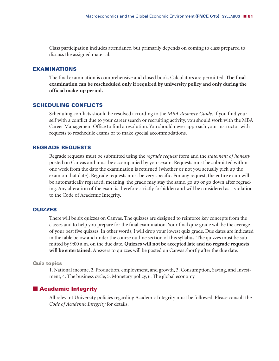Class participation includes attendance, but primarily depends on coming to class prepared to discuss the assigned material.

### **EXAMINATIONS**

The final examination is comprehensive and closed book. Calculators are permitted. **The final examination can be rescheduled only if required by university policy and only during the official make-up period.**

# **SCHEDULING CONFLICTS**

Scheduling conflicts should be resolved according to the *MBA Resource Guide*. If you find yourself with a conflict due to your career search or recruiting activity, you should work with the MBA Career Management Office to find a resolution. You should never approach your instructor with requests to reschedule exams or to make special accommodations.

### **REGRADE REQUESTS**

Regrade requests must be submitted using the *regrade request* form and the *statement of honesty* posted on Canvas and must be accompanied by your exam. Requests must be submitted within one week from the date the examination is returned (whether or not you actually pick up the exam on that date). Regrade requests must be very specific. For any request, the entire exam will be automatically regraded; meaning, the grade may stay the same, go up or go down after regrading. Any alteration of the exam is therefore strictly forbidden and will be considered as a violation to the Code of Academic Integrity.

#### **QUIZZES**

There will be six quizzes on Canvas. The quizzes are designed to reinforce key concepts from the classes and to help you prepare for the final examination. Your final quiz grade will be the average of your best five quizzes. In other words, I will drop your lowest quiz grade. Due dates are indicated in the table below and under the course outline section of this syllabus. The quizzes must be submitted by 9:00 a.m. on the due date. **Quizzes will not be accepted late and no regrade requests will be entertained.** Answers to quizzes will be posted on Canvas shortly after the due date.

#### **Quiz topics**

1. National income, 2. Production, employment, and growth, 3. Consumption, Saving, and Investment, 4. The business cycle, 5. Monetary policy, 6. The global economy

## **Academic Integrity**

All relevant University policies regarding Academic Integrity must be followed. Please consult the *Code of Academic Integrity* for details.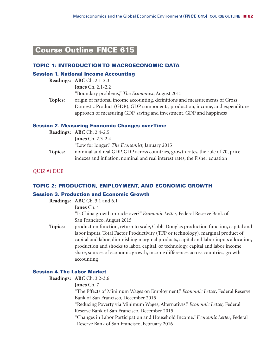# **Course Outline FNCE 615-**

### **TOPIC 1: INTRODUCTION TO MACROECONOMIC DATA**

#### **Session 1. National Income Accounting**

| origin of national income accounting, definitions and measurements of Gross |
|-----------------------------------------------------------------------------|
| Domestic Product (GDP), GDP components, production, income, and expenditure |
|                                                                             |

### **Session 2. Measuring Economic Changes overTime**

|         | Readings: ABC Ch. 2.4-2.5                                                                                                                                      |
|---------|----------------------------------------------------------------------------------------------------------------------------------------------------------------|
|         | <b>Jones</b> Ch. $2.3-2.4$                                                                                                                                     |
|         | "Low for longer," The Economist, January 2015                                                                                                                  |
| Topics: | nominal and real GDP, GDP across countries, growth rates, the rule of 70, price<br>indexes and inflation, nominal and real interest rates, the Fisher equation |

QUIZ #1 DUE

### **TOPIC 2: PRODUCTION, EMPLOYMENT, AND ECONOMIC GROWTH**

### **Session 3. Production and Economic Growth**

**Readings: ABC** Ch. 3.1 and 6.1

**Jones** Ch. 4

"Is China growth miracle over?" *Economic Letter*, Federal Reserve Bank of San Francisco, August 2015

**Topics:** production function, return to scale, Cobb-Douglas production function, capital and labor inputs, Total Factor Productivity (TFP or technology), marginal product of capital and labor, diminishing marginal products, capital and labor inputs allocation, production and shocks to labor, capital, or technology, capital and labor income share, sources of economic growth, income differences across countries, growth accounting

### **Session 4.The Labor Market**

**Readings: ABC** Ch. 3.2-3.6

### **Jones** Ch. 7

"The Effects of Minimum Wages on Employment," *Economic Letter*, Federal Reserve Bank of San Francisco, December 2015

"Reducing Poverty via Minimum Wages, Alternatives," *Economic Letter,* Federal Reserve Bank of San Francisco, December 2015

"Changes in Labor Participation and Household Income," *Economic Letter*, Federal Reserve Bank of San Francisco, February 2016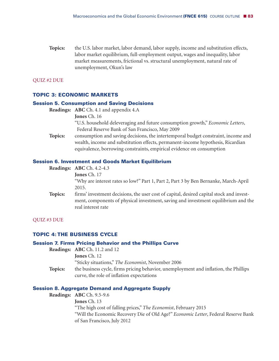**Topics:** the U.S. labor market, labor demand, labor supply, income and substitution effects, labor market equilibrium, full-employment output, wages and inequality, labor market measurements, frictional vs. structural unemployment, natural rate of unemployment, Okun's law

QUIZ #2 DUE

### **TOPIC 3: ECONOMIC MARKETS**

#### **Session 5. Consumption and Saving Decisions**

**Readings: ABC** Ch. 4.1 and appendix 4.A

**Jones** Ch. 16

"U.S. household deleveraging and future consumption growth," *Economic Letters*, Federal Reserve Bank of San Francisco, May 2009

**Topics:** consumption and saving decisions, the intertemporal budget constraint, income and wealth, income and substitution effects, permanent-income hypothesis, Ricardian equivalence, borrowing constraints, empirical evidence on consumption

### **Session 6. Investment and Goods Market Equilibrium**

|         | Readings: ABC Ch. $4.2-4.3$                                                                                                                                                                          |
|---------|------------------------------------------------------------------------------------------------------------------------------------------------------------------------------------------------------|
|         | <b>Jones Ch. 17</b>                                                                                                                                                                                  |
|         | "Why are interest rates so low?" Part 1, Part 2, Part 3 by Ben Bernanke, March-April                                                                                                                 |
|         | 2015.                                                                                                                                                                                                |
| Topics: | firms' investment decisions, the user cost of capital, desired capital stock and invest-<br>ment, components of physical investment, saving and investment equilibrium and the<br>real interest rate |
|         |                                                                                                                                                                                                      |

#### QUIZ #3 DUE

### **TOPIC 4: THE BUSINESS CYCLE**

#### **Session 7. Firms Pricing Behavior and the Phillips Curve**

**Readings: ABC** Ch. 11.2 and 12 **Jones** Ch. 12 "Sticky situations," *The Economist*, November 2006 **Topics:** the business cycle, firms pricing behavior, unemployment and inflation, the Phillips curve, the role of inflation expectations

### **Session 8. Aggregate Demand and Aggregate Supply**

**Readings: ABC** Ch. 9.5-9.6

**Jones** Ch. 13

"The high cost of falling prices," *The Economist*, February 2015

"Will the Economic Recovery Die of Old Age?" *Economic Letter*, Federal Reserve Bank of San Francisco, July 2012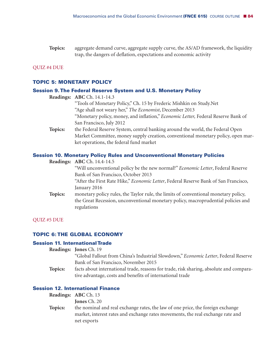**Topics:** aggregate demand curve, aggregate supply curve, the AS/AD framework, the liquidity trap, the dangers of deflation, expectations and economic activity

#### QUIZ #4 DUE

## **TOPIC 5: MONETARY POLICY**

### **Session 9.The Federal Reserve System and U.S. Monetary Policy**

| <b>Readings: ABC</b> Ch. 14.1-14.3 |  |  |  |  |      |
|------------------------------------|--|--|--|--|------|
|                                    |  |  |  |  | י ני |

- "Tools of Monetary Policy," Ch. 15 by Frederic Mishkin on Study.Net "Age shall not weary her," *The Economist*, December 2013 "Monetary policy, money, and inflation," *Economic Letter,* Federal Reserve Bank of San Francisco, July 2012 **Topics:** the Federal Reserve System, central banking around the world, the Federal Open
	- Market Committee, money supply creation, conventional monetary policy, open market operations, the federal fund market

# **Session 10. Monetary Policy Rules and Unconventional Monetary Policies**

|         | <b>Readings: ABC</b> Ch. 14.4-14.5                                                               |
|---------|--------------------------------------------------------------------------------------------------|
|         | "Will unconventional policy be the new normal?" <i>Economic Letter</i> , Federal Reserve         |
|         | Bank of San Francisco, October 2013                                                              |
|         | "After the First Rate Hike," <i>Economic Letter</i> , Federal Reserve Bank of San Francisco,     |
|         | January 2016                                                                                     |
| Topics: | monetary policy rules, the Taylor rule, the limits of conventional monetary policy,              |
|         | the Great Recession, unconventional monetary policy, macroprudential policies and<br>regulations |
|         |                                                                                                  |

#### QUIZ #5 DUE

### **TOPIC 6: THE GLOBAL ECONOMY**

### **Session 11. InternationalTrade**

- **Readings: Jones** Ch. 19
	- "Global Fallout from China's Industrial Slowdown," *Economic Letter*, Federal Reserve Bank of San Francisco, November 2015
- **Topics:** facts about international trade, reasons for trade, risk sharing, absolute and comparative advantage, costs and benefits of international trade

# **Session 12. International Finance**

|         | <b>Readings: ABC</b> Ch. 13                                                     |
|---------|---------------------------------------------------------------------------------|
|         | <b>Jones</b> Ch. 20                                                             |
| Topics: | the nominal and real exchange rates, the law of one price, the foreign exchange |
|         | market, interest rates and exchange rates movements, the real exchange rate and |
|         | net exports                                                                     |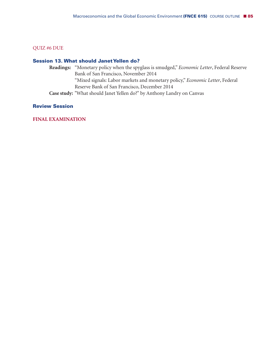# QUIZ #6 DUE

### **Session 13. What should JanetYellen do?**

**Readings:** "Monetary policy when the spyglass is smudged," *Economic Letter*, Federal Reserve Bank of San Francisco, November 2014 "Mixed signals: Labor markets and monetary policy," *Economic Letter*, Federal Reserve Bank of San Francisco, December 2014 **Case study:** "What should Janet Yellen do?" by Anthony Landry on Canvas

# **Review Session**

### **FINAL EXAMINATION**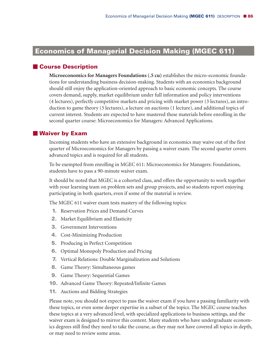# **Economics of Managerial Decision Making (MGEC 611)**

# **Course Description**

**Microeconomics for Managers Foundations (.5 cu)** establishes the micro-economic foundations for understanding business decision-making. Students with an economics background should still enjoy the application-oriented approach to basic economic concepts. The course covers demand, supply, market equilibrium under full information and policy interventions (4 lectures), perfectly competitive markets and pricing with market power (3 lectures), an introduction to game theory (3 lectures), a lecture on auctions (1 lecture), and additional topics of current interest. Students are expected to have mastered these materials before enrolling in the second quarter course: Microeconomics for Managers: Advanced Applications.

# **Waiver by Exam**

Incoming students who have an extensive background in economics may waive out of the first quarter of Microeconomics for Managers by passing a waiver exam. The second quarter covers advanced topics and is required for all students.

To be exempted from enrolling in MGEC 611: Microeconomics for Managers: Foundations, students have to pass a 90-minute waiver exam.

It should be noted that MGEC is a cohorted class, and offers the opportunity to work together with your learning team on problem sets and group projects, and so students report enjoying participating in both quarters, even if some of the material is review.

The MGEC 611 waiver exam tests mastery of the following topics:

- **1.** Reservation Prices and Demand Curves
- **2.** Market Equilibrium and Elasticity
- **3.** Government Interventions
- **4.** Cost-Minimizing Production
- **5.** Producing in Perfect Competition
- **6.** Optimal Monopoly Production and Pricing
- **7.** Vertical Relations: Double Marginalization and Solutions
- **8.** Game Theory: Simultaneous games
- **9.** Game Theory: Sequential Games
- **10.** Advanced Game Theory: Repeated/Infinite Games
- **11.** Auctions and Bidding Strategies

Please note, you should not expect to pass the waiver exam if you have a passing familiarity with these topics, or even some deeper expertise in a subset of the topics. The MGEC course teaches these topics at a very advanced level, with specialized applications to business settings, and the waiver exam is designed to mirror this content. Many students who have undergraduate economics degrees still find they need to take the course, as they may not have covered all topics in depth, or may need to review some areas.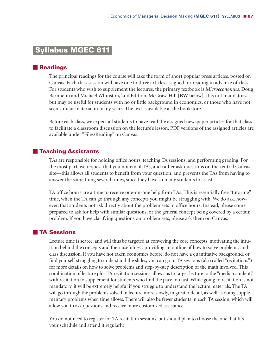# **Syllabus MGEC 611-**

# **Readings**

The principal readings for the course will take the form of short popular press articles, posted on Canvas. Each class session will have one to three articles assigned for reading in advance of class. For students who wish to supplement the lectures, the primary textbook is *Microeconomics*, Doug Bernheim and Michael Whinston, 2nd Edition, McGraw-Hill [**BW** below]. It is not mandatory, but may be useful for students with no or little background in economics, or those who have not seen similar material in many years. The text is available at the bookstore.

Before each class, we expect all students to have read the assigned newspaper articles for that class to facilitate a classroom discussion on the lecture's lesson. PDF versions of the assigned articles are available under "Files\Reading" on Canvas.

# **Teaching Assistants**

TAs are responsible for holding office hours, teaching TA sessions, and performing grading. For the most part, we request that you not email TAs, and rather ask questions on the central Canvas site—this allows all students to benefit from your question, and prevents the TAs from having to answer the same thing several times, since they have so many students to assist.

TA office hours are a time to receive one-on-one help from TAs. This is essentially free "tutoring" time, when the TA can go through any concepts you might be struggling with. We do ask, however, that students not ask directly about the problem sets in office hours. Instead, please come prepared to ask for help with similar questions, or the general concept being covered by a certain problem. If you have clarifying questions on problem sets, please ask them on Canvas.

### **TA Sessions**

Lecture time is scarce, and will thus be targeted at conveying the core concepts, motivating the intuition behind the concepts and their usefulness, providing an outline of how to solve problems, and class discussion. If you have not taken economics before, do not have a quantitative background, or find yourself struggling to understand the slides, you can go to TA sessions (also called "recitations") for more details on how to solve problems and step-by-step description of the math involved. This combination of lecture plus TA recitation sessions allows us to target lecture to the "median student," with recitation to supplement for students who find the pace too fast. While going to recitation is not mandatory, it will be extremely helpful if you struggle to understand the lecture materials. The TA will go through the problems solved in lecture more slowly, in greater detail, as well as doing supplementary problems when time allows. There will also be fewer students in each TA session, which will allow you to ask questions and receive more customized assistance.

You do not need to register for TA recitation sessions, but should plan to choose the one that fits your schedule and attend it regularly.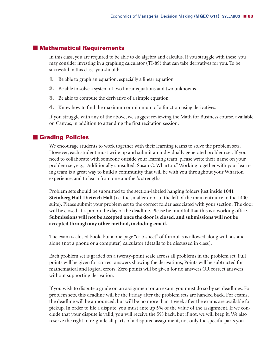## **Mathematical Requirements**

In this class, you are required to be able to do algebra and calculus. If you struggle with these, you may consider investing in a graphing calculator (TI-89) that can take derivatives for you. To be successful in this class, you should:

- **1.** Be able to graph an equation, especially a linear equation.
- **2.** Be able to solve a system of two linear equations and two unknowns.
- **3.** Be able to compute the derivative of a simple equation.
- **4.** Know how to find the maximum or minimum of a function using derivatives.

If you struggle with any of the above, we suggest reviewing the Math for Business course, available on Canvas, in addition to attending the first recitation session.

# **Grading Policies**

We encourage students to work together with their learning teams to solve the problem sets. However, each student must write up and submit an individually generated problem set. If you need to collaborate with someone outside your learning team, please write their name on your problem set, e.g., "Additionally consulted: Susan C. Wharton."Working together with your learning team is a great way to build a community that will be with you throughout your Wharton experience, and to learn from one another's strengths.

Problem sets should be submitted to the section-labeled hanging folders just inside **1041 Steinberg Hall-Dietrich Hall** (i.e. the smaller door to the left of the main entrance to the 1400 suite). Please submit your problem set to the correct folder associated with your section. The door will be closed at 4 pm on the day of the deadline. Please be mindful that this is a working office. **Submissions will not be accepted once the door is closed, and submissions will not be accepted through any other method, including email.**

The exam is closed book, but a one page "crib sheet" of formulas is allowed along with a standalone (not a phone or a computer) calculator (details to be discussed in class).

Each problem set is graded on a twenty-point scale across all problems in the problem set. Full points will be given for correct answers showing the derivations; Points will be subtracted for mathematical and logical errors. Zero points will be given for no answers OR correct answers without supporting derivation.

If you wish to dispute a grade on an assignment or an exam, you must do so by set deadlines. For problem sets, this deadline will be the Friday after the problem sets are handed back. For exams, the deadline will be announced, but will be no more than 1 week after the exams are available for pickup. In order to file a dispute, you must ante up 5% of the value of the assignment. If we conclude that your dispute is valid, you will receive the 5% back, but if not, we will keep it. We also reserve the right to re-grade all parts of a disputed assignment, not only the specific parts you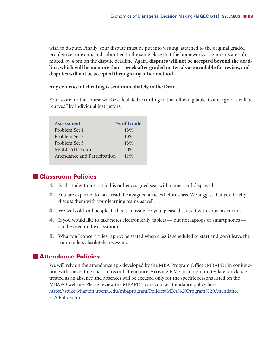wish to dispute. Finally, your dispute must be put into writing, attached to the original graded problem set or exam, and submitted to the same place that the homework assignments are submitted, by 4 pm on the dispute deadline. Again, **disputes will not be accepted beyond the deadline,which will be no more than 1 week after graded materials are available for review, and disputes will not be accepted through any other method.**

#### **Any evidence of cheating is sent immediately to the Dean.**

Your score for the course will be calculated according to the following table. Course grades will be "curved" by individual instructors.

| <b>Assessment</b>            | % of Grade |
|------------------------------|------------|
| Problem Set 1                | 13%        |
| Problem Set 2                | 13%        |
| Problem Set 3                | 13%        |
| MGEC 611 Exam                | 50%        |
| Attendance and Participation | $11\%$     |

# **Classroom Policies**

- **1.** Each student must sit in his or her assigned seat with name-card displayed.
- **2.** You are expected to have read the assigned articles before class. We suggest that you briefly discuss them with your learning teams as well.
- **3.** We will cold-call people. If this is an issue for you, please discuss it with your instructor.
- **4.** If you would like to take notes electronically, tablets but not laptops or smartphones can be used in the classroom.
- **5.** Wharton "concert rules" apply: be seated when class is scheduled to start and don't leave the room unless absolutely necessary.

# **Attendance Policies**

We will rely on the attendance app developed by the MBA Program Office (MBAPO) in conjunction with the seating chart to record attendance. Arriving FIVE or more minutes late for class is treated as an absence and absences will be excused only for the specific reasons listed on the MBAPO website. Please review the MBAPO's core course attendance policy here: https://spike.wharton.upenn.edu/mbaprogram/Policies/MBA%20Program%20Attendance %20Policy.cfm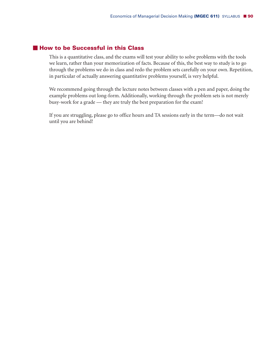# **How to be Successful in this Class**

This is a quantitative class, and the exams will test your ability to solve problems with the tools we learn, rather than your memorization of facts. Because of this, the best way to study is to go through the problems we do in class and redo the problem sets carefully on your own. Repetition, in particular of actually answering quantitative problems yourself, is very helpful.

We recommend going through the lecture notes between classes with a pen and paper, doing the example problems out long-form. Additionally, working through the problem sets is not merely busy-work for a grade — they are truly the best preparation for the exam!

If you are struggling, please go to office hours and TA sessions early in the term—do not wait until you are behind!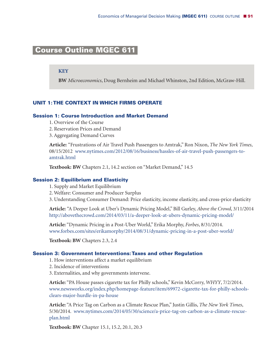# **Course Outline MGEC 611-**

### **KEY**

**BW** *Microeconomics*, Doug Bernheim and Michael Whinston, 2nd Edition, McGraw-Hill.

# **UNIT 1:THE CONTEXT IN WHICH FIRMS OPERATE**

### **Session 1: Course Introduction and Market Demand**

- 1. Overview of the Course
- 2. Reservation Prices and Demand
- 3. Aggregating Demand Curves

**Article:** "Frustrations of Air Travel Push Passengers to Amtrak," Ron Nixon, *The New York Times*, 08/15/2012 www.nytimes.com/2012/08/16/business/hassles-of-air-travel-push-passengers-toamtrak.html

**Textbook: BW** Chapters 2.1, 14.2 section on "Market Demand," 14.5

#### **Session 2: Equilibrium and Elasticity**

- 1. Supply and Market Equilibrium
- 2. Welfare: Consumer and Producer Surplus
- 3. Understanding Consumer Demand: Price elasticity, income elasticity, and cross-price elasticity

**Article:** "A Deeper Look at Uber's Dynamic Pricing Model," Bill Gurley, *Above the Crowd*, 3/11/2014 http://abovethecrowd.com/2014/03/11/a-deeper-look-at-ubers-dynamic-pricing-model/

**Article:** "Dynamic Pricing in a Post-Uber World," Erika Morphy, *Forbes*, 8/31/2014. www.forbes.com/sites/erikamorphy/2014/08/31/dynamic-pricing-in-a-post-uber-world/

**Textbook: BW** Chapters 2.3, 2.4

#### **Session 3: Government Interventions:Taxes and other Regulation**

- 1. How interventions affect a market equilibrium
- 2. Incidence of interventions
- 3. Externalities, and why governments intervene.

**Article:** "PA House passes cigarette tax for Philly schools," Kevin McCorry, *WHYY*, 7/2/2014. www.newsworks.org/index.php/homepage-feature/item/69972-cigarette-tax-for-philly-schoolsclears-major-hurdle-in-pa-house

**Article:** "A Price Tag on Carbon as a Climate Rescue Plan," Justin Gillis, *The New York Times*, 5/30/2014. www.nytimes.com/2014/05/30/science/a-price-tag-on-carbon-as-a-climate-rescueplan.html

**Textbook: BW** Chapter 15.1, 15.2, 20.1, 20.3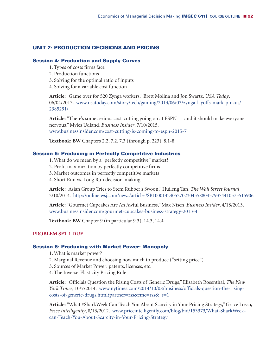# **UNIT 2: PRODUCTION DECISIONS AND PRICING**

### **Session 4: Production and Supply Curves**

- 1. Types of costs firms face
- 2. Production functions
- 3. Solving for the optimal ratio of inputs
- 4. Solving for a variable cost function

**Article:** "Game over for 520 Zynga workers," Brett Molina and Jon Swartz, *USA Today*, 06/04/2013. www.usatoday.com/story/tech/gaming/2013/06/03/zynga-layoffs-mark-pincus/ 2385291/

**Article:** "There's some serious cost-cutting going on at ESPN — and it should make everyone nervous," Myles Udland, *Business Insider*, 7/10/2015. www.businessinsider.com/cost-cutting-is-coming-to-espn-2015-7

**Textbook: BW** Chapters 2.2, 7.2, 7.3 (through p. 223), 8.1-8.

# **Session 5: Producing in Perfectly Competitive Industries**

1. What do we mean by a "perfectly competitive" market?

- 2. Profit maximization by perfectly competitive firms
- 3. Market outcomes in perfectly competitive markets
- 4. Short Run vs. Long Run decision-making

**Article:** "Asian Group Tries to Stem Rubber's Swoon," Huileng Tan, *The Wall Street Journal*, 2/10/2014. http://online.wsj.com/news/articles/SB10001424052702304558804579374410575515906

**Article:** "Gourmet Cupcakes Are An Awful Business," Max Nisen, *Business Insider*, 4/18/2013. www.businessinsider.com/gourmet-cupcakes-business-strategy-2013-4

**Textbook: BW** Chapter 9 (in particular 9.3), 14.3, 14.4

### **PROBLEM SET 1 DUE**

#### **Session 6: Producing with Market Power: Monopoly**

- 1. What is market power?
- 2. Marginal Revenue and choosing how much to produce ("setting price")
- 3. Sources of Market Power: patents, licenses, etc.
- 4. The Inverse-Elasticity Pricing Rule

**Article:** "Officials Question the Rising Costs of Generic Drugs," Elisabeth Rosenthal, *The New York Times*, 10/7/2014. www.nytimes.com/2014/10/08/business/officials-question-the-risingcosts-of-generic-drugs.html?partner=rss&emc=rss&\_r=1

**Article:** "What #SharkWeek Can Teach You About Scarcity in Your Pricing Strategy," Grace Losso, *Price Intelligently*, 8/13/2012. www.priceintelligently.com/blog/bid/153373/What-SharkWeekcan-Teach-You-About-Scarcity-in-Your-Pricing-Strategy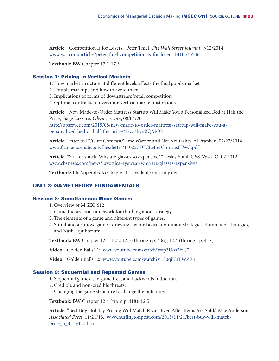**Article:** "Competition Is for Losers," Peter Thiel, *The Wall Street Journal*, 9/12/2014. www.wsj.com/articles/peter-thiel-competition-is-for-losers-1410535536

**Textbook: BW** Chapter 17.1-17.3

## **Session 7: Pricing in Vertical Markets**

- 1. How market structure at different levels affects the final goods market
- 2. Double markups and how to avoid them
- 3. Implications of forms of downstream/retail competition
- 4. Optimal contracts to overcome vertical market distortions

**Article:** "New Made-to-Order Mattress Startup Will Make You a Personalized Bed at Half the Price," Sage Lazzaro, *Observer.com*, 08/04/2015. http://observer.com/2015/08/new-made-to-order-mattress-startup-will-make-you-apersonalized-bed-at-half-the-price/#ixzz3hynXQMOF

**Article:** Letter to FCC re: Comcast/Time Warner and Net Neutrality, Al Franken, 02/27/2014. www.franken.senate.gov/files/letter/140227FCCLetterComcastTWC.pdf

**Article:** "Sticker shock: Why are glasses so expensive?," Lesley Stahl, *CBS News*, Oct 7 2012. www.cbsnews.com/news/luxottica-eyewear-why-are-glasses-expensive/

**Textbook:** PR Appendix to Chapter 11, available on study.net.

### **UNIT 3: GAMETHEORY FUNDAMENTALS**

## **Session 8: Simultaneous Move Games**

- 1. Overview of MGEC 612
- 2. Game theory as a framework for thinking about strategy
- 3. The elements of a game and different types of games.
- 4. Simultaneous move games: drawing a game board, dominant strategies, dominated strategies, and Nash Equilibrium

**Textbook: BW** Chapter 12.1-12.2, 12.3 (through p. 406), 12.4 (through p. 417)

**Video:** "Golden Balls" 1: www.youtube.com/watch?v=p3Uos2fzIJ0

**Video:** "Golden Balls" 2: www.youtube.com/watch?v=S0qjK3TWZE8

### **Session 9: Sequential and Repeated Games**

- 1. Sequential games, the game tree, and backwards induction.
- 2. Credible and non-credible threats.
- 3. Changing the game structure to change the outcome.

**Textbook: BW** Chapter 12.4 (from p. 418), 12.5

**Article:** "Best Buy Holiday Pricing Will Match Rivals Even After Items Are Sold," Mae Anderson, *Associated Press*, 11/21/13. www.huffingtonpost.com/2013/11/21/best-buy-will-matchprice\_n\_4319427.html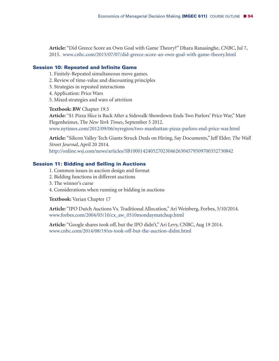**Article:** "Did Greece Score an Own Goal with Game Theory?" Dhara Ranasinghe, *CNBC*, Jul 7, 2015. www.cnbc.com/2015/07/07/did-greece-score-an-own-goal-with-game-theory.html

## **Session 10: Repeated and Infinite Game**

- 1. Finitely-Repeated simultaneous move games.
- 2. Review of time-value and discounting principles
- 3. Strategies in repeated interactions
- 4. Application: Price Wars
- 5. Mixed strategies and wars of attrition

**Textbook: BW** Chapter 19.5

**Article:** "\$1 Pizza Slice is Back After a Sidewalk Showdown Ends Two Parlors' Price War," Matt Flegenheimer, *The New York Times*, September 5 2012. www.nytimes.com/2012/09/06/nyregion/two-manhattan-pizza-parlors-end-price-war.html

**Article:** "Silicon Valley Tech Giants Struck Deals on Hiring, Say Documents," Jeff Elder, *The Wall Street Journal*, April 20 2014. http://online.wsj.com/news/articles/SB10001424052702304626304579509700352730842

# **Session 11: Bidding and Selling in Auctions**

- 1. Common issues in auction design and format
- 2. Bidding functions in different auctions
- 3. The winner's curse
- 4. Considerations when running or bidding in auctions

**Textbook:** Varian Chapter 17

**Article:** "IPO Dutch Auctions Vs. Traditional Allocation,"Ari Weinberg, Forbes, 5/10/2014. www.forbes.com/2004/05/10/cx\_aw\_0510mondaymatchup.html

**Article:** "Google shares took off, but the IPO didn't,"Ari Levy, CNBC, Aug 19 2014. www.cnbc.com/2014/08/19/es-took-off-but-the-auction-didnt.html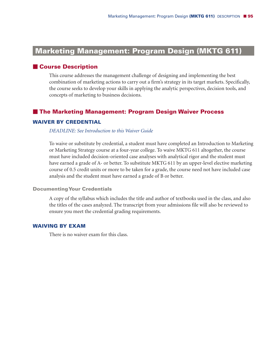# **Marketing Management: Program Design (MKTG 611)**

# **Course Description**

This course addresses the management challenge of designing and implementing the best combination of marketing actions to carry out a firm's strategy in its target markets. Specifically, the course seeks to develop your skills in applying the analytic perspectives, decision tools, and concepts of marketing to business decisions.

# **The Marketing Management: Program Design Waiver Process**

### **WAIVER BY CREDENTIAL**

### *DEADLINE: See Introduction to this Waiver Guide*

To waive or substitute by credential, a student must have completed an Introduction to Marketing or Marketing Strategy course at a four-year college. To waive MKTG 611 altogether, the course must have included decision-oriented case analyses with analytical rigor and the student must have earned a grade of A- or better. To substitute MKTG 611 by an upper-level elective marketing course of 0.5 credit units or more to be taken for a grade, the course need not have included case analysis and the student must have earned a grade of B or better.

### **Documenting Your Credentials**

A copy of the syllabus which includes the title and author of textbooks used in the class, and also the titles of the cases analyzed. The transcript from your admissions file will also be reviewed to ensure you meet the credential grading requirements.

# **WAIVING BY EXAM**

There is no waiver exam for this class.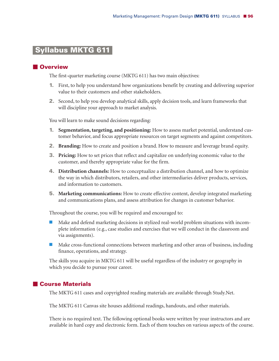# **Syllabus MKTG 611-**

# **Overview**

The first-quarter marketing course (MKTG 611) has two main objectives:

- **1.** First, to help you understand how organizations benefit by creating and delivering superior value to their customers and other stakeholders.
- **2.** Second, to help you develop analytical skills, apply decision tools, and learn frameworks that will discipline your approach to market analysis.

You will learn to make sound decisions regarding:

- **1. Segmentation, targeting, and positioning:** How to assess market potential, understand customer behavior, and focus appropriate resources on target segments and against competitors.
- **2. Branding:** How to create and position a brand. How to measure and leverage brand equity.
- **3. Pricing:** How to set prices that reflect and capitalize on underlying economic value to the customer, and thereby appropriate value for the firm.
- **4. Distribution channels:** How to conceptualize a distribution channel, and how to optimize the way in which distributors, retailers, and other intermediaries deliver products, services, and information to customers.
- **5. Marketing communications:** How to create effective content, develop integrated marketing and communications plans, and assess attribution for changes in customer behavior.

Throughout the course, you will be required and encouraged to:

- - Make and defend marketing decisions in stylized real-world problem situations with incomplete information (e.g., case studies and exercises that we will conduct in the classroom and via assignments).
- **IN Make cross-functional connections between marketing and other areas of business, including** finance, operations, and strategy.

The skills you acquire in MKTG 611 will be useful regardless of the industry or geography in which you decide to pursue your career.

# **Course Materials**

The MKTG 611 cases and copyrighted reading materials are available through Study.Net.

The MKTG 611 Canvas site houses additional readings, handouts, and other materials.

There is no required text. The following optional books were written by your instructors and are available in hard copy and electronic form. Each of them touches on various aspects of the course.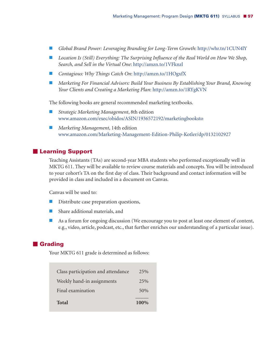- *Global Brand Power: Leveraging Branding for Long-Term Growth*: http://whr.tn/1CUN4lY
- *Location Is (Still) Everything: The Surprising Influence of the Real World on How We Shop, Search, and Sell in the Virtual One*: http://amzn.to/1VFknzl
- *Contagious: Why Things Catch On*: http://amzn.to/1HOgxfX
- *Marketing For Financial Advisors: Build Your Business By Establishing Your Brand, Knowing Your Clients and Creating a Marketing Plan*: http://amzn.to/1RYgKVN

The following books are general recommended marketing textbooks.

- - *Strategic Marketing Management*, 8th edition www.amazon.com/exec/obidos/ASIN/1936572192/marketingbooksto
- *Marketing Management*, 14th edition www.amazon.com/Marketing-Management-Edition-Philip-Kotler/dp/0132102927

### **Learning Support**

Teaching Assistants (TAs) are second-year MBA students who performed exceptionally well in MKTG 611. They will be available to review course materials and concepts. You will be introduced to your cohort's TA on the first day of class. Their background and contact information will be provided in class and included in a document on Canvas.

Canvas will be used to:

- **E** Distribute case preparation questions,
- **E** Share additional materials, and
- - As a forum for ongoing discussion (We encourage you to post at least one element of content, e.g., video, article, podcast, etc., that further enriches our understanding of a particular issue).

## **Grading**

Your MKTG 611 grade is determined as follows:

| Class participation and attendance | 2.5% |
|------------------------------------|------|
| Weekly hand-in assignments         | 2.5% |
| Final examination                  | 50%  |
| <b>Total</b>                       | 100% |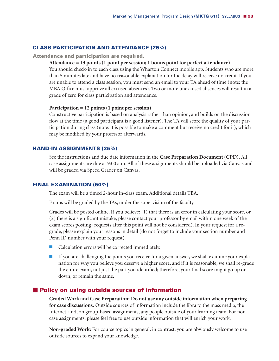### **CLASS PARTICIPATION AND ATTENDANCE (25%)**

**Attendance and participation are required.**

### **Attendance = 13 points (1 point per session; 1 bonus point for perfect attendance)**

You should check-in to each class using the Wharton Connect mobile app. Students who are more than 5 minutes late and have no reasonable explanation for the delay will receive no credit. If you are unable to attend a class session, you must send an email to your TA ahead of time (note: the MBA Office must approve all excused absences). Two or more unexcused absences will result in a grade of zero for class participation and attendance.

#### **Participation = 12 points (1 point per session)**

Constructive participation is based on analysis rather than opinion, and builds on the discussion flow at the time (a good participant is a good listener). The TA will score the quality of your participation during class (note: it is possible to make a comment but receive no credit for it), which may be modified by your professor afterwards.

### **HAND-IN ASSIGNMENTS (25%)**

See the instructions and due date information in the **Case Preparation Document (CPD).** All case assignments are due at 9:00 a.m. All of these assignments should be uploaded via Canvas and will be graded via Speed Grader on Canvas.

#### **FINAL EXAMINATION (50%)**

The exam will be a timed 2-hour in-class exam. Additional details TBA.

Exams will be graded by the TAs, under the supervision of the faculty.

Grades will be posted online. If you believe: (1) that there is an error in calculating your score, or (2) there is a significant mistake, please contact your professor by email within one week of the exam scores posting (requests after this point will not be considered). In your request for a regrade, please explain your reasons in detail (do not forget to include your section number and Penn ID number with your request).

- **E** Calculation errors will be corrected immediately.
- If you are challenging the points you receive for a given answer, we shall examine your explanation for why you believe you deserve a higher score, and if it is reasonable, we shall re-grade the entire exam, not just the part you identified; therefore, your final score might go up or down, or remain the same.

#### **Policy on using outside sources of information**

**Graded Work and Case Preparation: Do not use any outside information when preparing for case discussions.** Outside sources of information include the library, the mass media, the Internet, and, on group-based assignments, any people outside of your learning team. For noncase assignments, please feel free to use outside information that will enrich your work.

**Non-graded Work:** For course topics in general, in contrast, you are obviously welcome to use outside sources to expand your knowledge.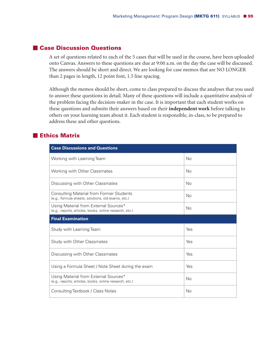# **Case Discussion Questions**

A set of questions related to each of the 5 cases that will be used in the course, have been uploaded onto Canvas. Answers to these questions are due at 9:00 a.m. on the day the case will be discussed. The answers should be short and direct. We are looking for case memos that are NO LONGER than 2 pages in length, 12 point font, 1.5 line spacing.

Although the memos should be short, come to class prepared to discuss the analyses that you used to answer these questions in detail. Many of these questions will include a quantitative analysis of the problem facing the decision-maker in the case. It is important that each student works on these questions and submits their answers based on their **independent work** before talking to others on your learning team about it. Each student is responsible, in-class, to be prepared to address these and other questions.

# **Ethics Matrix**

| <b>Case Discussions and Questions</b>                                                                 |           |
|-------------------------------------------------------------------------------------------------------|-----------|
| Working with Learning Team                                                                            | No        |
| <b>Working with Other Classmates</b>                                                                  | No        |
| Discussing with Other Classmates                                                                      | No        |
| <b>Consulting Material from Former Students</b><br>(e.g., formula sheets, solutions, old exams, etc.) | No        |
| Using Material from External Sources*<br>(e.g., reports, articles, books, online research, etc.)      | <b>No</b> |
| <b>Final Examination</b>                                                                              |           |
|                                                                                                       |           |
| Study with Learning Team                                                                              | Yes       |
| <b>Study with Other Classmates</b>                                                                    | Yes       |
| Discussing with Other Classmates                                                                      | Yes       |
| Using a Formula Sheet / Note Sheet during the exam                                                    | Yes       |
| Using Material from External Sources*<br>(e.g., reports, articles, books, online research, etc.)      | No        |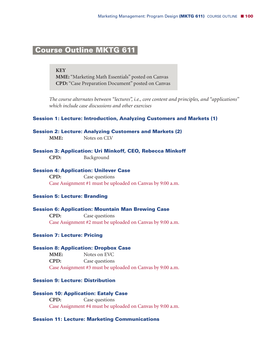# **Course Outline MKTG 611-**

**KEY MME:** "Marketing Math Essentials" posted on Canvas **CPD:** "Case Preparation Document" posted on Canvas

*The course alternates between "lectures", i.e., core content and principles, and "applications" which include case discussions and other exercises*

### **Session 1: Lecture: Introduction, Analyzing Customers and Markets (1)**

### **Session 2: Lecture: Analyzing Customers and Markets (2)**

**MME:** Notes on CLV

**Session 3: Application: Uri Minkoff, CEO, Rebecca Minkoff**

**CPD:** Background

### **Session 4: Application: Unilever Case**

**CPD:** Case questions Case Assignment #1 must be uploaded on Canvas by 9:00 a.m.

### **Session 5: Lecture: Branding**

### **Session 6: Application: Mountain Man Brewing Case**

**CPD:** Case questions Case Assignment #2 must be uploaded on Canvas by 9:00 a.m.

### **Session 7: Lecture: Pricing**

### **Session 8: Application: Dropbox Case**

**MME:** Notes on EVC **CPD:** Case questions Case Assignment #3 must be uploaded on Canvas by 9:00 a.m.

### **Session 9: Lecture: Distribution**

#### **Session 10: Application: Eataly Case**

**CPD:** Case questions Case Assignment #4 must be uploaded on Canvas by 9:00 a.m.

### **Session 11: Lecture: Marketing Communications**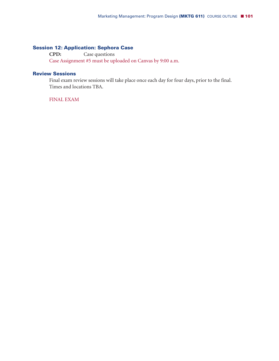# **Session 12: Application: Sephora Case**

**CPD:** Case questions Case Assignment #5 must be uploaded on Canvas by 9:00 a.m.

# **Review Sessions**

Final exam review sessions will take place once each day for four days, prior to the final. Times and locations TBA.

FINAL EXAM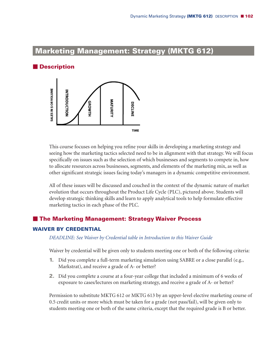# **Marketing Management: Strategy (MKTG 612)**

# **Description**



This course focuses on helping you refine your skills in developing a marketing strategy and seeing how the marketing tactics selected need to be in alignment with that strategy. We will focus specifically on issues such as the selection of which businesses and segments to compete in, how to allocate resources across businesses, segments, and elements of the marketing mix, as well as other significant strategic issues facing today's managers in a dynamic competitive environment.

All of these issues will be discussed and couched in the context of the dynamic nature of market evolution that occurs throughout the Product Life Cycle (PLC), pictured above. Students will develop strategic thinking skills and learn to apply analytical tools to help formulate effective marketing tactics in each phase of the PLC.

# **The Marketing Management: Strategy Waiver Process**

# **WAIVER BY CREDENTIAL**

*DEADLINE: See Waiver by Credential table in Introduction to this Waiver Guide*

Waiver by credential will be given only to students meeting one or both of the following criteria:

- **1.** Did you complete a full-term marketing simulation using SABRE or a close parallel (e.g., Markstrat), and receive a grade of A- or better?
- **2.** Did you complete a course at a four-year college that included a minimum of 6 weeks of exposure to cases/lectures on marketing strategy, and receive a grade of A- or better?

Permission to substitute MKTG 612 or MKTG 613 by an upper-level elective marketing course of 0.5 credit units or more which must be taken for a grade (not pass/fail), will be given only to students meeting one or both of the same criteria, except that the required grade is B or better.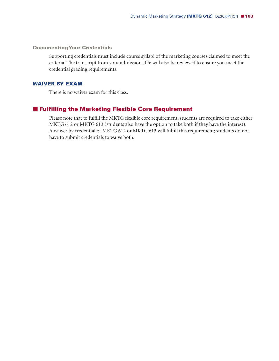### **Documenting Your Credentials**

Supporting credentials must include course syllabi of the marketing courses claimed to meet the criteria. The transcript from your admissions file will also be reviewed to ensure you meet the credential grading requirements.

# **WAIVER BY EXAM**

There is no waiver exam for this class.

# **Fulfilling the Marketing Flexible Core Requirement**

Please note that to fulfill the MKTG flexible core requirement, students are required to take either MKTG 612 or MKTG 613 (students also have the option to take both if they have the interest). A waiver by credential of MKTG 612 or MKTG 613 will fulfill this requirement; students do not have to submit credentials to waive both.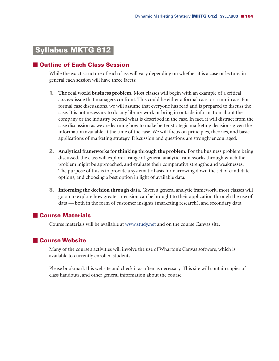# **Syllabus MKTG 612-**

# **Outline of Each Class Session**

While the exact structure of each class will vary depending on whether it is a case or lecture, in general each session will have three facets:

- **1. The real world business problem.** Most classes will begin with an example of a critical *current* issue that managers confront. This could be either a formal case, or a mini-case. For formal case discussions, we will assume that everyone has read and is prepared to discuss the case. It is not necessary to do any library work or bring in outside information about the company or the industry beyond what is described in the case. In fact, it will distract from the case discussion as we are learning how to make better strategic marketing decisions given the information available at the time of the case. We will focus on principles, theories, and basic applications of marketing strategy. Discussion and questions are strongly encouraged.
- **2. Analytical frameworks for thinking through the problem.** For the business problem being discussed, the class will explore a range of general analytic frameworks through which the problem might be approached, and evaluate their comparative strengths and weaknesses. The purpose of this is to provide a systematic basis for narrowing down the set of candidate options, and choosing a best option in light of available data.
- **3. Informing the decision through data.** Given a general analytic framework, most classes will go on to explore how greater precision can be brought to their application through the use of data — both in the form of customer insights (marketing research), and secondary data.

# **Course Materials**

Course materials will be available at www.study.net and on the course Canvas site.

# **Course Website**

Many of the course's activities will involve the use of Wharton's Canvas software, which is available to currently enrolled students.

Please bookmark this website and check it as often as necessary. This site will contain copies of class handouts, and other general information about the course.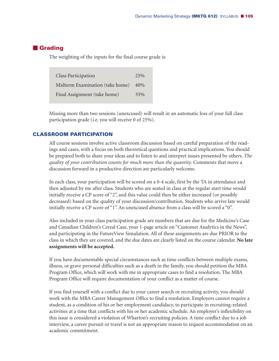# **Grading**

The weighting of the inputs for the final course grade is:

| <b>Class Participation</b>      | 25% |
|---------------------------------|-----|
| Midterm Examination (take home) | 40% |
| Final Assignment (take home)    | 35% |

Missing more than two sessions (unexcused) will result in an automatic loss of your full class participation grade (i.e. you will receive 0 of 25%).

### **CLASSROOM PARTICIPATION**

All course sessions involve active classroom discussion based on careful preparation of the readings and cases, with a focus on both theoretical questions and practical implications. You should be prepared both to share your ideas and to listen to and interpret issues presented by others. *The quality of your contribution counts for much more than the quantity.* Comments that move a discussion forward in a productive direction are particularly welcome.

In each class, your participation will be scored on a 0-4 scale, first by the TA in attendance and then adjusted by me after class. Students who are seated in class at the regular start time would initially receive a CP score of "2", and this value could then be either increased (or possibly decreased) based on the quality of your discussion/contribution. Students who arrive late would initially receive a CP score of "1". An unexcused absence from a class will be scored a "0".

Also included in your class participation grade are numbers that are due for the Medicine's Case and Canadian Children's Cereal Case, your 1-page article on "Customer Analytics in the News", and participating in the FutureView Simulation. All of these assignments are due PRIOR to the class in which they are covered, and the due dates are clearly listed on the course calendar. **No late assignments will be accepted.**

If you have documentable special circumstances such as time conflicts between multiple exams, illness, or grave personal difficulties such as a death in the family, you should petition the MBA Program Office, which will work with me in appropriate cases to find a resolution. The MBA Program Office will require documentation of your conflict as a matter of course.

If you find yourself with a conflict due to your career search or recruiting activity, you should work with the MBA Career Management Office to find a resolution. Employers cannot require a student, as a condition of his or her employment candidacy, to participate in recruiting-related activities at a time that conflicts with his or her academic schedule. An employer's inflexibility on this issue is considered a violation of Wharton's recruiting policies. A time conflict due to a job interview, a career pursuit or travel is not an appropriate reason to request accommodation on an academic commitment.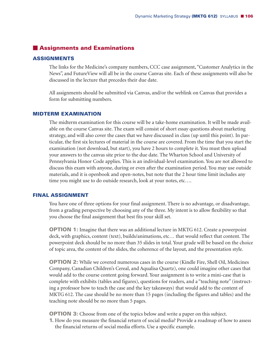# **Assignments and Examinations**

# **ASSIGNMENTS**

The links for the Medicine's company numbers, CCC case assignment, "Customer Analytics in the News", and FutureView will all be in the course Canvas site. Each of these assignments will also be discussed in the lecture that precedes their due date.

All assignments should be submitted via Canvas, and/or the weblink on Canvas that provides a form for submitting numbers.

### **MIDTERM EXAMINATION**

The midterm examination for this course will be a take-home examination. It will be made available on the course Canvas site. The exam will consist of short essay questions about marketing strategy, and will also cover the cases that we have discussed in class (up until this point). In particular, the first six lectures of material in the course are covered. From the time that you start the examination (not download, but start), you have 2 hours to complete it. You must then upload your answers to the canvas site prior to the due date. The Wharton School and University of Pennsylvania Honor Code applies. This is an individual-level examination. You are not allowed to discuss this exam with anyone, during or even after the examination period. You may use outside materials, and it is openbook and open-notes, but note that the 2 hour time limit includes any time you might use to do outside research, look at your notes, etc….

### **FINAL ASSIGNMENT**

You have one of three options for your final assignment. There is no advantage, or disadvantage, from a grading perspective by choosing any of the three. My intent is to allow flexibility so that you choose the final assignment that best fits your skill set.

**OPTION 1:** Imagine that there was an additional lecture in MKTG 612. Create a powerpoint deck, with graphics, content (text), builds/animations, etc… that would reflect that content. The powerpoint deck should be no more than 35 slides in total. Your grade will be based on the choice of topic area, the content of the slides, the coherence of the layout, and the presentation style.

**OPTION 2:** While we covered numerous cases in the course (Kindle Fire, Shell Oil, Medicines Company, Canadian Children's Cereal, and Aqualisa Quartz), one could imagine other cases that would add to the course content going forward. Your assignment is to write a mini-case that is complete with exhibits (tables and figures), questions for readers, and a "teaching note" (instructing a professor how to teach the case and the key takeaways) that would add to the content of MKTG 612. The case should be no more than 15 pages (including the figures and tables) and the teaching note should be no more than 5 pages.

**OPTION 3:** Choose from one of the topics below and write a paper on this subject.

**1.** How do you measure the financial return of social media? Provide a roadmap of how to assess the financial returns of social media efforts. Use a specific example.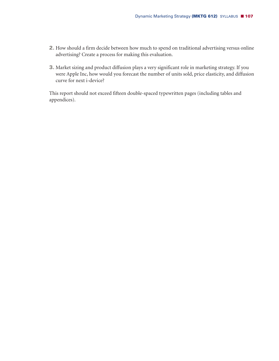- **2.** How should a firm decide between how much to spend on traditional advertising versus online advertising? Create a process for making this evaluation.
- **3.** Market sizing and product diffusion plays a very significant role in marketing strategy. If you were Apple Inc, how would you forecast the number of units sold, price elasticity, and diffusion curve for next i-device?

This report should not exceed fifteen double-spaced typewritten pages (including tables and appendices).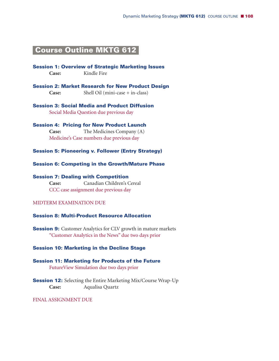# **Course Outline MKTG 612-**

**Session 1: Overview of Strategic Marketing Issues** Case: Kindle Fire

**Session 2: Market Research for New Product Design Case:** Shell Oil (mini-case + in-class)

**Session 3: Social Media and Product Diffusion** Social Media Question due previous day

**Session 4: Pricing for New Product Launch Case:** The Medicines Company (A) Medicine's Case numbers due previous day

**Session 5: Pioneering v. Follower (Entry Strategy)**

**Session 6: Competing in the Growth/Mature Phase**

**Session 7: Dealing with Competition Case:** Canadian Children's Cereal CCC case assignment due previous day

# MIDTERM EXAMINATION DUE

### **Session 8: Multi-Product Resource Allocation**

**Session 9:** Customer Analytics for CLV growth in mature markets "Customer Analytics in the News" due two days prior

### **Session 10: Marketing in the Decline Stage**

**Session 11: Marketing for Products of the Future** FutureView Simulation due two days prior

**Session 12:** Selecting the Entire Marketing Mix/Course Wrap-Up **Case:** Aqualisa Quartz

FINAL ASSIGNMENT DUE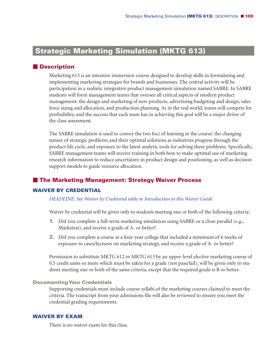# **Strategic Marketing Simulation (MKTG 613)**

## **Description**

Marketing 613 is an intensive immersion course designed to develop skills in formulating and implementing marketing strategies for brands and businesses. The central activity will be participation in a realistic integrative product management simulation named SABRE. In SABRE students will form management teams that oversee all critical aspects of modern product management: the design and marketing of new products, advertising budgeting and design, sales force sizing and allocation, and production planning. As in the real world, teams will compete for profitability, and the success that each team has in achieving this goal will be a major driver of the class assessment.

The SABRE simulation is used to convey the two foci of learning in the course: the changing nature of strategic problems and their optimal solutions as industries progress through the product life cycle, and exposure to the latest analytic tools for solving these problems. Specifically, SABRE management teams will receive training in both how to make optimal use of marketing research information to reduce uncertainty in product design and positioning, as well as decision support models to guide resource allocation.

# **The Marketing Management: Strategy Waiver Process**

#### **WAIVER BY CREDENTIAL**

#### *DEADLINE: See Waiver by Credential table in Introduction to this Waiver Guide*

Waiver by credential will be given only to students meeting one or both of the following criteria:

- **1.** Did you complete a full-term marketing simulation using SABRE or a close parallel (e.g., Markstrat), and receive a grade of A- or better?
- **2.** Did you complete a course at a four-year college that included a minimum of 6 weeks of exposure to cases/lectures on marketing strategy, and receive a grade of A- or better?

Permission to substitute MKTG 612 or MKTG 613 by an upper-level elective marketing course of 0.5 credit units or more which must be taken for a grade (not pass/fail), will be given only to students meeting one or both of the same criteria, except that the required grade is B or better.

#### **Documenting Your Credentials**

Supporting credentials must include course syllabi of the marketing courses claimed to meet the criteria. The transcript from your admissions file will also be reviewed to ensure you meet the credential grading requirements.

#### **WAIVER BY EXAM**

There is no waiver exam for this class.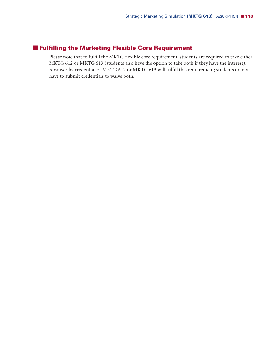# **Fulfilling the Marketing Flexible Core Requirement**

Please note that to fulfill the MKTG flexible core requirement, students are required to take either MKTG 612 or MKTG 613 (students also have the option to take both if they have the interest). A waiver by credential of MKTG 612 or MKTG 613 will fulfill this requirement; students do not have to submit credentials to waive both.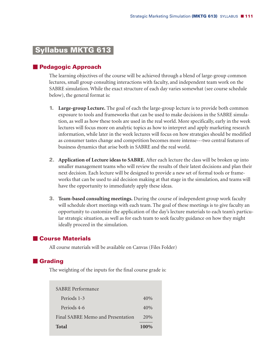# **Syllabus MKTG 613-**

## **Pedagogic Approach**

The learning objectives of the course will be achieved through a blend of large-group common lectures, small group consulting interactions with faculty, and independent team work on the SABRE simulation. While the exact structure of each day varies somewhat (see course schedule below), the general format is:

- **1. Large-group Lecture.** The goal of each the large-group lecture is to provide both common exposure to tools and frameworks that can be used to make decisions in the SABRE simulation, as well as how these tools are used in the real world. More specifically, early in the week lectures will focus more on analytic topics as how to interpret and apply marketing research information, while later in the week lectures will focus on how strategies should be modified as consumer tastes change and competition becomes more intense---two central features of business dynamics that arise both in SABRE and the real world.
- **2. Application of Lecture ideas to SABRE.** After each lecture the class will be broken up into smaller management teams who will review the results of their latest decisions and plan their next decision. Each lecture will be designed to provide a new set of formal tools or frameworks that can be used to aid decision making at that stage in the simulation, and teams will have the opportunity to immediately apply these ideas.
- **3. Team-based consulting meetings.** During the course of independent group work faculty will schedule short meetings with each team. The goal of these meetings is to give faculty an opportunity to customize the application of the day's lecture materials to each team's particular strategic situation, as well as for each team to seek faculty guidance on how they might ideally proceed in the simulation.

# **Course Materials**

All course materials will be available on Canvas (Files Folder)

# **Grading**

The weighting of the inputs for the final course grade is:

| <b>SABRE</b> Performance          |        |
|-----------------------------------|--------|
| Periods 1-3                       | $40\%$ |
| Periods 4-6                       | 40%    |
| Final SABRE Memo and Presentation | 20%    |
| Total                             | 100%   |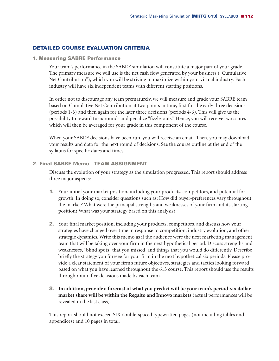# **DETAILED COURSE EVALUATION CRITERIA**

**1. Measuring SABRE Performance**

Your team's performance in the SABRE simulation will constitute a major part of your grade. The primary measure we will use is the net cash flow generated by your business ("Cumulative Net Contribution"), which you will be striving to maximize within your virtual industry. Each industry will have six independent teams with different starting positions.

In order not to discourage any team prematurely, we will measure and grade your SABRE team based on Cumulative Net Contribution at two points in time, first for the early three decisions (periods 1-3) and then again for the later three decisions (periods 4-6). This will give us the possibility to reward turnarounds and penalize "fizzle-outs." Hence, you will receive two scores which will then be averaged for your grade in this component of the course.

When your SABRE decisions have been run, you will receive an email. Then, you may download your results and data for the next round of decisions. See the course outline at the end of the syllabus for specific dates and times.

# **2. Final SABRE Memo –TEAM ASSIGNMENT**

Discuss the evolution of your strategy as the simulation progressed. This report should address three major aspects:

- **1.** Your initial your market position, including your products, competitors, and potential for growth. In doing so, consider questions such as: How did buyer-preferences vary throughout the market? What were the principal strengths and weaknesses of your firm and its starting position? What was your strategy based on this analysis?
- **2.** Your final market position, including your products, competitors, and discuss how your strategies have changed over time in response to competition, industry evolution, and other strategic dynamics. Write this memo as if the audience were the next marketing management team that will be taking over your firm in the next hypothetical period. Discuss strengths and weaknesses, "blind spots" that you missed, and things that you would do differently. Describe briefly the strategy you foresee for your firm in the next hypothetical six periods. Please provide a clear statement of your firm's future objectives, strategies and tactics looking forward, based on what you have learned throughout the 613 course. This report should use the results through round five decisions made by each team.
- **3. In addition, provide a forecast of what you predict will be your team's period-six dollar market share will be within the Regalto and Innovo markets** (actual performances will be revealed in the last class).

This report should not exceed SIX double-spaced typewritten pages (not including tables and appendices) and 10 pages in total.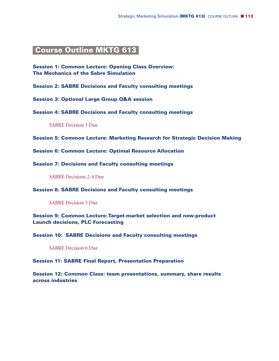# **Course Outline MKTG 613-**

**Session 1: Common Lecture: Opening Class Overview: The Mechanics of the Sabre Simulation**

**Session 2: SABRE Decisions and Faculty consulting meetings**

**Session 3: Optional Large Group Q&A session**

**Session 4: SABRE Decisions and Faculty consulting meetings**

SABRE Decision 1 Due

**Session 5: Common Lecture: Marketing Research for Strategic Decision Making**

**Session 6: Common Lecture: Optimal Resource Allocation**

**Session 7: Decisions and Faculty consulting meetings**

SABRE Decisions 2-4 Due

**Session 8: SABRE Decisions and Faculty consulting meetings**

SABRE Decision 5 Due

**Session 9: Common Lecture:Target-market selection and new-product Launch decisions, PLC Forecasting**

**Session 10: SABRE Decisions and Faculty consulting meetings**

SABRE Decision 6 Due

**Session 11: SABRE Final Report, Presentation Preparation**

**Session 12: Common Class: team presentations, summary, share results across industries**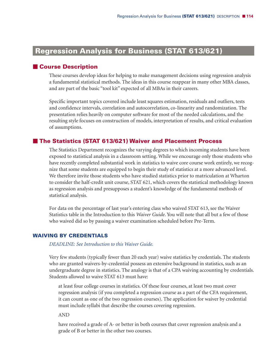# **Regression Analysis for Business (STAT 613/621)**

## - **Course Description**

These courses develop ideas for helping to make management decisions using regression analysis a fundamental statistical methods. The ideas in this course reappear in many other MBA classes, and are part of the basic "tool kit" expected of all MBAs in their careers.

Specific important topics covered include least squares estimation, residuals and outliers, tests and confidence intervals, correlation and autocorrelation, co-linearity and randomization. The presentation relies heavily on computer software for most of the needed calculations, and the resulting style focuses on construction of models, interpretation of results, and critical evaluation of assumptions.

## - **The Statistics (STAT 613/621) Waiver and Placement Process**

The Statistics Department recognizes the varying degrees to which incoming students have been exposed to statistical analysis in a classroom setting. While we encourage only those students who have recently completed substantial work in statistics to waive core course work entirely, we recognize that some students are equipped to begin their study of statistics at a more advanced level. We therefore invite those students who have studied statistics prior to matriculation at Wharton to consider the half-credit unit course, STAT 621, which covers the statistical methodology known as regression analysis and presupposes a student's knowledge of the fundamental methods of statistical analysis.

For data on the percentage of last year's entering class who waived STAT 613, see the Waiver Statistics table in the Introduction to this *Waiver Guide*. You will note that all but a few of those who waived did so by passing a waiver examination scheduled before Pre-Term.

### **WAIVING BY CREDENTIALS**

*DEADLINE: See Introduction to this Waiver Guide.*

Very few students (typically fewer than 20 each year) waive statistics by credentials. The students who are granted waivers-by-credential possess an extensive background in statistics, such as an undergraduate degree in statistics. The analogy is that of a CPA waiving accounting by credentials. Students allowed to waive STAT 613 must have:

at least four college courses in statistics. Of these four courses, at least two must cover regression analysis (if you completed a regression course as a part of the CFA requirement, it can count as one of the two regression courses). The application for waiver by credential must include syllabi that describe the courses covering regression.

AND

have received a grade of A- or better in both courses that cover regression analysis and a grade of B or better in the other two courses.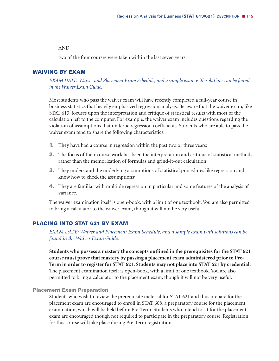#### AND

two of the four courses were taken within the last seven years.

#### **WAIVING BY EXAM**

*EXAM DATE: Waiver and Placement Exam Schedule, and a sample exam with solutions can be found in the Waiver Exam Guide.*

Most students who pass the waiver exam will have recently completed a full-year course in business statistics that heavily emphasized regression analysis. Be aware that the waiver exam, like STAT 613, focuses upon the interpretation and critique of statistical results with most of the calculation left to the computer. For example, the waiver exam includes questions regarding the violation of assumptions that underlie regression coefficients. Students who are able to pass the waiver exam tend to share the following characteristics:

- **1.** They have had a course in regression within the past two or three years;
- **2.** The focus of their course work has been the interpretation and critique of statistical methods rather than the memorization of formulas and grind-it-out calculation;
- **3.** They understand the underlying assumptions of statistical procedures like regression and know how to check the assumptions;
- **4.** They are familiar with multiple regression in particular and some features of the analysis of variance.

The waiver examination itself is open-book, with a limit of one textbook. You are also permitted to bring a calculator to the waiver exam, though it will not be very useful.

## **PLACING INTO STAT 621 BY EXAM**

*EXAM DATE: Waiver and Placement Exam Schedule, and a sample exam with solutions can be found in the Waiver Exam Guide.*

**Students who possess a mastery the concepts outlined in the prerequisites for the STAT 621 course must prove that mastery by passing a placement exam administered prior to Pre-Term in order to register for STAT 621. Students may not place into STAT 621 by credential.** The placement examination itself is open-book, with a limit of one textbook. You are also permitted to bring a calculator to the placement exam, though it will not be very useful.

#### **Placement Exam Preparation**

Students who wish to review the prerequisite material for STAT 621 and thus prepare for the placement exam are encouraged to enroll in STAT 608, a preparatory course for the placement examination, which will be held before Pre-Term. Students who intend to sit for the placement exam are encouraged though not required to participate in the preparatory course. Registration for this course will take place during Pre-Term registration.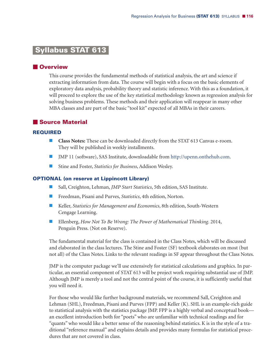# **Syllabus STAT 613-**

# **N**Overview

This course provides the fundamental methods of statistical analysis, the art and science if extracting information from data. The course will begin with a focus on the basic elements of exploratory data analysis, probability theory and statistic inference. With this as a foundation, it will proceed to explore the use of the key statistical methodology known as regression analysis for solving business problems. These methods and their application will reappear in many other MBA classes and are part of the basic "tool kit" expected of all MBAs in their careers.

# - **Source Material**

#### **REQUIRED**

- **Class Notes:** These can be downloaded directly from the STAT 613 Canvas e-room. They will be published in weekly installments.
- JMP 11 (software), SAS Institute, downloadable from http://upenn.onthehub.com.
- Stine and Foster, *Statistics for Business*, Addison Wesley.

#### **OPTIONAL (on reserve at Lippincott Library)**

- Sall, Creighton, Lehman, *JMP Start Statistics*, 5th edition, SAS Institute.
- Freedman, Pisani and Purves, *Statistics*, 4th edition, Norton.
- Keller, *Statistics for Management and Economics*, 8th edition, South-Western Cengage Learning.
- Ellenberg, *How Not To Be Wrong: The Power of Mathematical Thinking*. 2014, Penguin Press. (Not on Reserve).

The fundamental material for the class is contained in the Class Notes, which will be discussed and elaborated in the class lectures. The Stine and Foster (SF) textbook elaborates on most (but not all) of the Class Notes. Links to the relevant readings in SF appear throughout the Class Notes.

JMP is the computer package we'll use extensively for statistical calculations and graphics. In particular, an essential component of STAT 613 will be project work requiring substantial use of JMP. Although JMP is merely a tool and not the central point of the course, it is sufficiently useful that you will need it.

For those who would like further background materials, we recommend Sall, Creighton and Lehman (SHL), Freedman, Pisani and Purves (FPP) and Keller (K). SHL is an example-rich guide to statistical analysis with the statistics package JMP. FPP is a highly verbal and conceptual book an excellent introduction both for "poets" who are unfamiliar with technical readings and for "quants" who would like a better sense of the reasoning behind statistics. K is in the style of a traditional "reference manual" and explains details and provides many formulas for statistical procedures that are not covered in class.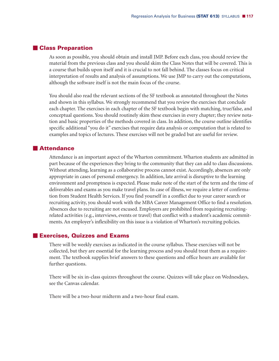## - **Class Preparation**

As soon as possible, you should obtain and install JMP. Before each class, you should review the material from the previous class and you should skim the Class Notes that will be covered. This is a course that builds upon itself and it is crucial to not fall behind. The classes focus on critical interpretation of results and analysis of assumptions. We use JMP to carry out the computations, although the software itself is not the main focus of the course.

You should also read the relevant sections of the SF textbook as annotated throughout the Notes and shown in this syllabus. We strongly recommend that you review the exercises that conclude each chapter. The exercises in each chapter of the SF textbook begin with matching, true/false, and conceptual questions. You should routinely skim these exercises in every chapter; they review notation and basic properties of the methods covered in class. In addition, the course outline identifies specific additional "you do it" exercises that require data analysis or computation that is related to examples and topics of lectures. These exercises will not be graded but are useful for review.

## **Attendance**

Attendance is an important aspect of the Wharton commitment. Wharton students are admitted in part because of the experiences they bring to the community that they can add to class discussions. Without attending, learning as a collaborative process cannot exist. Accordingly, absences are only appropriate in cases of personal emergency. In addition, late arrival is disruptive to the learning environment and promptness is expected. Please make note of the start of the term and the time of deliverables and exams as you make travel plans. In case of illness, we require a letter of confirmation from Student Health Services. If you find yourself in a conflict due to your career search or recruiting activity, you should work with the MBA Career Management Office to find a resolution. Absences due to recruiting are not excused. Employers are prohibited from requiring recruitingrelated activities (e.g., interviews, events or travel) that conflict with a student's academic commitments. An employer's inflexibility on this issue is a violation of Wharton's recruiting policies.

## - **Exercises, Quizzes and Exams**

There will be weekly exercises as indicated in the course syllabus. These exercises will not be collected, but they are essential for the learning process and you should treat them as a requirement. The textbook supplies brief answers to these questions and office hours are available for further questions.

There will be six in-class quizzes throughout the course. Quizzes will take place on Wednesdays, see the Canvas calendar.

There will be a two-hour midterm and a two-hour final exam.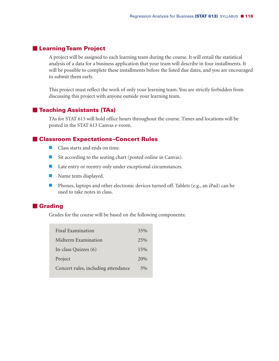# - **LearningTeam Project**

A project will be assigned to each learning team during the course. It will entail the statistical analysis of a data for a business application that your team will describe in four installments. It will be possible to complete these installments before the listed due dates, and you are encouraged to submit them early.

This project must reflect the work of only your learning team. You are strictly forbidden from discussing this project with anyone outside your learning team.

# - **Teaching Assistants (TAs)**

TAs for STAT 613 will hold office hours throughout the course. Times and locations will be posted in the STAT 613 Canvas e-room.

# - **Classroom Expectations–Concert Rules**

- Class starts and ends on time.
- Sit according to the seating chart (posted online in Canvas).
- **Late entry or reentry only under exceptional circumstances.**
- Name tents displayed.
- **Phones, laptops and other electronic devices turned off. Tablets (e.g., an iPad) can be** used to take notes in class.

# **E** Grading

Grades for the course will be based on the following components:

| Final Examination                   | 35%   |
|-------------------------------------|-------|
| Midterm Examination                 | 2.5%  |
| In-class Quizzes (6)                | 15%   |
| Project                             | 20%   |
| Concert rules, including attendance | $5\%$ |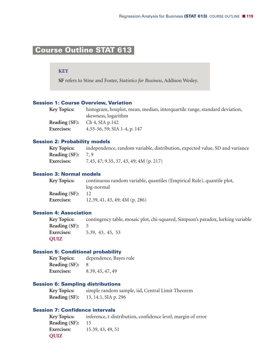# **Course Outline STAT 613-**

#### **KEY**

**SF** refers to Stine and Foster, *Statistics for Business*, Addison Wesley.

#### **Session 1: Course Overview, Variation**

| <b>Key Topics:</b> | histogram, boxplot, mean, median, interquartile range, standard deviation, |
|--------------------|----------------------------------------------------------------------------|
|                    | skewness, logarithm                                                        |
|                    | <b>Reading (SF):</b> Ch 4, SIA p.142                                       |
| <b>Exercises:</b>  | 4.55-56, 59; SIA 1-4, p. 147                                               |
|                    |                                                                            |

#### **Session 2: Probability models**

**Key Topics:** independence, random variable, distribution, expected value, SD and variance **Reading (SF):** 7, 9 **Exercises:** 7.45, 47; 9.35, 37, 43, 49; 4M (p. 217)

## **Session 3: Normal models**

| <b>Key Topics:</b> | continuous random variable, quantiles (Empirical Rule), quantile plot, |
|--------------------|------------------------------------------------------------------------|
|                    | log-normal                                                             |
| Reading $(SF): 12$ |                                                                        |
| <b>Exercises:</b>  | 12.39, 41, 43, 49; 4M (p. 286)                                         |

#### **Session 4: Association**

**Key Topics:** contingency table, mosaic plot, chi-squared, Simpson's paradox, lurking variable **Reading (SF):** 5 **Exercises:** 5.39, 43, 45, 53 **QUIZ**

#### **Session 5: Conditional probability**

**Key Topics:** dependence, Bayes rule **Reading (SF):** 8 **Exercises:** 8.39, 45, 47, 49

# **Session 6: Sampling distributions**

**Key Topics:** simple random sample, iid, Central Limit Theorem **Reading (SF):** 13, 14.1, SIA p. 296

#### **Session 7: Confidence intervals**

**Key Topics:** inference, t-distribution, confidence level, margin of error **Reading (SF):** 15 **Exercises:** 15.39, 43, 49, 51 **QUIZ**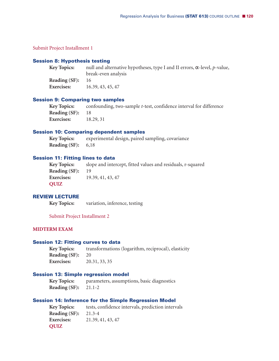Submit Project Installment 1

#### **Session 8: Hypothesis testing**

| <b>Key Topics:</b> | null and alternative hypotheses, type I and II errors, $\alpha$ -level, p-value, |
|--------------------|----------------------------------------------------------------------------------|
|                    | break-even analysis                                                              |
| Reading (SF):      | - 16                                                                             |
| <b>Exercises:</b>  | 16.39, 43, 45, 47                                                                |

#### **Session 9: Comparing two samples**

**Key Topics:** confounding, two-sample *t*-test, confidence interval for difference **Reading (SF):** 18 **Exercises:** 18.29, 31

#### **Session 10: Comparing dependent samples**

**Key Topics:** experimental design, paired sampling, covariance **Reading (SF):** 6,18

#### **Session 11: Fitting lines to data**

| Key Topics:          | slope and intercept, fitted values and residuals, r-squared |
|----------------------|-------------------------------------------------------------|
| <b>Reading (SF):</b> | - 19                                                        |
| <b>Exercises:</b>    | 19.39, 41, 43, 47                                           |
| QUIZ                 |                                                             |

## **REVIEW LECTURE**

**Key Topics:** variation, inference, testing

Submit Project Installment 2

### **MIDTERM EXAM**

#### **Session 12: Fitting curves to data**

**Key Topics:** transformations (logarithm, reciprocal), elasticity **Reading (SF):** 20 **Exercises:** 20.31, 33, 35

#### **Session 13: Simple regression model**

**Key Topics:** parameters, assumptions, basic diagnostics **Reading (SF):** 21.1-2

#### **Session 14: Inference for the Simple Regression Model**

**Key Topics:** tests, confidence intervals, prediction intervals **Reading (SF):** 21.3-4 **Exercises:** 21.39, 41, 43, 47 **QUIZ**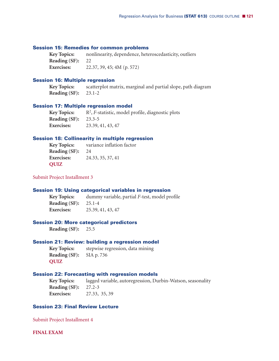#### **Session 15: Remedies for common problems**

**Key Topics:** nonlinearity, dependence, heteroscedasticity, outliers **Reading (SF):** 22 **Exercises:** 22.37, 39, 45; 4M (p. 572)

#### **Session 16: Multiple regression**

**Key Topics:** scatterplot matrix, marginal and partial slope, path diagram **Reading (SF):** 23.1-2

#### **Session 17: Multiple regression model**

**Key Topics:**  $R^2$ , *F*-statistic, model profile, diagnostic plots **Reading (SF):** 23.3-5 **Exercises:** 23.39, 41, 43, 47

### **Session 18: Collinearity in multiple regression**

**Key Topics:** variance inflation factor **Reading (SF):** 24 **Exercises:** 24.33, 35, 37, 41 **QUIZ**

Submit Project Installment 3

#### **Session 19: Using categorical variables in regression**

**Key Topics:** dummy variable, partial *F*-test, model profile **Reading (SF):** 25.1-4 **Exercises:** 25.39, 41, 43, 47

#### **Session 20: More categorical predictors**

**Reading (SF):** 25.5

#### **Session 21: Review: building a regression model**

**Key Topics:** stepwise regression, data mining **Reading (SF):** SIA p. 736 **QUIZ**

#### **Session 22: Forecasting with regression models**

**Key Topics:** lagged variable, autoregression, Durbin-Watson, seasonality **Reading (SF):** 27.2-3 **Exercises:** 27.33, 35, 39

#### **Session 23: Final Review Lecture**

Submit Project Installment 4

**FINAL EXAM**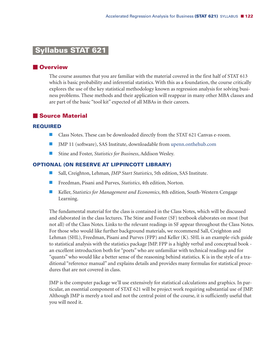# **Syllabus STAT 621-**

# **N** Overview

The course assumes that you are familiar with the material covered in the first half of STAT 613 which is basic probability and inferential statistics. With this as a foundation, the course critically explores the use of the key statistical methodology known as regression analysis for solving business problems. These methods and their application will reappear in many other MBA classes and are part of the basic "tool kit" expected of all MBAs in their careers.

# - **Source Material**

#### **REQUIRED**

- **Class Notes. These can be downloaded directly from the STAT 621 Canvas e-room.**
- JMP 11 (software), SAS Institute, downloadable from upenn.onthehub.com
- Stine and Foster, *Statistics for Business*, Addison Wesley.

## **OPTIONAL (ON RESERVE AT LIPPINCOTT LIBRARY)**

- Sall, Creighton, Lehman, *JMP Start Statistics*, 5th edition, SAS Institute.
- Freedman, Pisani and Purves, *Statistics*, 4th edition, Norton.
- Keller, *Statistics for Management and Economics*, 8th edition, South-Western Cengage Learning.

The fundamental material for the class is contained in the Class Notes, which will be discussed and elaborated in the class lectures. The Stine and Foster (SF) textbook elaborates on most (but not all) of the Class Notes. Links to the relevant readings in SF appear throughout the Class Notes. For those who would like further background materials, we recommend Sall, Creighton and Lehman (SHL), Freedman, Pisani and Purves (FPP) and Keller (K). SHL is an example-rich guide to statistical analysis with the statistics package JMP. FPP is a highly verbal and conceptual book an excellent introduction both for "poets" who are unfamiliar with technical readings and for "quants" who would like a better sense of the reasoning behind statistics. K is in the style of a traditional "reference manual" and explains details and provides many formulas for statistical procedures that are not covered in class.

JMP is the computer package we'll use extensively for statistical calculations and graphics. In particular, an essential component of STAT 621 will be project work requiring substantial use of JMP. Although JMP is merely a tool and not the central point of the course, it is sufficiently useful that you will need it.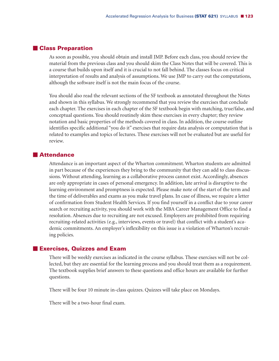## - **Class Preparation**

As soon as possible, you should obtain and install JMP. Before each class, you should review the material from the previous class and you should skim the Class Notes that will be covered. This is a course that builds upon itself and it is crucial to not fall behind. The classes focus on critical interpretation of results and analysis of assumptions. We use JMP to carry out the computations, although the software itself is not the main focus of the course.

You should also read the relevant sections of the SF textbook as annotated throughout the Notes and shown in this syllabus. We strongly recommend that you review the exercises that conclude each chapter. The exercises in each chapter of the SF textbook begin with matching, true/false, and conceptual questions. You should routinely skim these exercises in every chapter; they review notation and basic properties of the methods covered in class. In addition, the course outline identifies specific additional "you do it" exercises that require data analysis or computation that is related to examples and topics of lectures. These exercises will not be evaluated but are useful for review.

## **Attendance**

Attendance is an important aspect of the Wharton commitment. Wharton students are admitted in part because of the experiences they bring to the community that they can add to class discussions. Without attending, learning as a collaborative process cannot exist. Accordingly, absences are only appropriate in cases of personal emergency. In addition, late arrival is disruptive to the learning environment and promptness is expected. Please make note of the start of the term and the time of deliverables and exams as you make travel plans. In case of illness, we require a letter of confirmation from Student Health Services. If you find yourself in a conflict due to your career search or recruiting activity, you should work with the MBA Career Management Office to find a resolution. Absences due to recruiting are not excused. Employers are prohibited from requiring recruiting-related activities (e.g., interviews, events or travel) that conflict with a student's academic commitments. An employer's inflexibility on this issue is a violation of Wharton's recruiting policies.

## - **Exercises, Quizzes and Exam**

There will be weekly exercises as indicated in the course syllabus. These exercises will not be collected, but they are essential for the learning process and you should treat them as a requirement. The textbook supplies brief answers to these questions and office hours are available for further questions.

There will be four 10 minute in-class quizzes. Quizzes will take place on Mondays.

There will be a two-hour final exam.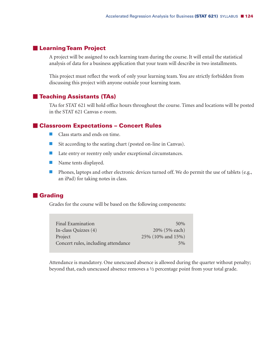## - **LearningTeam Project**

A project will be assigned to each learning team during the course. It will entail the statistical analysis of data for a business application that your team will describe in two installments.

This project must reflect the work of only your learning team. You are strictly forbidden from discussing this project with anyone outside your learning team.

## - **Teaching Assistants (TAs)**

TAs for STAT 621 will hold office hours throughout the course. Times and locations will be posted in the STAT 621 Canvas e-room.

## - **Classroom Expectations – Concert Rules**

- **Class starts and ends on time.**
- Sit according to the seating chart (posted on-line in Canvas).
- **Late entry or reentry only under exceptional circumstances.**
- Name tents displayed.
- **Phones, laptops and other electronic devices turned off. We do permit the use of tablets (e.g.,** an iPad) for taking notes in class.

## **E** Grading

Grades for the course will be based on the following components:

| Final Examination                   | 50%               |
|-------------------------------------|-------------------|
| In-class Quizzes $(4)$              | 20% (5% each)     |
| Project                             | 25% (10% and 15%) |
| Concert rules, including attendance | $5\%$             |

Attendance is mandatory. One unexcused absence is allowed during the quarter without penalty; beyond that, each unexcused absence removes a ½ percentage point from your total grade.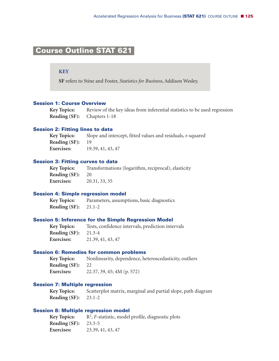# **Course Outline STAT 621-**

## **KEY**

**SF** refers to Stine and Foster, *Statistics for Business*, Addison Wesley.

## **Session 1: Course Overview**

**Key Topics:** Review of the key ideas from inferential statistics to be used regression **Reading (SF):** Chapters 1-18

#### **Session 2: Fitting lines to data**

**Key Topics:** Slope and intercept, fitted values and residuals, r-squared **Reading (SF):** 19 **Exercises:** 19.39, 41, 43, 47

#### **Session 3: Fitting curves to data**

**Key Topics:** Transformations (logarithm, reciprocal), elasticity **Reading (SF):** 20 **Exercises:** 20.31, 33, 35

#### **Session 4: Simple regression model**

**Key Topics:** Parameters, assumptions, basic diagnostics **Reading (SF):** 21.1-2

#### **Session 5: Inference for the Simple Regression Model**

**Key Topics:** Tests, confidence intervals, prediction intervals **Reading (SF):** 21.3-4 **Exercises:** 21.39, 41, 43, 47

#### **Session 6: Remedies for common problems**

**Key Topics:** Nonlinearity, dependence, heteroscedasticity, outliers **Reading (SF):** 22 **Exercises:** 22.37, 39, 45; 4M (p. 572)

#### **Session 7: Multiple regression**

**Key Topics:** Scatterplot matrix, marginal and partial slope, path diagram **Reading (SF):** 23.1-2

#### **Session 8: Multiple regression model**

**Key Topics:**  $R^2$ , *F*-statistic, model profile, diagnostic plots **Reading (SF):** 23.3-5 **Exercises:** 23.39, 41, 43, 47